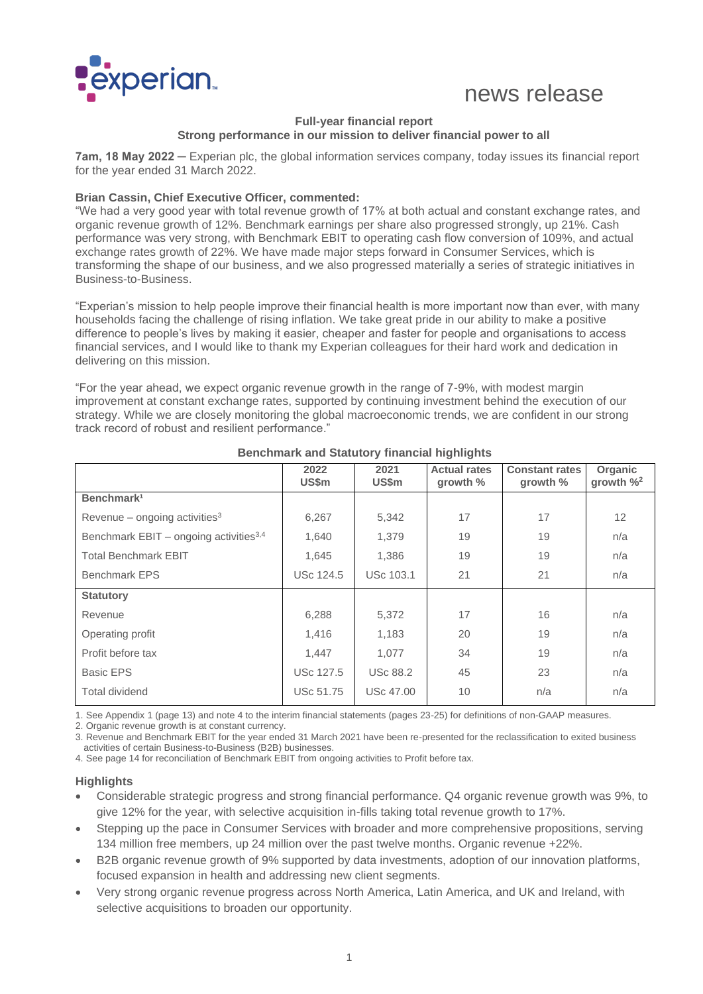

# news release

#### **Full-year financial report Strong performance in our mission to deliver financial power to all**

**7am, 18 May 2022 ─** Experian plc, the global information services company, today issues its financial report for the year ended 31 March 2022.

#### **Brian Cassin, Chief Executive Officer, commented:**

"We had a very good year with total revenue growth of 17% at both actual and constant exchange rates, and organic revenue growth of 12%. Benchmark earnings per share also progressed strongly, up 21%. Cash performance was very strong, with Benchmark EBIT to operating cash flow conversion of 109%, and actual exchange rates growth of 22%. We have made major steps forward in Consumer Services, which is transforming the shape of our business, and we also progressed materially a series of strategic initiatives in Business-to-Business.

"Experian's mission to help people improve their financial health is more important now than ever, with many households facing the challenge of rising inflation. We take great pride in our ability to make a positive difference to people's lives by making it easier, cheaper and faster for people and organisations to access financial services, and I would like to thank my Experian colleagues for their hard work and dedication in delivering on this mission.

"For the year ahead, we expect organic revenue growth in the range of 7-9%, with modest margin improvement at constant exchange rates, supported by continuing investment behind the execution of our strategy. While we are closely monitoring the global macroeconomic trends, we are confident in our strong track record of robust and resilient performance."

|                                           | 2022<br>US\$m    | 2021<br><b>US\$m</b> | <b>Actual rates</b><br>growth % | <b>Constant rates</b><br>growth $%$ | Organic<br>growth $\frac{9}{2}$ |
|-------------------------------------------|------------------|----------------------|---------------------------------|-------------------------------------|---------------------------------|
| Benchmark <sup>1</sup>                    |                  |                      |                                 |                                     |                                 |
| Revenue – ongoing activities $3$          | 6,267            | 5,342                | 17                              | 17                                  | 12                              |
| Benchmark EBIT - ongoing activities $3,4$ | 1,640            | 1.379                | 19                              | 19                                  | n/a                             |
| <b>Total Benchmark EBIT</b>               | 1,645            | 1,386                | 19                              | 19                                  | n/a                             |
| <b>Benchmark EPS</b>                      | <b>USc 124.5</b> | <b>USc 103.1</b>     | 21                              | 21                                  | n/a                             |
| <b>Statutory</b>                          |                  |                      |                                 |                                     |                                 |
| Revenue                                   | 6,288            | 5,372                | 17                              | 16                                  | n/a                             |
| Operating profit                          | 1,416            | 1,183                | 20                              | 19                                  | n/a                             |
| Profit before tax                         | 1,447            | 1,077                | 34                              | 19                                  | n/a                             |
| <b>Basic EPS</b>                          | <b>USc 127.5</b> | <b>USc 88.2</b>      | 45                              | 23                                  | n/a                             |
| Total dividend                            | <b>USc 51.75</b> | <b>USc 47.00</b>     | 10                              | n/a                                 | n/a                             |

#### **Benchmark and Statutory financial highlights**

1. See Appendix 1 (page 13) and note 4 to the interim financial statements (pages 23-25) for definitions of non-GAAP measures.

2. Organic revenue growth is at constant currency.

3. Revenue and Benchmark EBIT for the year ended 31 March 2021 have been re-presented for the reclassification to exited business activities of certain Business-to-Business (B2B) businesses.

4. See page 14 for reconciliation of Benchmark EBIT from ongoing activities to Profit before tax.

### **Highlights**

- Considerable strategic progress and strong financial performance. Q4 organic revenue growth was 9%, to give 12% for the year, with selective acquisition in-fills taking total revenue growth to 17%.
- Stepping up the pace in Consumer Services with broader and more comprehensive propositions, serving 134 million free members, up 24 million over the past twelve months. Organic revenue +22%.
- B2B organic revenue growth of 9% supported by data investments, adoption of our innovation platforms, focused expansion in health and addressing new client segments.
- Very strong organic revenue progress across North America, Latin America, and UK and Ireland, with selective acquisitions to broaden our opportunity.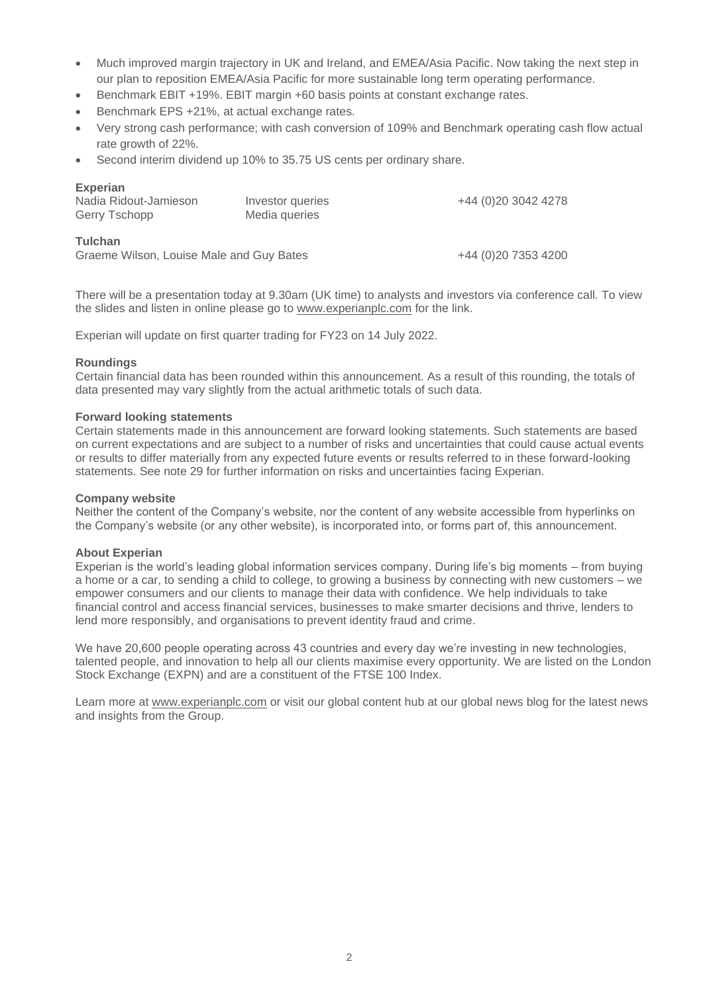- Much improved margin trajectory in UK and Ireland, and EMEA/Asia Pacific. Now taking the next step in our plan to reposition EMEA/Asia Pacific for more sustainable long term operating performance.
- Benchmark EBIT +19%. EBIT margin +60 basis points at constant exchange rates.
- Benchmark EPS +21%, at actual exchange rates.
- Very strong cash performance; with cash conversion of 109% and Benchmark operating cash flow actual rate growth of 22%.
- Second interim dividend up 10% to 35.75 US cents per ordinary share.

| <b>Experian</b>                          |                  |                     |
|------------------------------------------|------------------|---------------------|
| Nadia Ridout-Jamieson                    | Investor queries | +44 (0)20 3042 4278 |
| <b>Gerry Tschopp</b>                     | Media queries    |                     |
|                                          |                  |                     |
| Tulchan                                  |                  |                     |
| Graeme Wilson, Louise Male and Guy Bates |                  | +44 (0)20 7353 4200 |
|                                          |                  |                     |

There will be a presentation today at 9.30am (UK time) to analysts and investors via conference call. To view the slides and listen in online please go to [www.experianplc.com](http://www.experianplc.com/) for the link.

Experian will update on first quarter trading for FY23 on 14 July 2022.

#### **Roundings**

Certain financial data has been rounded within this announcement. As a result of this rounding, the totals of data presented may vary slightly from the actual arithmetic totals of such data.

#### **Forward looking statements**

Certain statements made in this announcement are forward looking statements. Such statements are based on current expectations and are subject to a number of risks and uncertainties that could cause actual events or results to differ materially from any expected future events or results referred to in these forward-looking statements. See note 29 for further information on risks and uncertainties facing Experian.

#### **Company website**

Neither the content of the Company's website, nor the content of any website accessible from hyperlinks on the Company's website (or any other website), is incorporated into, or forms part of, this announcement.

#### **About Experian**

Experian is the world's leading global information services company. During life's big moments – from buying a home or a car, to sending a child to college, to growing a business by connecting with new customers – we empower consumers and our clients to manage their data with confidence. We help individuals to take financial control and access financial services, businesses to make smarter decisions and thrive, lenders to lend more responsibly, and organisations to prevent identity fraud and crime.

We have 20,600 people operating across 43 countries and every day we're investing in new technologies, talented people, and innovation to help all our clients maximise every opportunity. We are listed on the London Stock Exchange (EXPN) and are a constituent of the FTSE 100 Index.

Learn more at [www.experianplc.com](http://www.experianplc.com/) or visit our global content hub at our global news blog for the latest news and insights from the Group.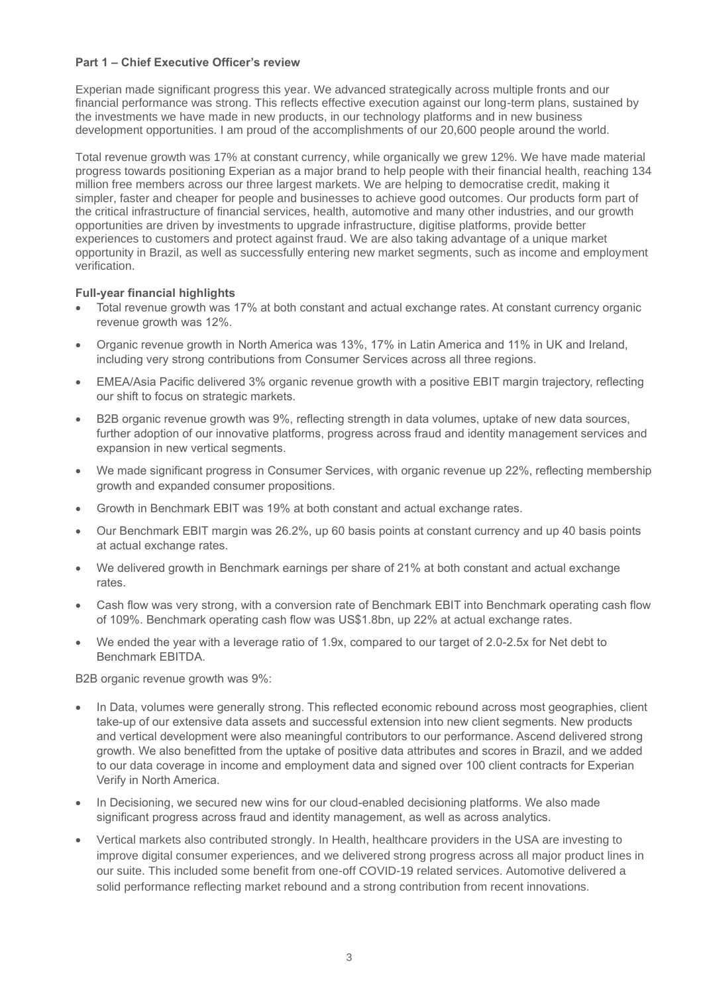#### **Part 1 – Chief Executive Officer's review**

Experian made significant progress this year. We advanced strategically across multiple fronts and our financial performance was strong. This reflects effective execution against our long-term plans, sustained by the investments we have made in new products, in our technology platforms and in new business development opportunities. I am proud of the accomplishments of our 20,600 people around the world.

Total revenue growth was 17% at constant currency, while organically we grew 12%. We have made material progress towards positioning Experian as a major brand to help people with their financial health, reaching 134 million free members across our three largest markets. We are helping to democratise credit, making it simpler, faster and cheaper for people and businesses to achieve good outcomes. Our products form part of the critical infrastructure of financial services, health, automotive and many other industries, and our growth opportunities are driven by investments to upgrade infrastructure, digitise platforms, provide better experiences to customers and protect against fraud. We are also taking advantage of a unique market opportunity in Brazil, as well as successfully entering new market segments, such as income and employment verification.

#### **Full-year financial highlights**

- Total revenue growth was 17% at both constant and actual exchange rates. At constant currency organic revenue growth was 12%.
- Organic revenue growth in North America was 13%, 17% in Latin America and 11% in UK and Ireland, including very strong contributions from Consumer Services across all three regions.
- EMEA/Asia Pacific delivered 3% organic revenue growth with a positive EBIT margin trajectory, reflecting our shift to focus on strategic markets.
- B2B organic revenue growth was 9%, reflecting strength in data volumes, uptake of new data sources, further adoption of our innovative platforms, progress across fraud and identity management services and expansion in new vertical segments.
- We made significant progress in Consumer Services, with organic revenue up 22%, reflecting membership growth and expanded consumer propositions.
- Growth in Benchmark EBIT was 19% at both constant and actual exchange rates.
- Our Benchmark EBIT margin was 26.2%, up 60 basis points at constant currency and up 40 basis points at actual exchange rates.
- We delivered growth in Benchmark earnings per share of 21% at both constant and actual exchange rates.
- Cash flow was very strong, with a conversion rate of Benchmark EBIT into Benchmark operating cash flow of 109%. Benchmark operating cash flow was US\$1.8bn, up 22% at actual exchange rates.
- We ended the year with a leverage ratio of 1.9x, compared to our target of 2.0-2.5x for Net debt to Benchmark EBITDA.

B2B organic revenue growth was 9%:

- In Data, volumes were generally strong. This reflected economic rebound across most geographies, client take-up of our extensive data assets and successful extension into new client segments. New products and vertical development were also meaningful contributors to our performance. Ascend delivered strong growth. We also benefitted from the uptake of positive data attributes and scores in Brazil, and we added to our data coverage in income and employment data and signed over 100 client contracts for Experian Verify in North America.
- In Decisioning, we secured new wins for our cloud-enabled decisioning platforms. We also made significant progress across fraud and identity management, as well as across analytics.
- Vertical markets also contributed strongly. In Health, healthcare providers in the USA are investing to improve digital consumer experiences, and we delivered strong progress across all major product lines in our suite. This included some benefit from one-off COVID-19 related services. Automotive delivered a solid performance reflecting market rebound and a strong contribution from recent innovations.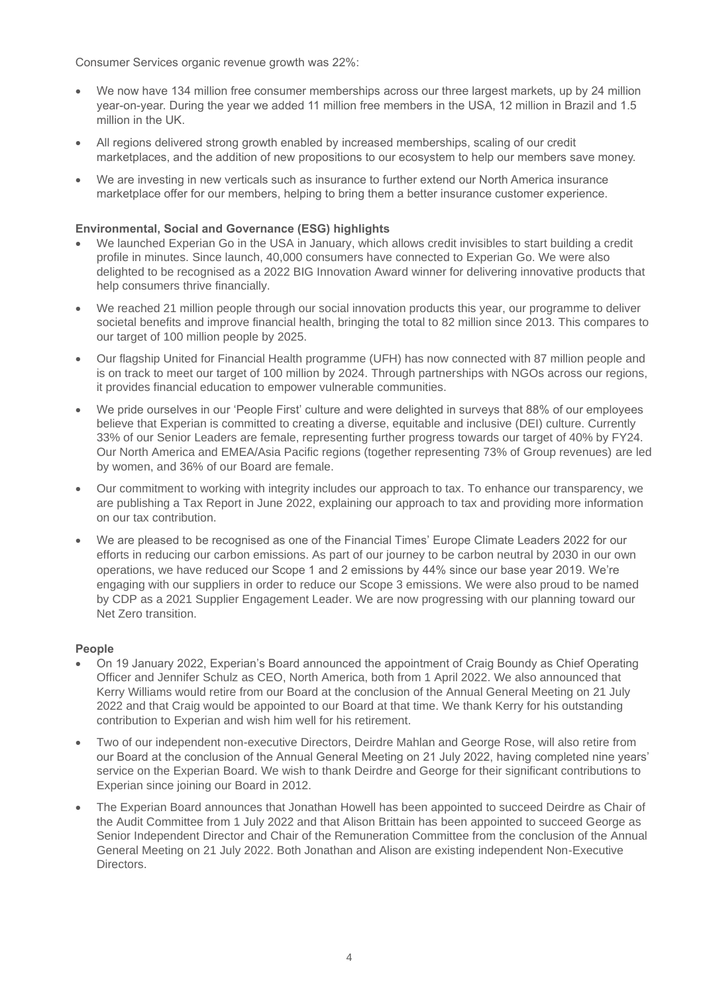Consumer Services organic revenue growth was 22%:

- We now have 134 million free consumer memberships across our three largest markets, up by 24 million year-on-year. During the year we added 11 million free members in the USA, 12 million in Brazil and 1.5 million in the UK.
- All regions delivered strong growth enabled by increased memberships, scaling of our credit marketplaces, and the addition of new propositions to our ecosystem to help our members save money.
- We are investing in new verticals such as insurance to further extend our North America insurance marketplace offer for our members, helping to bring them a better insurance customer experience.

## **Environmental, Social and Governance (ESG) highlights**

- We launched Experian Go in the USA in January, which allows credit invisibles to start building a credit profile in minutes. Since launch, 40,000 consumers have connected to Experian Go. We were also delighted to be recognised as a 2022 BIG Innovation Award winner for delivering innovative products that help consumers thrive financially.
- We reached 21 million people through our social innovation products this year, our programme to deliver societal benefits and improve financial health, bringing the total to 82 million since 2013. This compares to our target of 100 million people by 2025.
- Our flagship United for Financial Health programme (UFH) has now connected with 87 million people and is on track to meet our target of 100 million by 2024. Through partnerships with NGOs across our regions, it provides financial education to empower vulnerable communities.
- We pride ourselves in our 'People First' culture and were delighted in surveys that 88% of our employees believe that Experian is committed to creating a diverse, equitable and inclusive (DEI) culture. Currently 33% of our Senior Leaders are female, representing further progress towards our target of 40% by FY24. Our North America and EMEA/Asia Pacific regions (together representing 73% of Group revenues) are led by women, and 36% of our Board are female.
- Our commitment to working with integrity includes our approach to tax. To enhance our transparency, we are publishing a Tax Report in June 2022, explaining our approach to tax and providing more information on our tax contribution.
- We are pleased to be recognised as one of the Financial Times' Europe Climate Leaders 2022 for our efforts in reducing our carbon emissions. As part of our journey to be carbon neutral by 2030 in our own operations, we have reduced our Scope 1 and 2 emissions by 44% since our base year 2019. We're engaging with our suppliers in order to reduce our Scope 3 emissions. We were also proud to be named by CDP as a 2021 Supplier Engagement Leader. We are now progressing with our planning toward our Net Zero transition.

### **People**

- On 19 January 2022, Experian's Board announced the appointment of Craig Boundy as Chief Operating Officer and Jennifer Schulz as CEO, North America, both from 1 April 2022. We also announced that Kerry Williams would retire from our Board at the conclusion of the Annual General Meeting on 21 July 2022 and that Craig would be appointed to our Board at that time. We thank Kerry for his outstanding contribution to Experian and wish him well for his retirement.
- Two of our independent non-executive Directors, Deirdre Mahlan and George Rose, will also retire from our Board at the conclusion of the Annual General Meeting on 21 July 2022, having completed nine years' service on the Experian Board. We wish to thank Deirdre and George for their significant contributions to Experian since joining our Board in 2012.
- The Experian Board announces that Jonathan Howell has been appointed to succeed Deirdre as Chair of the Audit Committee from 1 July 2022 and that Alison Brittain has been appointed to succeed George as Senior Independent Director and Chair of the Remuneration Committee from the conclusion of the Annual General Meeting on 21 July 2022. Both Jonathan and Alison are existing independent Non-Executive Directors.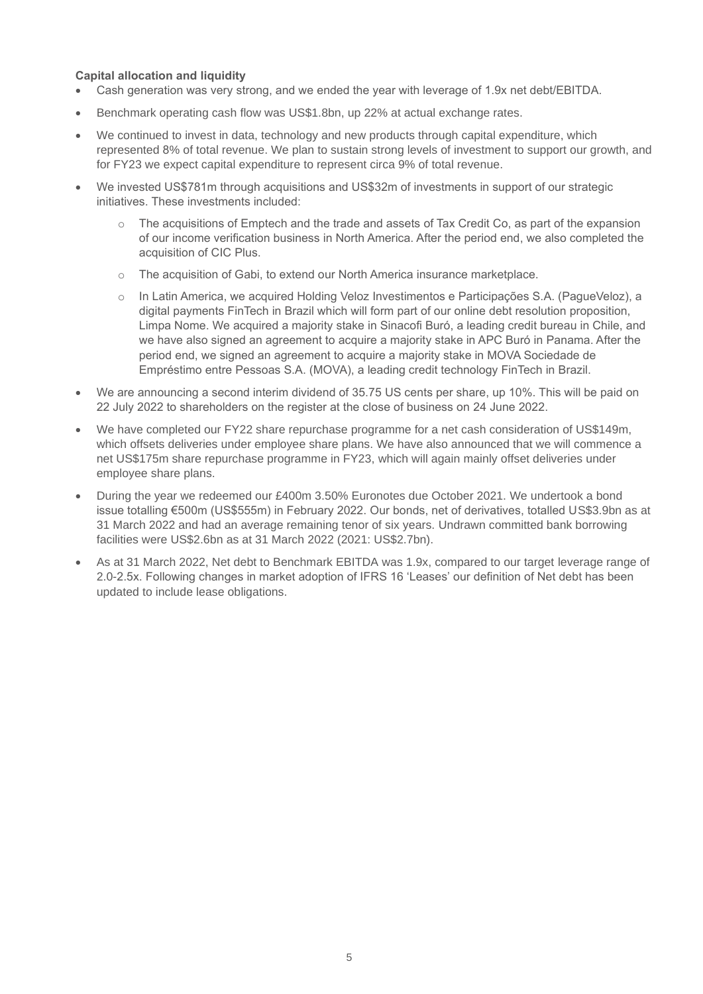## **Capital allocation and liquidity**

- Cash generation was very strong, and we ended the year with leverage of 1.9x net debt/EBITDA.
- Benchmark operating cash flow was US\$1.8bn, up 22% at actual exchange rates.
- We continued to invest in data, technology and new products through capital expenditure, which represented 8% of total revenue. We plan to sustain strong levels of investment to support our growth, and for FY23 we expect capital expenditure to represent circa 9% of total revenue.
- We invested US\$781m through acquisitions and US\$32m of investments in support of our strategic initiatives. These investments included:
	- o The acquisitions of Emptech and the trade and assets of Tax Credit Co, as part of the expansion of our income verification business in North America. After the period end, we also completed the acquisition of CIC Plus.
	- o The acquisition of Gabi, to extend our North America insurance marketplace.
	- o In Latin America, we acquired Holding Veloz Investimentos e Participações S.A. (PagueVeloz), a digital payments FinTech in Brazil which will form part of our online debt resolution proposition, Limpa Nome. We acquired a majority stake in Sinacofi Buró, a leading credit bureau in Chile, and we have also signed an agreement to acquire a majority stake in APC Buró in Panama. After the period end, we signed an agreement to acquire a majority stake in MOVA Sociedade de Empréstimo entre Pessoas S.A. (MOVA), a leading credit technology FinTech in Brazil.
- We are announcing a second interim dividend of 35.75 US cents per share, up 10%. This will be paid on 22 July 2022 to shareholders on the register at the close of business on 24 June 2022.
- We have completed our FY22 share repurchase programme for a net cash consideration of US\$149m, which offsets deliveries under employee share plans. We have also announced that we will commence a net US\$175m share repurchase programme in FY23, which will again mainly offset deliveries under employee share plans.
- During the year we redeemed our £400m 3.50% Euronotes due October 2021. We undertook a bond issue totalling €500m (US\$555m) in February 2022. Our bonds, net of derivatives, totalled US\$3.9bn as at 31 March 2022 and had an average remaining tenor of six years. Undrawn committed bank borrowing facilities were US\$2.6bn as at 31 March 2022 (2021: US\$2.7bn).
- As at 31 March 2022, Net debt to Benchmark EBITDA was 1.9x, compared to our target leverage range of 2.0-2.5x. Following changes in market adoption of IFRS 16 'Leases' our definition of Net debt has been updated to include lease obligations.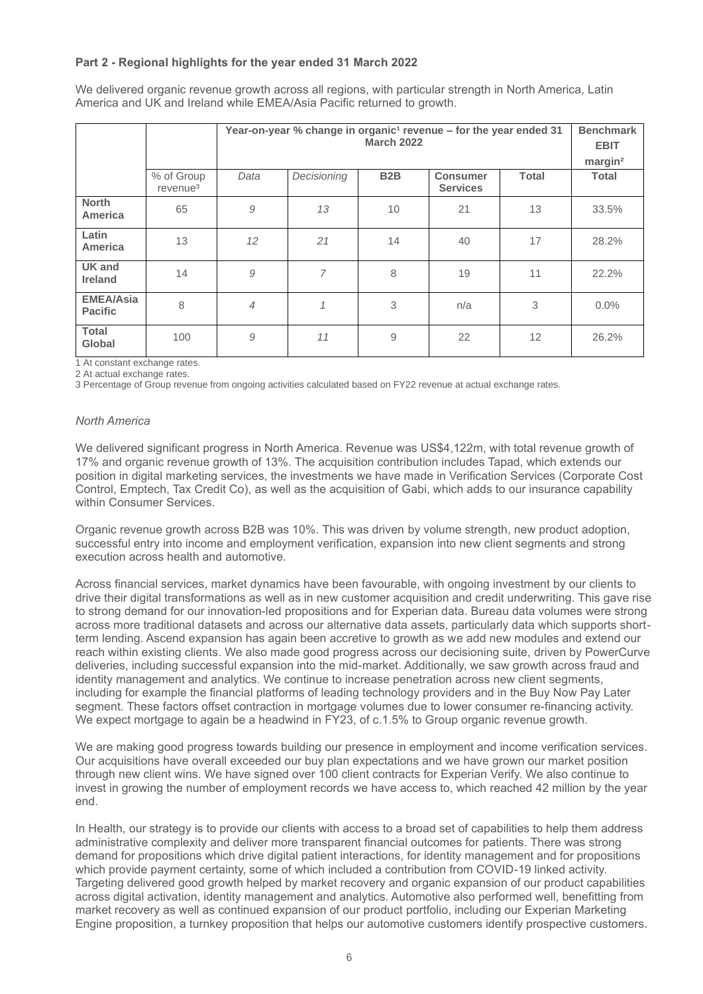### **Part 2 - Regional highlights for the year ended 31 March 2022**

We delivered organic revenue growth across all regions, with particular strength in North America, Latin America and UK and Ireland while EMEA/Asia Pacific returned to growth.

|                                    |                                    | Year-on-year % change in organic <sup>1</sup> revenue - for the year ended 31<br><b>March 2022</b> |              |                  |                                    | <b>Benchmark</b><br><b>EBIT</b> |                                     |
|------------------------------------|------------------------------------|----------------------------------------------------------------------------------------------------|--------------|------------------|------------------------------------|---------------------------------|-------------------------------------|
|                                    | % of Group<br>revenue <sup>3</sup> | Data                                                                                               | Decisioning  | B <sub>2</sub> B | <b>Consumer</b><br><b>Services</b> | <b>Total</b>                    | margin <sup>2</sup><br><b>Total</b> |
| <b>North</b><br>America            | 65                                 | 9                                                                                                  | 13           | 10               | 21                                 | 13                              | 33.5%                               |
| Latin<br>America                   | 13                                 | 12                                                                                                 | 21           | 14               | 40                                 | 17                              | 28.2%                               |
| <b>UK</b> and<br><b>Ireland</b>    | 14                                 | 9                                                                                                  | 7            | 8                | 19                                 | 11                              | 22.2%                               |
| <b>EMEA/Asia</b><br><b>Pacific</b> | 8                                  | $\overline{4}$                                                                                     | $\mathcal I$ | 3                | n/a                                | 3                               | 0.0%                                |
| <b>Total</b><br>Global             | 100                                | 9                                                                                                  | 11           | 9                | 22                                 | 12                              | 26.2%                               |

1 At constant exchange rates.

2 At actual exchange rates.

3 Percentage of Group revenue from ongoing activities calculated based on FY22 revenue at actual exchange rates.

#### *North America*

We delivered significant progress in North America. Revenue was US\$4,122m, with total revenue growth of 17% and organic revenue growth of 13%. The acquisition contribution includes Tapad, which extends our position in digital marketing services, the investments we have made in Verification Services (Corporate Cost Control, Emptech, Tax Credit Co), as well as the acquisition of Gabi, which adds to our insurance capability within Consumer Services.

Organic revenue growth across B2B was 10%. This was driven by volume strength, new product adoption, successful entry into income and employment verification, expansion into new client segments and strong execution across health and automotive.

Across financial services, market dynamics have been favourable, with ongoing investment by our clients to drive their digital transformations as well as in new customer acquisition and credit underwriting. This gave rise to strong demand for our innovation-led propositions and for Experian data. Bureau data volumes were strong across more traditional datasets and across our alternative data assets, particularly data which supports shortterm lending. Ascend expansion has again been accretive to growth as we add new modules and extend our reach within existing clients. We also made good progress across our decisioning suite, driven by PowerCurve deliveries, including successful expansion into the mid-market. Additionally, we saw growth across fraud and identity management and analytics. We continue to increase penetration across new client segments, including for example the financial platforms of leading technology providers and in the Buy Now Pay Later segment. These factors offset contraction in mortgage volumes due to lower consumer re-financing activity. We expect mortgage to again be a headwind in FY23, of c.1.5% to Group organic revenue growth.

We are making good progress towards building our presence in employment and income verification services. Our acquisitions have overall exceeded our buy plan expectations and we have grown our market position through new client wins. We have signed over 100 client contracts for Experian Verify. We also continue to invest in growing the number of employment records we have access to, which reached 42 million by the year end.

In Health, our strategy is to provide our clients with access to a broad set of capabilities to help them address administrative complexity and deliver more transparent financial outcomes for patients. There was strong demand for propositions which drive digital patient interactions, for identity management and for propositions which provide payment certainty, some of which included a contribution from COVID-19 linked activity. Targeting delivered good growth helped by market recovery and organic expansion of our product capabilities across digital activation, identity management and analytics. Automotive also performed well, benefitting from market recovery as well as continued expansion of our product portfolio, including our Experian Marketing Engine proposition, a turnkey proposition that helps our automotive customers identify prospective customers.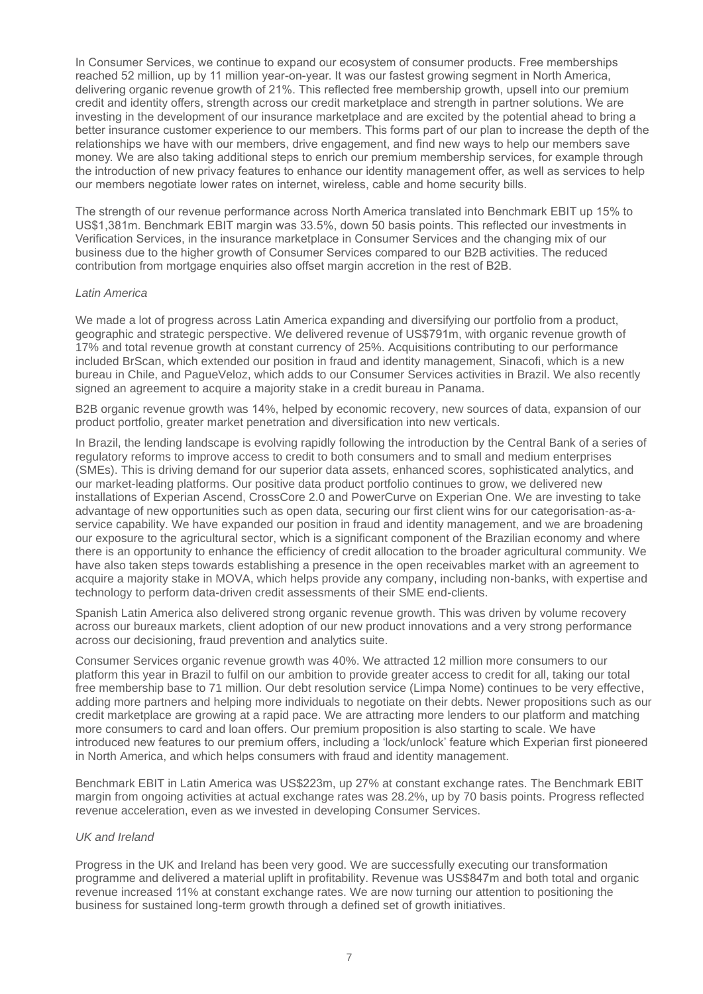In Consumer Services, we continue to expand our ecosystem of consumer products. Free memberships reached 52 million, up by 11 million year-on-year. It was our fastest growing segment in North America, delivering organic revenue growth of 21%. This reflected free membership growth, upsell into our premium credit and identity offers, strength across our credit marketplace and strength in partner solutions. We are investing in the development of our insurance marketplace and are excited by the potential ahead to bring a better insurance customer experience to our members. This forms part of our plan to increase the depth of the relationships we have with our members, drive engagement, and find new ways to help our members save money. We are also taking additional steps to enrich our premium membership services, for example through the introduction of new privacy features to enhance our identity management offer, as well as services to help our members negotiate lower rates on internet, wireless, cable and home security bills.

The strength of our revenue performance across North America translated into Benchmark EBIT up 15% to US\$1,381m. Benchmark EBIT margin was 33.5%, down 50 basis points. This reflected our investments in Verification Services, in the insurance marketplace in Consumer Services and the changing mix of our business due to the higher growth of Consumer Services compared to our B2B activities. The reduced contribution from mortgage enquiries also offset margin accretion in the rest of B2B.

#### *Latin America*

We made a lot of progress across Latin America expanding and diversifying our portfolio from a product, geographic and strategic perspective. We delivered revenue of US\$791m, with organic revenue growth of 17% and total revenue growth at constant currency of 25%. Acquisitions contributing to our performance included BrScan, which extended our position in fraud and identity management, Sinacofi, which is a new bureau in Chile, and PagueVeloz, which adds to our Consumer Services activities in Brazil. We also recently signed an agreement to acquire a majority stake in a credit bureau in Panama.

B2B organic revenue growth was 14%, helped by economic recovery, new sources of data, expansion of our product portfolio, greater market penetration and diversification into new verticals.

In Brazil, the lending landscape is evolving rapidly following the introduction by the Central Bank of a series of regulatory reforms to improve access to credit to both consumers and to small and medium enterprises (SMEs). This is driving demand for our superior data assets, enhanced scores, sophisticated analytics, and our market-leading platforms. Our positive data product portfolio continues to grow, we delivered new installations of Experian Ascend, CrossCore 2.0 and PowerCurve on Experian One. We are investing to take advantage of new opportunities such as open data, securing our first client wins for our categorisation-as-aservice capability. We have expanded our position in fraud and identity management, and we are broadening our exposure to the agricultural sector, which is a significant component of the Brazilian economy and where there is an opportunity to enhance the efficiency of credit allocation to the broader agricultural community. We have also taken steps towards establishing a presence in the open receivables market with an agreement to acquire a majority stake in MOVA, which helps provide any company, including non-banks, with expertise and technology to perform data-driven credit assessments of their SME end-clients.

Spanish Latin America also delivered strong organic revenue growth. This was driven by volume recovery across our bureaux markets, client adoption of our new product innovations and a very strong performance across our decisioning, fraud prevention and analytics suite.

Consumer Services organic revenue growth was 40%. We attracted 12 million more consumers to our platform this year in Brazil to fulfil on our ambition to provide greater access to credit for all, taking our total free membership base to 71 million. Our debt resolution service (Limpa Nome) continues to be very effective, adding more partners and helping more individuals to negotiate on their debts. Newer propositions such as our credit marketplace are growing at a rapid pace. We are attracting more lenders to our platform and matching more consumers to card and loan offers. Our premium proposition is also starting to scale. We have introduced new features to our premium offers, including a 'lock/unlock' feature which Experian first pioneered in North America, and which helps consumers with fraud and identity management.

Benchmark EBIT in Latin America was US\$223m, up 27% at constant exchange rates. The Benchmark EBIT margin from ongoing activities at actual exchange rates was 28.2%, up by 70 basis points. Progress reflected revenue acceleration, even as we invested in developing Consumer Services.

#### *UK and Ireland*

Progress in the UK and Ireland has been very good. We are successfully executing our transformation programme and delivered a material uplift in profitability. Revenue was US\$847m and both total and organic revenue increased 11% at constant exchange rates. We are now turning our attention to positioning the business for sustained long-term growth through a defined set of growth initiatives.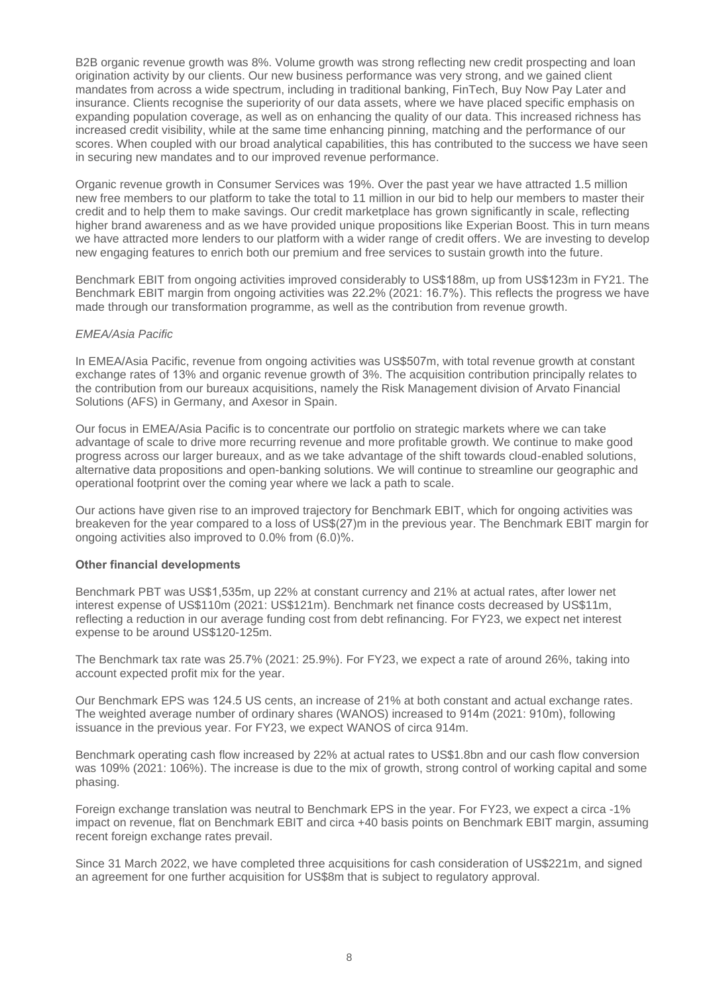B2B organic revenue growth was 8%. Volume growth was strong reflecting new credit prospecting and loan origination activity by our clients. Our new business performance was very strong, and we gained client mandates from across a wide spectrum, including in traditional banking, FinTech, Buy Now Pay Later and insurance. Clients recognise the superiority of our data assets, where we have placed specific emphasis on expanding population coverage, as well as on enhancing the quality of our data. This increased richness has increased credit visibility, while at the same time enhancing pinning, matching and the performance of our scores. When coupled with our broad analytical capabilities, this has contributed to the success we have seen in securing new mandates and to our improved revenue performance.

Organic revenue growth in Consumer Services was 19%. Over the past year we have attracted 1.5 million new free members to our platform to take the total to 11 million in our bid to help our members to master their credit and to help them to make savings. Our credit marketplace has grown significantly in scale, reflecting higher brand awareness and as we have provided unique propositions like Experian Boost. This in turn means we have attracted more lenders to our platform with a wider range of credit offers. We are investing to develop new engaging features to enrich both our premium and free services to sustain growth into the future.

Benchmark EBIT from ongoing activities improved considerably to US\$188m, up from US\$123m in FY21. The Benchmark EBIT margin from ongoing activities was 22.2% (2021: 16.7%). This reflects the progress we have made through our transformation programme, as well as the contribution from revenue growth.

#### *EMEA/Asia Pacific*

In EMEA/Asia Pacific, revenue from ongoing activities was US\$507m, with total revenue growth at constant exchange rates of 13% and organic revenue growth of 3%. The acquisition contribution principally relates to the contribution from our bureaux acquisitions, namely the Risk Management division of Arvato Financial Solutions (AFS) in Germany, and Axesor in Spain.

Our focus in EMEA/Asia Pacific is to concentrate our portfolio on strategic markets where we can take advantage of scale to drive more recurring revenue and more profitable growth. We continue to make good progress across our larger bureaux, and as we take advantage of the shift towards cloud-enabled solutions, alternative data propositions and open-banking solutions. We will continue to streamline our geographic and operational footprint over the coming year where we lack a path to scale.

Our actions have given rise to an improved trajectory for Benchmark EBIT, which for ongoing activities was breakeven for the year compared to a loss of US\$(27)m in the previous year. The Benchmark EBIT margin for ongoing activities also improved to 0.0% from (6.0)%.

### **Other financial developments**

Benchmark PBT was US\$1,535m, up 22% at constant currency and 21% at actual rates, after lower net interest expense of US\$110m (2021: US\$121m). Benchmark net finance costs decreased by US\$11m, reflecting a reduction in our average funding cost from debt refinancing. For FY23, we expect net interest expense to be around US\$120-125m.

The Benchmark tax rate was 25.7% (2021: 25.9%). For FY23, we expect a rate of around 26%, taking into account expected profit mix for the year.

Our Benchmark EPS was 124.5 US cents, an increase of 21% at both constant and actual exchange rates. The weighted average number of ordinary shares (WANOS) increased to 914m (2021: 910m), following issuance in the previous year. For FY23, we expect WANOS of circa 914m.

Benchmark operating cash flow increased by 22% at actual rates to US\$1.8bn and our cash flow conversion was 109% (2021: 106%). The increase is due to the mix of growth, strong control of working capital and some phasing.

Foreign exchange translation was neutral to Benchmark EPS in the year. For FY23, we expect a circa -1% impact on revenue, flat on Benchmark EBIT and circa +40 basis points on Benchmark EBIT margin, assuming recent foreign exchange rates prevail.

Since 31 March 2022, we have completed three acquisitions for cash consideration of US\$221m, and signed an agreement for one further acquisition for US\$8m that is subject to regulatory approval.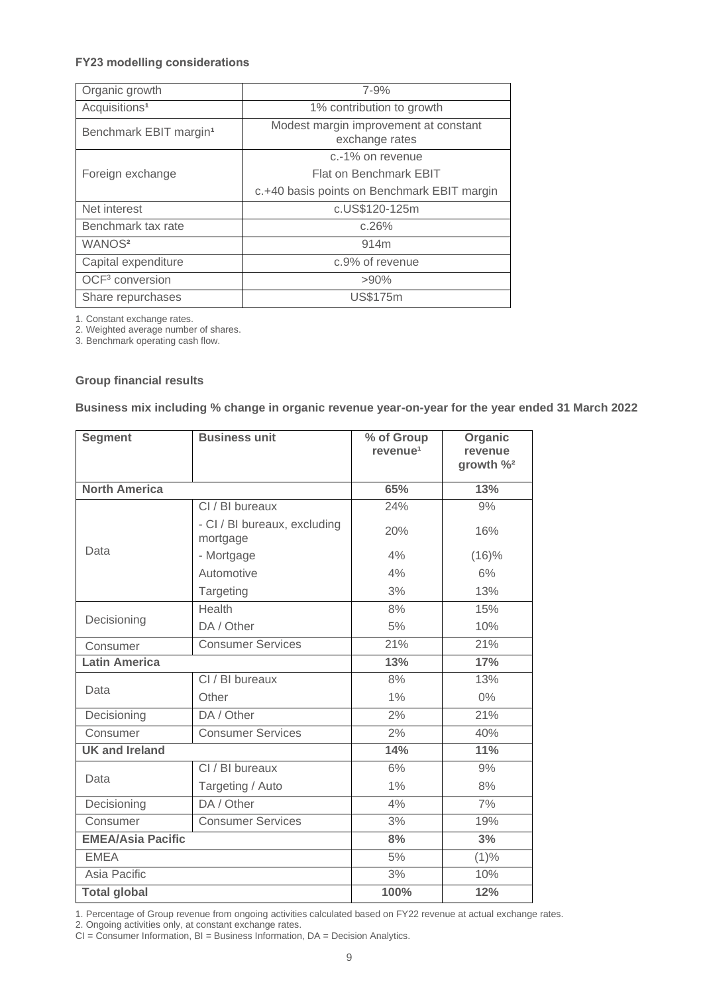## **FY23 modelling considerations**

| Organic growth                     | 7-9%                                                    |
|------------------------------------|---------------------------------------------------------|
| Acquisitions <sup>1</sup>          | 1% contribution to growth                               |
| Benchmark EBIT margin <sup>1</sup> | Modest margin improvement at constant<br>exchange rates |
|                                    | c.-1% on revenue                                        |
| Foreign exchange                   | Flat on Benchmark EBIT                                  |
|                                    | c.+40 basis points on Benchmark EBIT margin             |
| Net interest                       | c.US\$120-125m                                          |
| Benchmark tax rate                 | c.26%                                                   |
| WANOS <sup>2</sup>                 | 914m                                                    |
| Capital expenditure                | c.9% of revenue                                         |
| OCF <sup>3</sup> conversion        | $>90\%$                                                 |
| Share repurchases                  | <b>US\$175m</b>                                         |

1. Constant exchange rates.

2. Weighted average number of shares.

3. Benchmark operating cash flow.

#### **Group financial results**

#### **Business mix including % change in organic revenue year-on-year for the year ended 31 March 2022**

| <b>Segment</b>           | <b>Business unit</b>                     | % of Group<br>revenue <sup>1</sup> | Organic<br>revenue<br>growth $\frac{9}{2}$ |
|--------------------------|------------------------------------------|------------------------------------|--------------------------------------------|
| <b>North America</b>     |                                          | 65%                                | 13%                                        |
|                          | CI / BI bureaux                          | 24%                                | 9%                                         |
|                          | - CI / BI bureaux, excluding<br>mortgage | 20%                                | 16%                                        |
| Data                     | - Mortgage                               | 4%                                 | (16)%                                      |
|                          | Automotive                               | 4%                                 | 6%                                         |
|                          | Targeting                                | 3%                                 | 13%                                        |
|                          | Health                                   | 8%                                 | 15%                                        |
| Decisioning              | DA / Other                               | 5%                                 | 10%                                        |
| Consumer                 | <b>Consumer Services</b>                 | 21%                                | 21%                                        |
| <b>Latin America</b>     |                                          | 13%                                | 17%                                        |
|                          | CI / BI bureaux                          | 8%                                 | 13%                                        |
| Data                     | Other                                    | 1%                                 | $0\%$                                      |
| Decisioning              | DA / Other                               | 2%                                 | 21%                                        |
| Consumer                 | <b>Consumer Services</b>                 | 2%                                 | 40%                                        |
| <b>UK and Ireland</b>    |                                          | 14%                                | 11%                                        |
|                          | CI / BI bureaux                          | 6%                                 | 9%                                         |
| Data                     | Targeting / Auto                         | 1%                                 | 8%                                         |
| Decisioning              | DA / Other                               | 4%                                 | 7%                                         |
| Consumer                 | <b>Consumer Services</b>                 | 3%                                 | 19%                                        |
| <b>EMEA/Asia Pacific</b> |                                          | 8%                                 | 3%                                         |
| <b>EMEA</b>              |                                          | 5%                                 | (1)%                                       |
| Asia Pacific             |                                          | 3%                                 | 10%                                        |
| <b>Total global</b>      |                                          | 100%                               | 12%                                        |

1. Percentage of Group revenue from ongoing activities calculated based on FY22 revenue at actual exchange rates.

2. Ongoing activities only, at constant exchange rates.

CI = Consumer Information, BI = Business Information, DA = Decision Analytics.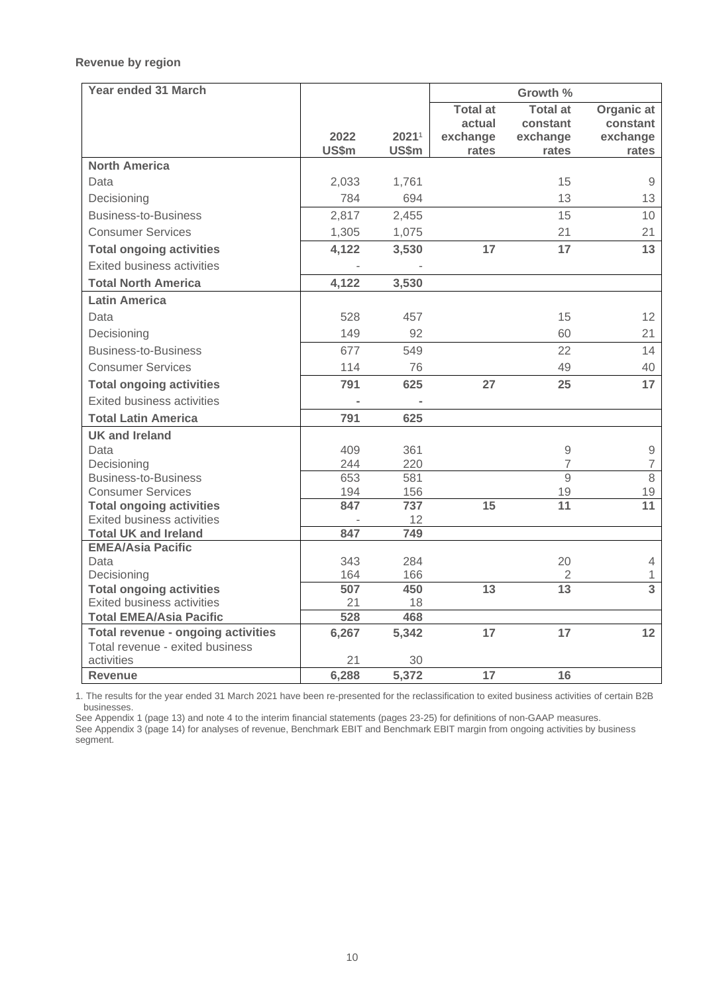## **Revenue by region**

| <b>Year ended 31 March</b>                |               |                |                   | Growth %          |                   |
|-------------------------------------------|---------------|----------------|-------------------|-------------------|-------------------|
|                                           |               |                | <b>Total at</b>   | <b>Total at</b>   | Organic at        |
|                                           |               |                | actual            | constant          | constant          |
|                                           | 2022<br>US\$m | 20211<br>US\$m | exchange<br>rates | exchange<br>rates | exchange<br>rates |
| <b>North America</b>                      |               |                |                   |                   |                   |
| Data                                      | 2,033         | 1,761          |                   | 15                | $\mathsf{9}$      |
| Decisioning                               | 784           | 694            |                   | 13                | 13                |
| <b>Business-to-Business</b>               | 2,817         | 2,455          |                   | 15                | 10                |
| <b>Consumer Services</b>                  | 1,305         | 1,075          |                   | 21                | 21                |
| <b>Total ongoing activities</b>           | 4,122         | 3,530          | 17                | 17                | 13                |
| <b>Exited business activities</b>         |               |                |                   |                   |                   |
| <b>Total North America</b>                | 4,122         | 3,530          |                   |                   |                   |
| <b>Latin America</b>                      |               |                |                   |                   |                   |
| Data                                      | 528           | 457            |                   | 15                | 12                |
| Decisioning                               | 149           | 92             |                   | 60                | 21                |
| <b>Business-to-Business</b>               | 677           | 549            |                   | 22                | 14                |
| <b>Consumer Services</b>                  | 114           | 76             |                   | 49                | 40                |
| <b>Total ongoing activities</b>           | 791           | 625            | 27                | 25                | 17                |
| <b>Exited business activities</b>         |               |                |                   |                   |                   |
| <b>Total Latin America</b>                | 791           | 625            |                   |                   |                   |
| <b>UK and Ireland</b>                     |               |                |                   |                   |                   |
| Data                                      | 409           | 361            |                   | $\mathcal{G}$     | $\mathsf{9}$      |
| Decisioning                               | 244           | 220            |                   | $\overline{7}$    | $\overline{7}$    |
| <b>Business-to-Business</b>               | 653           | 581            |                   | 9                 | 8                 |
| <b>Consumer Services</b>                  | 194           | 156            |                   | 19                | 19                |
| <b>Total ongoing activities</b>           | 847           | 737            | 15                | 11                | 11                |
| <b>Exited business activities</b>         |               | 12             |                   |                   |                   |
| <b>Total UK and Ireland</b>               | 847           | 749            |                   |                   |                   |
| <b>EMEA/Asia Pacific</b>                  |               |                |                   |                   |                   |
| Data                                      | 343           | 284            |                   | 20                | 4                 |
| Decisioning                               | 164           | 166            |                   | $\sqrt{2}$        | 1                 |
| <b>Total ongoing activities</b>           | 507           | 450            | 13                | 13                | $\overline{3}$    |
| <b>Exited business activities</b>         | 21            | 18             |                   |                   |                   |
| <b>Total EMEA/Asia Pacific</b>            | 528           | 468            |                   |                   |                   |
| <b>Total revenue - ongoing activities</b> | 6,267         | 5,342          | 17                | 17                | 12                |
| Total revenue - exited business           |               |                |                   |                   |                   |
| activities<br><b>Revenue</b>              | 21            | 30             | 17                | 16                |                   |
|                                           | 6,288         | 5,372          |                   |                   |                   |

1. The results for the year ended 31 March 2021 have been re-presented for the reclassification to exited business activities of certain B2B businesses.

See Appendix 1 (page 13) and note 4 to the interim financial statements (pages 23-25) for definitions of non-GAAP measures. See Appendix 3 (page 14) for analyses of revenue, Benchmark EBIT and Benchmark EBIT margin from ongoing activities by business segment.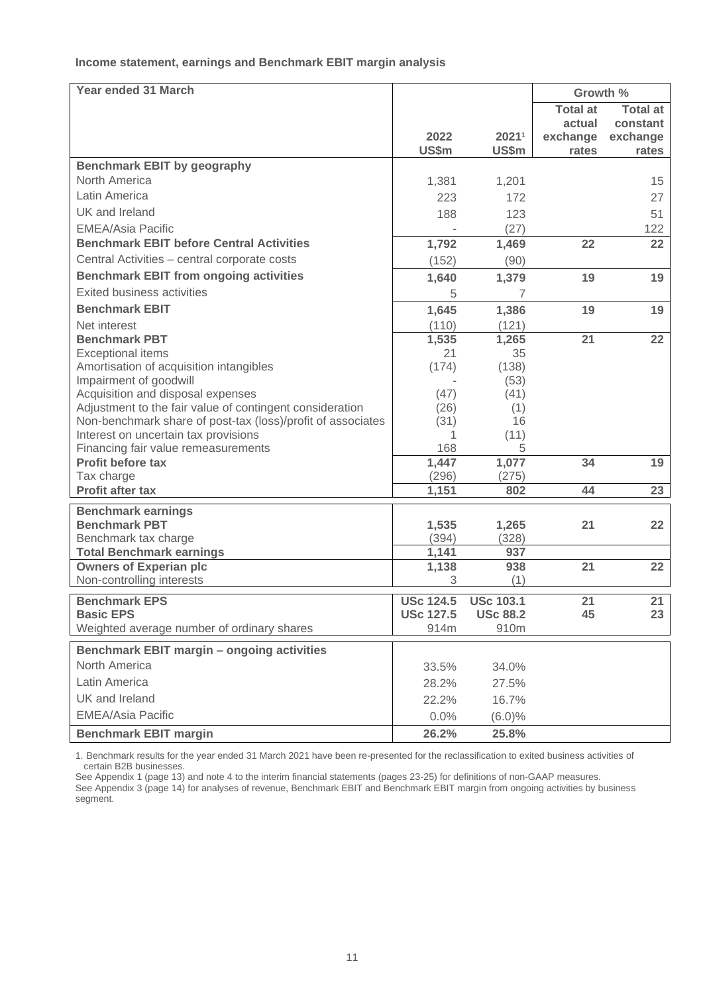## **Income statement, earnings and Benchmark EBIT margin analysis**

| Year ended 31 March                                                                                 |                  |                   | Growth %        |                 |
|-----------------------------------------------------------------------------------------------------|------------------|-------------------|-----------------|-----------------|
|                                                                                                     |                  |                   | <b>Total at</b> | <b>Total at</b> |
|                                                                                                     |                  |                   | actual          | constant        |
|                                                                                                     | 2022             | 2021 <sup>1</sup> | exchange        | exchange        |
|                                                                                                     | US\$m            | US\$m             | rates           | rates           |
| <b>Benchmark EBIT by geography</b><br>North America                                                 |                  |                   |                 |                 |
| Latin America                                                                                       | 1,381            | 1,201             |                 | 15              |
|                                                                                                     | 223              | 172               |                 | 27              |
| UK and Ireland                                                                                      | 188              | 123               |                 | 51              |
| <b>EMEA/Asia Pacific</b>                                                                            |                  | (27)              |                 | 122             |
| <b>Benchmark EBIT before Central Activities</b>                                                     | 1,792            | 1,469             | 22              | 22              |
| Central Activities - central corporate costs                                                        | (152)            | (90)              |                 |                 |
| <b>Benchmark EBIT from ongoing activities</b>                                                       | 1,640            | 1,379             | 19              | 19              |
| <b>Exited business activities</b>                                                                   | 5                | 7                 |                 |                 |
| <b>Benchmark EBIT</b>                                                                               | 1,645            | 1,386             | 19              | 19              |
| Net interest                                                                                        | (110)            | (121)             |                 |                 |
| <b>Benchmark PBT</b>                                                                                | 1,535            | 1,265             | 21              | 22              |
| <b>Exceptional items</b>                                                                            | 21               | 35                |                 |                 |
| Amortisation of acquisition intangibles                                                             | (174)            | (138)             |                 |                 |
| Impairment of goodwill                                                                              |                  | (53)              |                 |                 |
| Acquisition and disposal expenses                                                                   | (47)             | (41)              |                 |                 |
| Adjustment to the fair value of contingent consideration                                            | (26)             | (1)               |                 |                 |
| Non-benchmark share of post-tax (loss)/profit of associates<br>Interest on uncertain tax provisions | (31)<br>1        | 16<br>(11)        |                 |                 |
| Financing fair value remeasurements                                                                 | 168              | 5                 |                 |                 |
| <b>Profit before tax</b>                                                                            | 1,447            | 1,077             | 34              | 19              |
| Tax charge                                                                                          | (296)            | (275)             |                 |                 |
| <b>Profit after tax</b>                                                                             | 1,151            | 802               | 44              | 23              |
| <b>Benchmark earnings</b>                                                                           |                  |                   |                 |                 |
| <b>Benchmark PBT</b>                                                                                | 1,535            | 1,265             | 21              | 22              |
| Benchmark tax charge                                                                                | (394)            | (328)             |                 |                 |
| <b>Total Benchmark earnings</b>                                                                     | 1,141            | 937               |                 |                 |
| <b>Owners of Experian plc</b>                                                                       | 1,138            | 938               | 21              | 22              |
| Non-controlling interests                                                                           | 3                | (1)               |                 |                 |
| <b>Benchmark EPS</b>                                                                                | <b>USc 124.5</b> | <b>USc 103.1</b>  | 21              | 21              |
| <b>Basic EPS</b>                                                                                    | <b>USc 127.5</b> | <b>USc 88.2</b>   | 45              | 23              |
| Weighted average number of ordinary shares                                                          | 914m             | 910m              |                 |                 |
| Benchmark EBIT margin - ongoing activities                                                          |                  |                   |                 |                 |
| North America                                                                                       |                  |                   |                 |                 |
|                                                                                                     | 33.5%            | 34.0%             |                 |                 |
| Latin America                                                                                       | 28.2%            | 27.5%             |                 |                 |
| UK and Ireland                                                                                      | 22.2%            | 16.7%             |                 |                 |
| <b>EMEA/Asia Pacific</b>                                                                            | 0.0%             | $(6.0)\%$         |                 |                 |
| <b>Benchmark EBIT margin</b>                                                                        | 26.2%            | 25.8%             |                 |                 |

1. Benchmark results for the year ended 31 March 2021 have been re-presented for the reclassification to exited business activities of certain B2B businesses.

See Appendix 1 (page 13) and note 4 to the interim financial statements (pages 23-25) for definitions of non-GAAP measures.

See Appendix 3 (page 14) for analyses of revenue, Benchmark EBIT and Benchmark EBIT margin from ongoing activities by business segment.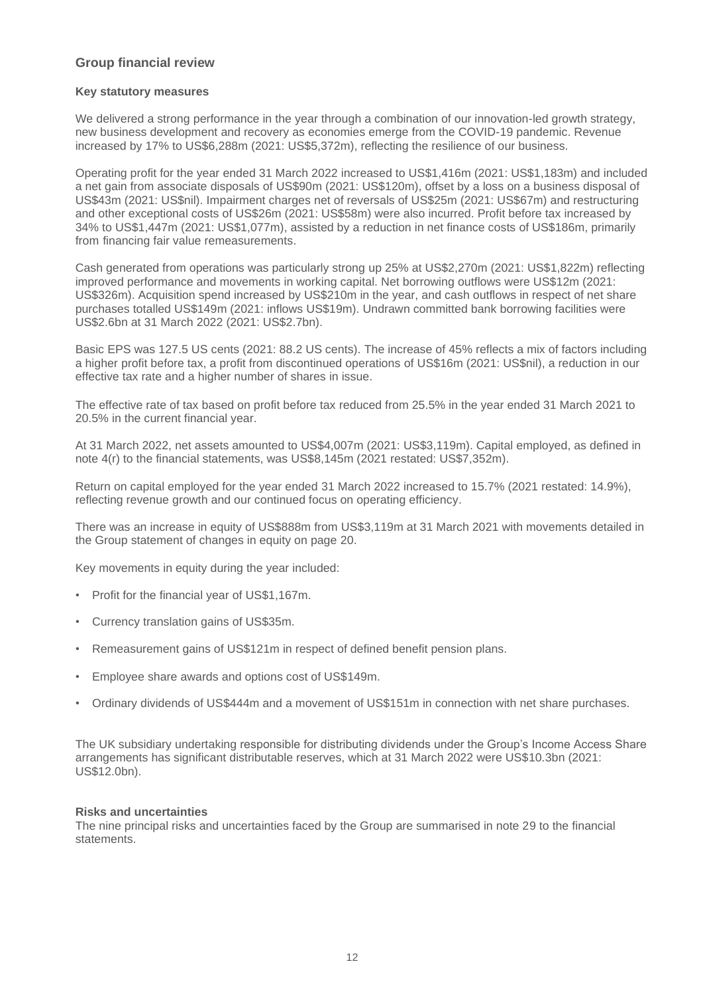## **Group financial review**

#### **Key statutory measures**

We delivered a strong performance in the year through a combination of our innovation-led growth strategy, new business development and recovery as economies emerge from the COVID-19 pandemic. Revenue increased by 17% to US\$6,288m (2021: US\$5,372m), reflecting the resilience of our business.

Operating profit for the year ended 31 March 2022 increased to US\$1,416m (2021: US\$1,183m) and included a net gain from associate disposals of US\$90m (2021: US\$120m), offset by a loss on a business disposal of US\$43m (2021: US\$nil). Impairment charges net of reversals of US\$25m (2021: US\$67m) and restructuring and other exceptional costs of US\$26m (2021: US\$58m) were also incurred. Profit before tax increased by 34% to US\$1,447m (2021: US\$1,077m), assisted by a reduction in net finance costs of US\$186m, primarily from financing fair value remeasurements.

Cash generated from operations was particularly strong up 25% at US\$2,270m (2021: US\$1,822m) reflecting improved performance and movements in working capital. Net borrowing outflows were US\$12m (2021: US\$326m). Acquisition spend increased by US\$210m in the year, and cash outflows in respect of net share purchases totalled US\$149m (2021: inflows US\$19m). Undrawn committed bank borrowing facilities were US\$2.6bn at 31 March 2022 (2021: US\$2.7bn).

Basic EPS was 127.5 US cents (2021: 88.2 US cents). The increase of 45% reflects a mix of factors including a higher profit before tax, a profit from discontinued operations of US\$16m (2021: US\$nil), a reduction in our effective tax rate and a higher number of shares in issue.

The effective rate of tax based on profit before tax reduced from 25.5% in the year ended 31 March 2021 to 20.5% in the current financial year.

At 31 March 2022, net assets amounted to US\$4,007m (2021: US\$3,119m). Capital employed, as defined in note 4(r) to the financial statements, was US\$8,145m (2021 restated: US\$7,352m).

Return on capital employed for the year ended 31 March 2022 increased to 15.7% (2021 restated: 14.9%), reflecting revenue growth and our continued focus on operating efficiency.

There was an increase in equity of US\$888m from US\$3,119m at 31 March 2021 with movements detailed in the Group statement of changes in equity on page 20.

Key movements in equity during the year included:

- Profit for the financial year of US\$1,167m.
- Currency translation gains of US\$35m.
- Remeasurement gains of US\$121m in respect of defined benefit pension plans.
- Employee share awards and options cost of US\$149m.
- Ordinary dividends of US\$444m and a movement of US\$151m in connection with net share purchases.

The UK subsidiary undertaking responsible for distributing dividends under the Group's Income Access Share arrangements has significant distributable reserves, which at 31 March 2022 were US\$10.3bn (2021: US\$12.0bn).

#### **Risks and uncertainties**

The nine principal risks and uncertainties faced by the Group are summarised in note 29 to the financial **statements**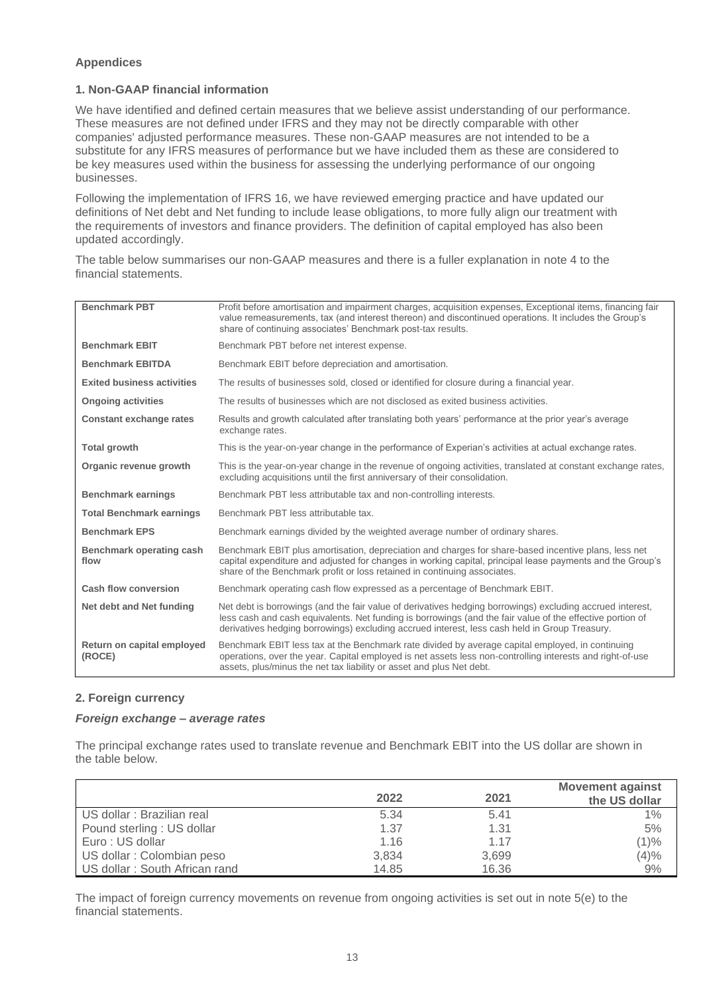### **Appendices**

## **1. Non-GAAP financial information**

We have identified and defined certain measures that we believe assist understanding of our performance. These measures are not defined under IFRS and they may not be directly comparable with other companies' adjusted performance measures. These non-GAAP measures are not intended to be a substitute for any IFRS measures of performance but we have included them as these are considered to be key measures used within the business for assessing the underlying performance of our ongoing businesses.

Following the implementation of IFRS 16, we have reviewed emerging practice and have updated our definitions of Net debt and Net funding to include lease obligations, to more fully align our treatment with the requirements of investors and finance providers. The definition of capital employed has also been updated accordingly.

The table below summarises our non-GAAP measures and there is a fuller explanation in note 4 to the financial statements.

| <b>Benchmark PBT</b>                 | Profit before amortisation and impairment charges, acquisition expenses, Exceptional items, financing fair<br>value remeasurements, tax (and interest thereon) and discontinued operations. It includes the Group's<br>share of continuing associates' Benchmark post-tax results.                                      |
|--------------------------------------|-------------------------------------------------------------------------------------------------------------------------------------------------------------------------------------------------------------------------------------------------------------------------------------------------------------------------|
| <b>Benchmark EBIT</b>                | Benchmark PBT before net interest expense.                                                                                                                                                                                                                                                                              |
| <b>Benchmark EBITDA</b>              | Benchmark EBIT before depreciation and amortisation.                                                                                                                                                                                                                                                                    |
| <b>Exited business activities</b>    | The results of businesses sold, closed or identified for closure during a financial year.                                                                                                                                                                                                                               |
| <b>Ongoing activities</b>            | The results of businesses which are not disclosed as exited business activities.                                                                                                                                                                                                                                        |
| <b>Constant exchange rates</b>       | Results and growth calculated after translating both years' performance at the prior year's average<br>exchange rates.                                                                                                                                                                                                  |
| <b>Total growth</b>                  | This is the year-on-year change in the performance of Experian's activities at actual exchange rates.                                                                                                                                                                                                                   |
| Organic revenue growth               | This is the year-on-year change in the revenue of ongoing activities, translated at constant exchange rates,<br>excluding acquisitions until the first anniversary of their consolidation.                                                                                                                              |
| <b>Benchmark earnings</b>            | Benchmark PBT less attributable tax and non-controlling interests.                                                                                                                                                                                                                                                      |
| <b>Total Benchmark earnings</b>      | Benchmark PBT less attributable tax.                                                                                                                                                                                                                                                                                    |
| <b>Benchmark EPS</b>                 | Benchmark earnings divided by the weighted average number of ordinary shares.                                                                                                                                                                                                                                           |
| Benchmark operating cash<br>flow     | Benchmark EBIT plus amortisation, depreciation and charges for share-based incentive plans, less net<br>capital expenditure and adjusted for changes in working capital, principal lease payments and the Group's<br>share of the Benchmark profit or loss retained in continuing associates.                           |
| <b>Cash flow conversion</b>          | Benchmark operating cash flow expressed as a percentage of Benchmark EBIT.                                                                                                                                                                                                                                              |
| Net debt and Net funding             | Net debt is borrowings (and the fair value of derivatives hedging borrowings) excluding accrued interest,<br>less cash and cash equivalents. Net funding is borrowings (and the fair value of the effective portion of<br>derivatives hedging borrowings) excluding accrued interest, less cash held in Group Treasury. |
| Return on capital employed<br>(ROCE) | Benchmark EBIT less tax at the Benchmark rate divided by average capital employed, in continuing<br>operations, over the year. Capital employed is net assets less non-controlling interests and right-of-use<br>assets, plus/minus the net tax liability or asset and plus Net debt.                                   |

## **2. Foreign currency**

### *Foreign exchange – average rates*

The principal exchange rates used to translate revenue and Benchmark EBIT into the US dollar are shown in the table below.

|                               | 2022  | 2021  | <b>Movement against</b><br>the US dollar |
|-------------------------------|-------|-------|------------------------------------------|
| US dollar : Brazilian real    | 5.34  | 5.41  | 1%                                       |
| Pound sterling: US dollar     | 1.37  | 1.31  | 5%                                       |
| Euro : US dollar              | 1.16  | 1.17  | (1)%                                     |
| US dollar: Colombian peso     | 3,834 | 3,699 | (4)%                                     |
| US dollar: South African rand | 14.85 | 16.36 | 9%                                       |

The impact of foreign currency movements on revenue from ongoing activities is set out in note 5(e) to the financial statements.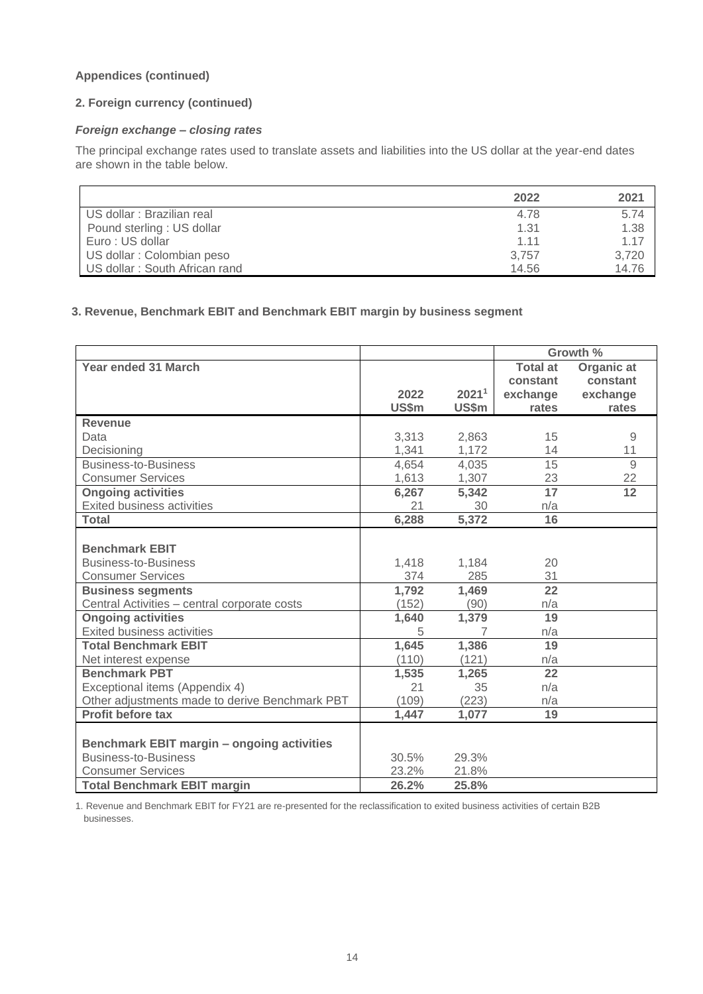## **Appendices (continued)**

## **2. Foreign currency (continued)**

## *Foreign exchange – closing rates*

The principal exchange rates used to translate assets and liabilities into the US dollar at the year-end dates are shown in the table below.

|                               | 2022  | 2021  |
|-------------------------------|-------|-------|
| US dollar : Brazilian real    | 4.78  | 5.74  |
| Pound sterling: US dollar     | 1.31  | 1.38  |
| Euro: US dollar               | 1.11  | 1.17  |
| US dollar : Colombian peso    | 3,757 | 3,720 |
| US dollar: South African rand | 14.56 | 14.76 |

## **3. Revenue, Benchmark EBIT and Benchmark EBIT margin by business segment**

|                                                |       |                   | Growth %        |                |
|------------------------------------------------|-------|-------------------|-----------------|----------------|
| <b>Year ended 31 March</b>                     |       |                   | <b>Total at</b> | Organic at     |
|                                                |       |                   | constant        | constant       |
|                                                | 2022  | 2021 <sup>1</sup> | exchange        | exchange       |
|                                                | US\$m | US\$m             | rates           | rates          |
| <b>Revenue</b>                                 |       |                   |                 |                |
| Data                                           | 3,313 | 2,863             | 15              | 9              |
| Decisioning                                    | 1,341 | 1,172             | 14              | 11             |
| <b>Business-to-Business</b>                    | 4,654 | 4,035             | 15              | $\overline{9}$ |
| <b>Consumer Services</b>                       | 1,613 | 1,307             | 23              | 22             |
| <b>Ongoing activities</b>                      | 6,267 | 5,342             | $\overline{17}$ | 12             |
| <b>Exited business activities</b>              | 21    | 30                | n/a             |                |
| <b>Total</b>                                   | 6,288 | 5,372             | 16              |                |
|                                                |       |                   |                 |                |
| <b>Benchmark EBIT</b>                          |       |                   |                 |                |
| <b>Business-to-Business</b>                    | 1,418 | 1,184             | 20              |                |
| <b>Consumer Services</b>                       | 374   | 285               | 31              |                |
| <b>Business segments</b>                       | 1,792 | 1,469             | $\overline{22}$ |                |
| Central Activities - central corporate costs   | (152) | (90)              | n/a             |                |
| <b>Ongoing activities</b>                      | 1,640 | 1,379             | 19              |                |
| Exited business activities                     | 5     | 7                 | n/a             |                |
| <b>Total Benchmark EBIT</b>                    | 1,645 | 1,386             | 19              |                |
| Net interest expense                           | (110) | (121)             | n/a             |                |
| <b>Benchmark PBT</b>                           | 1,535 | 1,265             | 22              |                |
| Exceptional items (Appendix 4)                 | 21    | 35                | n/a             |                |
| Other adjustments made to derive Benchmark PBT | (109) | (223)             | n/a             |                |
| Profit before tax                              | 1,447 | 1,077             | 19              |                |
|                                                |       |                   |                 |                |
| Benchmark EBIT margin - ongoing activities     |       |                   |                 |                |
| <b>Business-to-Business</b>                    | 30.5% | 29.3%             |                 |                |
| <b>Consumer Services</b>                       | 23.2% | 21.8%             |                 |                |
| <b>Total Benchmark EBIT margin</b>             | 26.2% | 25.8%             |                 |                |

1. Revenue and Benchmark EBIT for FY21 are re-presented for the reclassification to exited business activities of certain B2B businesses.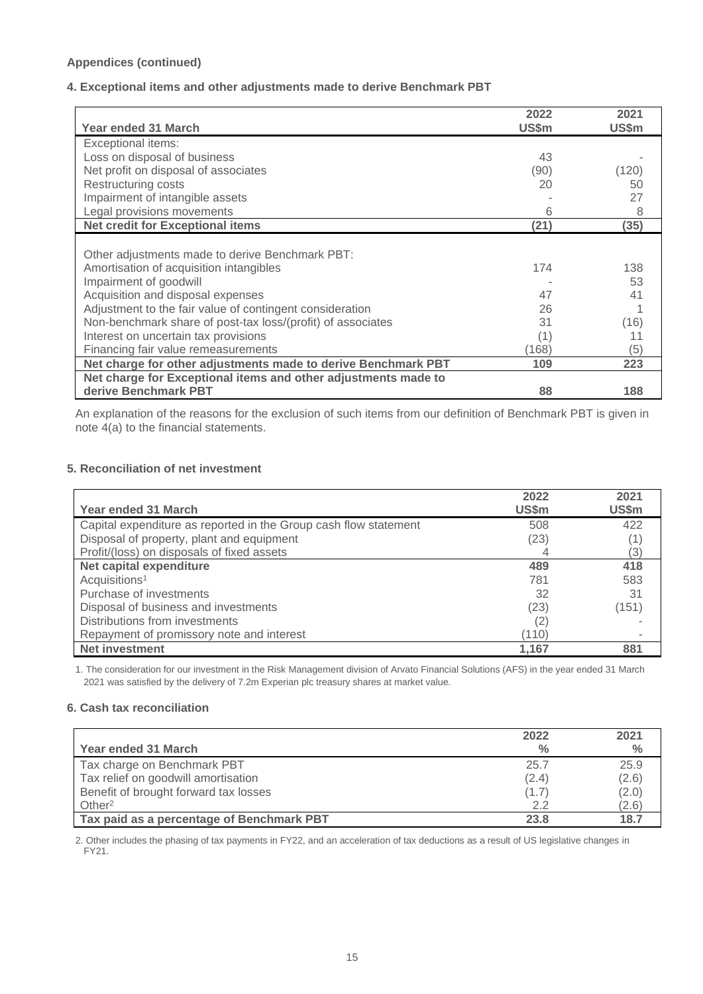## **Appendices (continued)**

## **4. Exceptional items and other adjustments made to derive Benchmark PBT**

|                                                                | 2022  | 2021  |
|----------------------------------------------------------------|-------|-------|
| Year ended 31 March                                            | US\$m | US\$m |
| Exceptional items:                                             |       |       |
| Loss on disposal of business                                   | 43    |       |
| Net profit on disposal of associates                           | (90)  | (120) |
| Restructuring costs                                            | 20    | 50    |
| Impairment of intangible assets                                |       | 27    |
| Legal provisions movements                                     | 6     | 8     |
| <b>Net credit for Exceptional items</b>                        | (21)  | (35)  |
|                                                                |       |       |
| Other adjustments made to derive Benchmark PBT:                |       |       |
| Amortisation of acquisition intangibles                        | 174   | 138   |
| Impairment of goodwill                                         |       | 53    |
| Acquisition and disposal expenses                              | 47    | 41    |
| Adjustment to the fair value of contingent consideration       | 26    |       |
| Non-benchmark share of post-tax loss/(profit) of associates    | 31    | (16)  |
| Interest on uncertain tax provisions                           | (1)   | 11    |
| Financing fair value remeasurements                            | (168) | 5)    |
| Net charge for other adjustments made to derive Benchmark PBT  | 109   | 223   |
| Net charge for Exceptional items and other adjustments made to |       |       |
| derive Benchmark PBT                                           | 88    | 188   |

An explanation of the reasons for the exclusion of such items from our definition of Benchmark PBT is given in note 4(a) to the financial statements.

### **5. Reconciliation of net investment**

| <b>Year ended 31 March</b>                                       | 2022<br>US\$m | 2021<br>US\$m |
|------------------------------------------------------------------|---------------|---------------|
| Capital expenditure as reported in the Group cash flow statement | 508           | 422           |
| Disposal of property, plant and equipment                        | (23)          |               |
| Profit/(loss) on disposals of fixed assets                       |               | [3]           |
| Net capital expenditure                                          | 489           | 418           |
| Acquisitions <sup>1</sup>                                        | 781           | 583           |
| Purchase of investments                                          | 32            | 31            |
| Disposal of business and investments                             | (23)          | (151)         |
| Distributions from investments                                   | (2)           |               |
| Repayment of promissory note and interest                        | (110)         |               |
| <b>Net investment</b>                                            | 1,167         | 881           |

1. The consideration for our investment in the Risk Management division of Arvato Financial Solutions (AFS) in the year ended 31 March 2021 was satisfied by the delivery of 7.2m Experian plc treasury shares at market value.

## **6. Cash tax reconciliation**

|                                           | 2022          | 2021  |
|-------------------------------------------|---------------|-------|
| Year ended 31 March                       | $\frac{0}{0}$ | $\%$  |
| Tax charge on Benchmark PBT               | 25.7          | 25.9  |
| Tax relief on goodwill amortisation       | (2.4)         | (2.6) |
| Benefit of brought forward tax losses     | (1.7)         | (2.0) |
| Other <sup>2</sup>                        | 2.2           | (2.6) |
| Tax paid as a percentage of Benchmark PBT | 23.8          | 18.7  |

2. Other includes the phasing of tax payments in FY22, and an acceleration of tax deductions as a result of US legislative changes in FY21.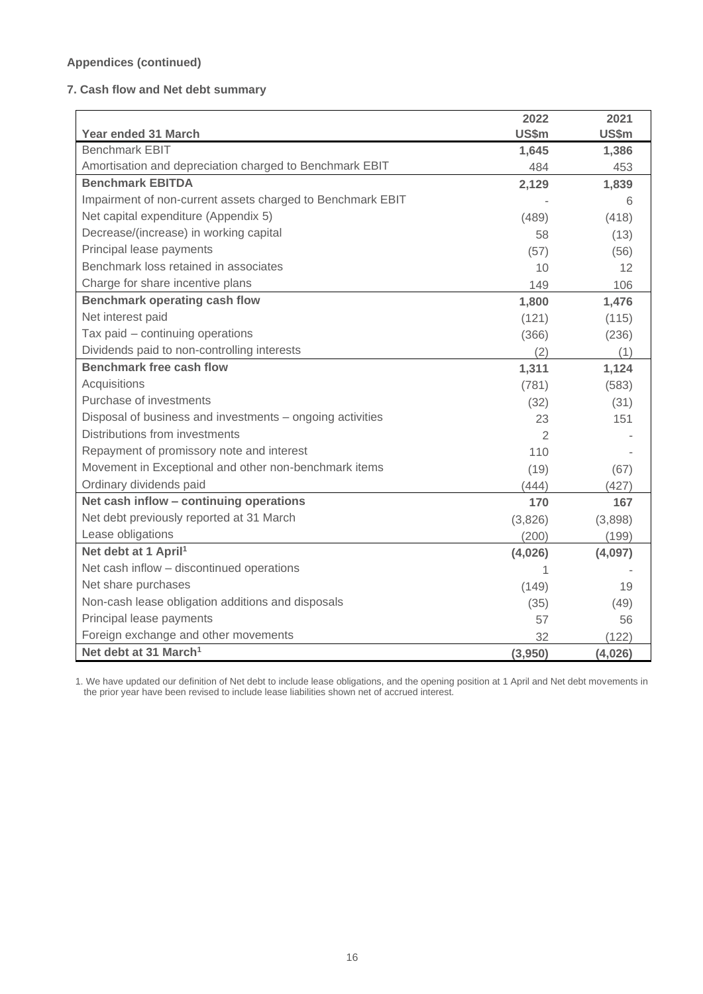## **Appendices (continued)**

## **7. Cash flow and Net debt summary**

|                                                            | 2022           | 2021    |
|------------------------------------------------------------|----------------|---------|
| Year ended 31 March                                        | US\$m          | US\$m   |
| <b>Benchmark EBIT</b>                                      | 1,645          | 1,386   |
| Amortisation and depreciation charged to Benchmark EBIT    | 484            | 453     |
| <b>Benchmark EBITDA</b>                                    | 2,129          | 1,839   |
| Impairment of non-current assets charged to Benchmark EBIT |                | 6       |
| Net capital expenditure (Appendix 5)                       | (489)          | (418)   |
| Decrease/(increase) in working capital                     | 58             | (13)    |
| Principal lease payments                                   | (57)           | (56)    |
| Benchmark loss retained in associates                      | 10             | 12      |
| Charge for share incentive plans                           | 149            | 106     |
| Benchmark operating cash flow                              | 1,800          | 1,476   |
| Net interest paid                                          | (121)          | (115)   |
| Tax paid - continuing operations                           | (366)          | (236)   |
| Dividends paid to non-controlling interests                | (2)            | (1)     |
| <b>Benchmark free cash flow</b>                            | 1,311          | 1,124   |
| Acquisitions                                               | (781)          | (583)   |
| Purchase of investments                                    | (32)           | (31)    |
| Disposal of business and investments - ongoing activities  | 23             | 151     |
| Distributions from investments                             | $\overline{2}$ |         |
| Repayment of promissory note and interest                  | 110            |         |
| Movement in Exceptional and other non-benchmark items      | (19)           | (67)    |
| Ordinary dividends paid                                    | (444)          | (427)   |
| Net cash inflow - continuing operations                    | 170            | 167     |
| Net debt previously reported at 31 March                   | (3,826)        | (3,898) |
| Lease obligations                                          | (200)          | (199)   |
| Net debt at 1 April <sup>1</sup>                           | (4,026)        | (4,097) |
| Net cash inflow - discontinued operations                  |                |         |
| Net share purchases                                        | (149)          | 19      |
| Non-cash lease obligation additions and disposals          | (35)           | (49)    |
| Principal lease payments                                   | 57             | 56      |
| Foreign exchange and other movements                       | 32             | (122)   |
| Net debt at 31 March <sup>1</sup>                          | (3,950)        | (4,026) |

1. We have updated our definition of Net debt to include lease obligations, and the opening position at 1 April and Net debt movements in the prior year have been revised to include lease liabilities shown net of accrued interest.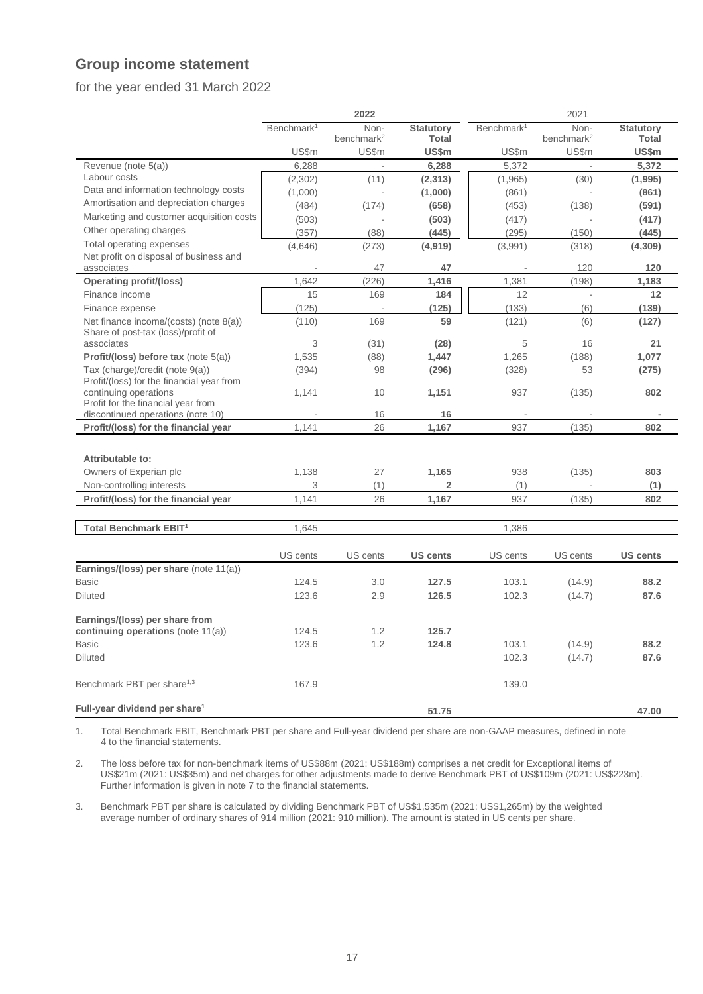## **Group income statement**

## for the year ended 31 March 2022

|                                                                              |                        | 2022                     |                  |                        | 2021                   |                  |
|------------------------------------------------------------------------------|------------------------|--------------------------|------------------|------------------------|------------------------|------------------|
|                                                                              | Benchmark <sup>1</sup> | Non-                     | <b>Statutory</b> | Benchmark <sup>1</sup> | Non-                   | <b>Statutory</b> |
|                                                                              |                        | benchmark <sup>2</sup>   | <b>Total</b>     |                        | benchmark <sup>2</sup> | <b>Total</b>     |
|                                                                              | US\$m                  | US\$m                    | US\$m            | US\$m                  | US\$m                  | US\$m            |
| Revenue (note 5(a))                                                          | 6,288                  | $\mathcal{L}$            | 6,288            | 5,372                  | $\sim$                 | 5,372            |
| Labour costs                                                                 | (2,302)                | (11)                     | (2,313)          | (1, 965)               | (30)                   | (1,995)          |
| Data and information technology costs                                        | (1,000)                | $\overline{\phantom{a}}$ | (1,000)          | (861)                  |                        | (861)            |
| Amortisation and depreciation charges                                        | (484)                  | (174)                    | (658)            | (453)                  | (138)                  | (591)            |
| Marketing and customer acquisition costs                                     | (503)                  |                          | (503)            | (417)                  |                        | (417)            |
| Other operating charges                                                      | (357)                  | (88)                     | (445)            | (295)                  | (150)                  | (445)            |
| Total operating expenses                                                     | (4,646)                | (273)                    | (4,919)          | (3,991)                | (318)                  | (4, 309)         |
| Net profit on disposal of business and                                       |                        |                          |                  |                        |                        |                  |
| associates                                                                   |                        | 47                       | 47               |                        | 120                    | 120              |
| <b>Operating profit/(loss)</b>                                               | 1,642                  | (226)                    | 1,416            | 1,381                  | (198)                  | 1,183            |
| Finance income                                                               | 15                     | 169                      | 184              | 12                     |                        | 12               |
| Finance expense                                                              | (125)                  | L.                       | (125)            | (133)                  | (6)                    | (139)            |
| Net finance income/(costs) (note 8(a))<br>Share of post-tax (loss)/profit of | (110)                  | 169                      | 59               | (121)                  | (6)                    | (127)            |
| associates                                                                   | 3                      | (31)                     | (28)             | 5                      | 16                     | 21               |
| Profit/(loss) before tax (note 5(a))                                         | 1,535                  | (88)                     | 1,447            | 1,265                  | (188)                  | 1,077            |
| Tax (charge)/credit (note 9(a))                                              | (394)                  | 98                       | (296)            | (328)                  | 53                     | (275)            |
| Profit/(loss) for the financial year from                                    |                        |                          |                  |                        |                        |                  |
| continuing operations<br>Profit for the financial year from                  | 1.141                  | 10                       | 1,151            | 937                    | (135)                  | 802              |
| discontinued operations (note 10)                                            |                        | 16                       | 16               |                        |                        |                  |
| Profit/(loss) for the financial year                                         | 1,141                  | 26                       | 1,167            | 937                    | (135)                  | 802              |
|                                                                              |                        |                          |                  |                        |                        |                  |
| Attributable to:                                                             |                        |                          |                  |                        |                        |                  |
| Owners of Experian plc                                                       | 1.138                  | 27                       | 1.165            | 938                    |                        | 803              |
|                                                                              | 3                      |                          | $\overline{2}$   |                        | (135)                  |                  |
| Non-controlling interests                                                    |                        | (1)                      |                  | (1)                    |                        | (1)              |
| Profit/(loss) for the financial year                                         | 1,141                  | 26                       | 1,167            | 937                    | (135)                  | 802              |
| Total Benchmark EBIT <sup>1</sup>                                            | 1,645                  |                          |                  | 1,386                  |                        |                  |
|                                                                              |                        |                          |                  |                        |                        |                  |
|                                                                              | US cents               | US cents                 | <b>US cents</b>  | US cents               | US cents               | <b>US cents</b>  |
| Earnings/(loss) per share (note 11(a))                                       |                        |                          |                  |                        |                        |                  |
| <b>Basic</b>                                                                 | 124.5                  | 3.0                      | 127.5            | 103.1                  | (14.9)                 | 88.2             |
| <b>Diluted</b>                                                               | 123.6                  | 2.9                      | 126.5            | 102.3                  | (14.7)                 | 87.6             |
|                                                                              |                        |                          |                  |                        |                        |                  |
| Earnings/(loss) per share from                                               |                        |                          |                  |                        |                        |                  |
| continuing operations (note 11(a))                                           | 124.5                  | 1.2                      | 125.7            |                        |                        |                  |
| <b>Basic</b>                                                                 | 123.6                  | 1.2                      | 124.8            | 103.1                  | (14.9)                 | 88.2             |
| <b>Diluted</b>                                                               |                        |                          |                  | 102.3                  | (14.7)                 | 87.6             |
| Benchmark PBT per share <sup>1,3</sup>                                       | 167.9                  |                          |                  | 139.0                  |                        |                  |
| Full-year dividend per share <sup>1</sup>                                    |                        |                          | 51.75            |                        |                        | 47.00            |

1. Total Benchmark EBIT, Benchmark PBT per share and Full-year dividend per share are non-GAAP measures, defined in note 4 to the financial statements.

2. The loss before tax for non-benchmark items of US\$88m (2021: US\$188m) comprises a net credit for Exceptional items of US\$21m (2021: US\$35m) and net charges for other adjustments made to derive Benchmark PBT of US\$109m (2021: US\$223m). Further information is given in note 7 to the financial statements.

3. Benchmark PBT per share is calculated by dividing Benchmark PBT of US\$1,535m (2021: US\$1,265m) by the weighted average number of ordinary shares of 914 million (2021: 910 million). The amount is stated in US cents per share.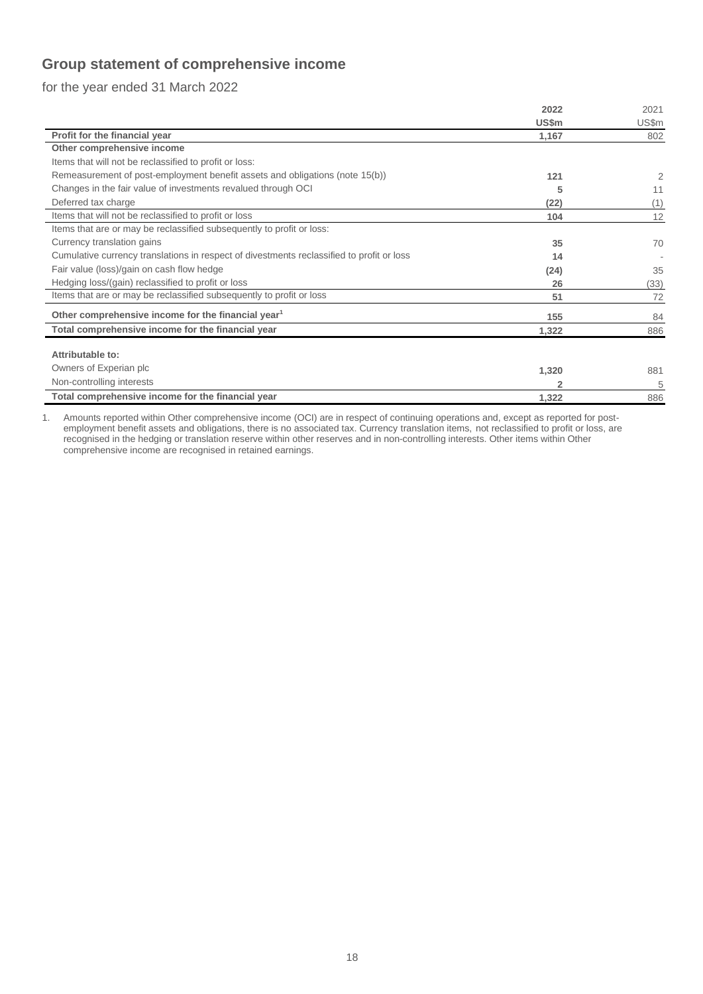## **Group statement of comprehensive income**

for the year ended 31 March 2022

|                                                                                           | 2022  | 2021  |
|-------------------------------------------------------------------------------------------|-------|-------|
|                                                                                           | US\$m | US\$m |
| Profit for the financial year                                                             | 1,167 | 802   |
| Other comprehensive income                                                                |       |       |
| Items that will not be reclassified to profit or loss:                                    |       |       |
| Remeasurement of post-employment benefit assets and obligations (note 15(b))              | 121   | 2     |
| Changes in the fair value of investments revalued through OCI                             | 5     | 11    |
| Deferred tax charge                                                                       | (22)  | (1)   |
| Items that will not be reclassified to profit or loss                                     | 104   | 12    |
| Items that are or may be reclassified subsequently to profit or loss:                     |       |       |
| Currency translation gains                                                                | 35    | 70    |
| Cumulative currency translations in respect of divestments reclassified to profit or loss | 14    |       |
| Fair value (loss)/gain on cash flow hedge                                                 | (24)  | 35    |
| Hedging loss/(gain) reclassified to profit or loss                                        | 26    | (33)  |
| Items that are or may be reclassified subsequently to profit or loss                      | 51    | 72    |
| Other comprehensive income for the financial year <sup>1</sup>                            | 155   | 84    |
| Total comprehensive income for the financial year                                         | 1,322 | 886   |
|                                                                                           |       |       |
| Attributable to:                                                                          |       |       |
| Owners of Experian plc                                                                    | 1,320 | 881   |
| Non-controlling interests                                                                 | 2     | 5     |
| Total comprehensive income for the financial year                                         | 1,322 | 886   |

1. Amounts reported within Other comprehensive income (OCI) are in respect of continuing operations and, except as reported for postemployment benefit assets and obligations, there is no associated tax. Currency translation items, not reclassified to profit or loss, are recognised in the hedging or translation reserve within other reserves and in non-controlling interests. Other items within Other comprehensive income are recognised in retained earnings.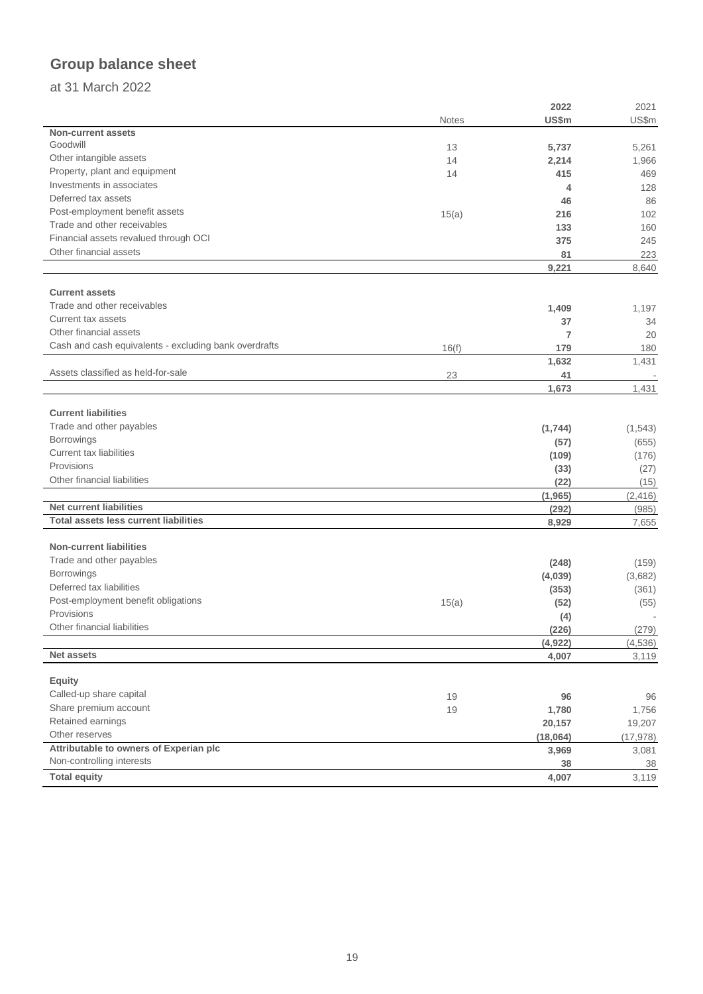# **Group balance sheet**

## at 31 March 2022

|                                                       |       | 2022     | 2021      |
|-------------------------------------------------------|-------|----------|-----------|
|                                                       | Notes | US\$m    | US\$m     |
| <b>Non-current assets</b>                             |       |          |           |
| Goodwill                                              | 13    | 5,737    | 5,261     |
| Other intangible assets                               | 14    | 2,214    | 1,966     |
| Property, plant and equipment                         | 14    | 415      | 469       |
| Investments in associates                             |       | 4        | 128       |
| Deferred tax assets                                   |       | 46       | 86        |
| Post-employment benefit assets                        | 15(a) | 216      | 102       |
| Trade and other receivables                           |       | 133      | 160       |
| Financial assets revalued through OCI                 |       | 375      | 245       |
| Other financial assets                                |       | 81       | 223       |
|                                                       |       | 9,221    | 8,640     |
|                                                       |       |          |           |
| <b>Current assets</b>                                 |       |          |           |
| Trade and other receivables                           |       | 1,409    | 1,197     |
| Current tax assets                                    |       | 37       | 34        |
| Other financial assets                                |       | 7        | 20        |
| Cash and cash equivalents - excluding bank overdrafts | 16(f) | 179      | 180       |
|                                                       |       | 1,632    | 1,431     |
| Assets classified as held-for-sale                    | 23    | 41       |           |
|                                                       |       | 1,673    | 1,431     |
|                                                       |       |          |           |
| <b>Current liabilities</b>                            |       |          |           |
| Trade and other payables                              |       | (1,744)  | (1, 543)  |
| <b>Borrowings</b>                                     |       | (57)     | (655)     |
| Current tax liabilities                               |       | (109)    | (176)     |
| Provisions                                            |       | (33)     | (27)      |
| Other financial liabilities                           |       | (22)     | (15)      |
|                                                       |       |          |           |
| <b>Net current liabilities</b>                        |       | (1, 965) | (2, 416)  |
| <b>Total assets less current liabilities</b>          |       | (292)    | (985)     |
|                                                       |       | 8,929    | 7,655     |
| <b>Non-current liabilities</b>                        |       |          |           |
| Trade and other payables                              |       |          |           |
| <b>Borrowings</b>                                     |       | (248)    | (159)     |
| Deferred tax liabilities                              |       | (4,039)  | (3,682)   |
| Post-employment benefit obligations                   |       | (353)    | (361)     |
| Provisions                                            | 15(a) | (52)     | (55)      |
| Other financial liabilities                           |       | (4)      |           |
|                                                       |       | (226)    | (279)     |
| <b>Net assets</b>                                     |       | (4,922)  | (4, 536)  |
|                                                       |       | 4,007    | 3,119     |
| <b>Equity</b>                                         |       |          |           |
| Called-up share capital                               |       |          |           |
| Share premium account                                 | 19    | 96       | 96        |
| Retained earnings                                     | 19    | 1,780    | 1,756     |
| Other reserves                                        |       | 20,157   | 19,207    |
|                                                       |       | (18,064) | (17, 978) |
| Attributable to owners of Experian plc                |       | 3,969    | 3,081     |
| Non-controlling interests                             |       | 38       | 38        |
| <b>Total equity</b>                                   |       | 4,007    | 3,119     |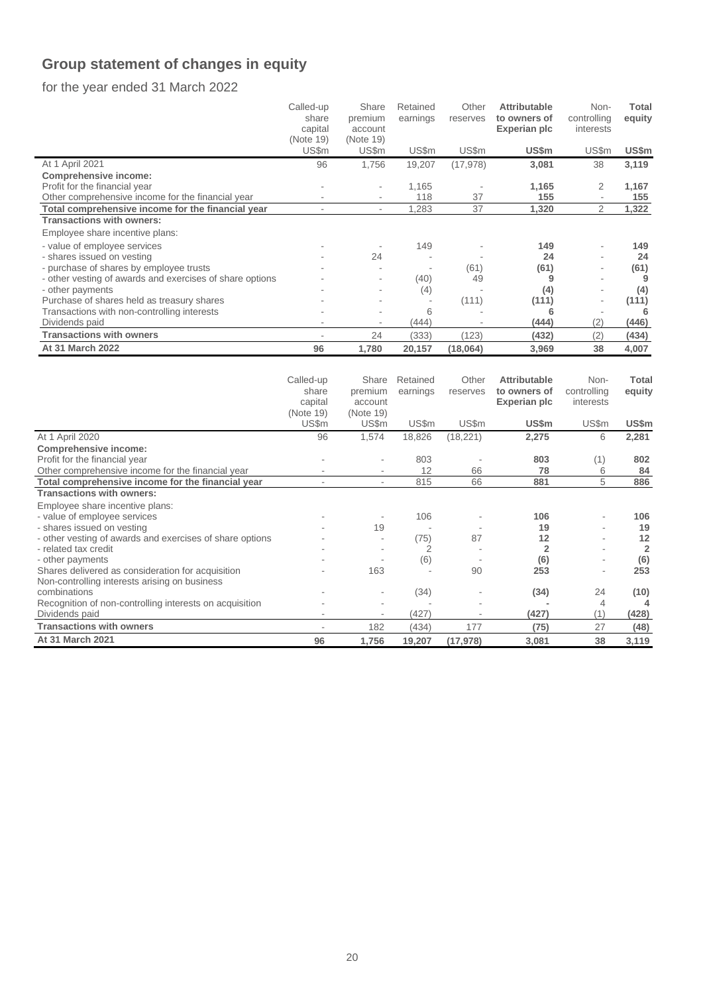# **Group statement of changes in equity**

for the year ended 31 March 2022

|                                                          | Called-up | Share                    | Retained | Other     | <b>Attributable</b> | Non-                     | <b>Total</b> |
|----------------------------------------------------------|-----------|--------------------------|----------|-----------|---------------------|--------------------------|--------------|
|                                                          | share     | premium                  | earnings | reserves  | to owners of        | controlling              | equity       |
|                                                          | capital   | account                  |          |           | Experian plc        | interests                |              |
|                                                          | (Note 19) | (Note 19)                |          |           |                     |                          |              |
|                                                          | US\$m     | US\$m                    | US\$m    | US\$m     | US\$m               | US\$m                    | US\$m        |
| At 1 April 2021                                          | 96        | 1,756                    | 19,207   | (17, 978) | 3,081               | 38                       | 3,119        |
| <b>Comprehensive income:</b>                             |           |                          |          |           |                     |                          |              |
| Profit for the financial year                            |           |                          | 1,165    |           | 1,165               | 2                        | 1,167        |
| Other comprehensive income for the financial year        |           |                          | 118      | 37        | 155                 | $\overline{\phantom{a}}$ | 155          |
| Total comprehensive income for the financial year        |           | $\overline{\phantom{a}}$ | 1,283    | 37        | 1,320               | 2                        | 1,322        |
| <b>Transactions with owners:</b>                         |           |                          |          |           |                     |                          |              |
| Employee share incentive plans:                          |           |                          |          |           |                     |                          |              |
| - value of employee services                             |           |                          | 149      |           | 149                 |                          | 149          |
| - shares issued on vesting                               |           | 24                       |          |           | 24                  |                          | 24           |
| - purchase of shares by employee trusts                  |           |                          |          | (61)      | (61)                | ٠                        | (61)         |
| - other vesting of awards and exercises of share options |           |                          | (40)     | 49        | 9                   |                          |              |
| - other payments                                         |           |                          | (4)      |           | (4)                 |                          | (4)          |
| Purchase of shares held as treasury shares               |           |                          |          | (111)     | (111)               | ۰                        | (111)        |
| Transactions with non-controlling interests              |           |                          | 6        |           | 6                   |                          |              |
| Dividends paid                                           |           |                          | (444)    |           | (444)               | (2)                      | (446)        |
| <b>Transactions with owners</b>                          |           | 24                       | (333)    | (123)     | (432)               | (2)                      | (434)        |
| At 31 March 2022                                         | 96        | 1,780                    | 20,157   | (18,064)  | 3,969               | 38                       | 4,007        |
|                                                          |           |                          |          |           |                     |                          |              |

|                                                          | Called-up | Share                    | Retained | Other     | <b>Attributable</b> | Non-        | <b>Total</b>   |
|----------------------------------------------------------|-----------|--------------------------|----------|-----------|---------------------|-------------|----------------|
|                                                          | share     | premium                  | earnings | reserves  | to owners of        | controlling | equity         |
|                                                          | capital   | account                  |          |           | Experian plc        | interests   |                |
|                                                          | (Note 19) | (Note 19)                |          |           |                     |             |                |
|                                                          | US\$m     | US\$m                    | US\$m    | US\$m     | US\$m               | US\$m       | US\$m          |
| At 1 April 2020                                          | 96        | 1,574                    | 18,826   | (18, 221) | 2,275               | 6           | 2,281          |
| <b>Comprehensive income:</b>                             |           |                          |          |           |                     |             |                |
| Profit for the financial year                            |           |                          | 803      |           | 803                 | (1)         | 802            |
| Other comprehensive income for the financial year        |           |                          | 12       | 66        | 78                  | 6           | 84             |
| Total comprehensive income for the financial year        |           | $\overline{\phantom{0}}$ | 815      | 66        | 881                 | 5           | 886            |
| <b>Transactions with owners:</b>                         |           |                          |          |           |                     |             |                |
| Employee share incentive plans:                          |           |                          |          |           |                     |             |                |
| - value of employee services                             |           |                          | 106      |           | 106                 |             | 106            |
| - shares issued on vesting                               |           | 19                       |          |           | 19                  |             | 19             |
| - other vesting of awards and exercises of share options |           |                          | (75)     | 87        | 12                  |             | 12             |
| - related tax credit                                     |           |                          |          |           |                     |             | $\overline{2}$ |
| - other payments                                         |           |                          | (6)      |           | (6)                 |             | (6)            |
| Shares delivered as consideration for acquisition        |           | 163                      |          | 90        | 253                 |             | 253            |
| Non-controlling interests arising on business            |           |                          |          |           |                     |             |                |
| combinations                                             |           |                          | (34)     |           | (34)                | 24          | (10)           |
| Recognition of non-controlling interests on acquisition  |           |                          |          |           |                     | 4           |                |
| Dividends paid                                           |           | ٠                        | (427)    |           | (427)               | (1)         | (428)          |
| <b>Transactions with owners</b>                          |           | 182                      | (434)    | 177       | (75)                | 27          | (48)           |
| <b>At 31 March 2021</b>                                  | 96        | 1,756                    | 19,207   | (17, 978) | 3,081               | 38          | 3,119          |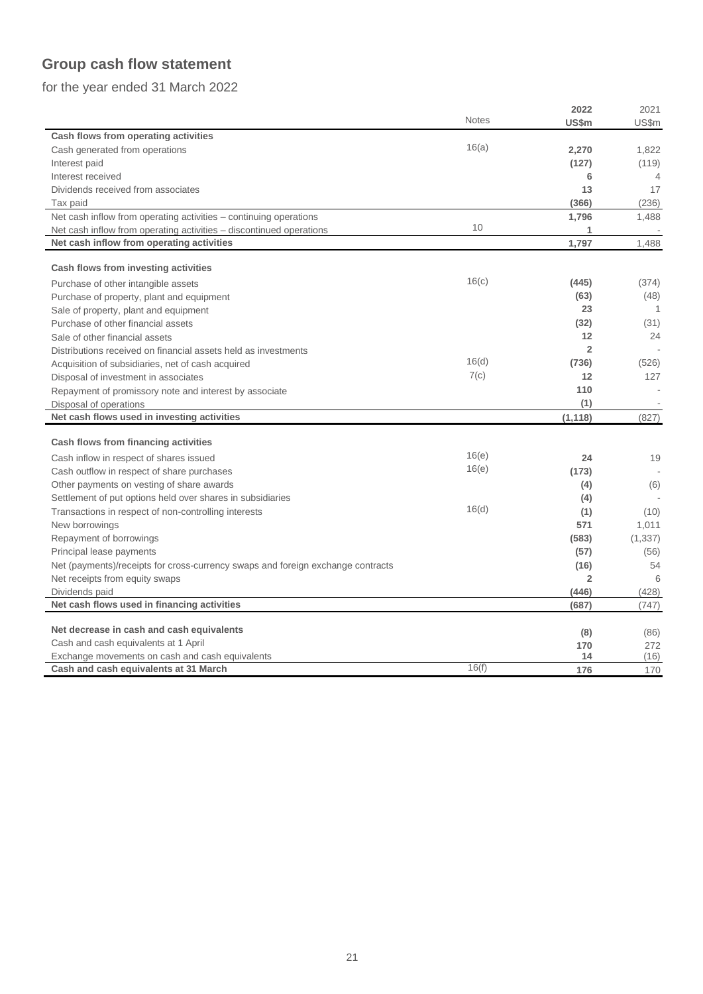# **Group cash flow statement**

for the year ended 31 March 2022

|                                                                                 |              | 2022           | 2021     |
|---------------------------------------------------------------------------------|--------------|----------------|----------|
|                                                                                 | <b>Notes</b> | US\$m          | US\$m    |
| Cash flows from operating activities                                            |              |                |          |
| Cash generated from operations                                                  | 16(a)        | 2,270          | 1,822    |
| Interest paid                                                                   |              | (127)          | (119)    |
| Interest received                                                               |              | 6              | 4        |
| Dividends received from associates                                              |              | 13             | 17       |
| Tax paid                                                                        |              | (366)          | (236)    |
| Net cash inflow from operating activities - continuing operations               |              | 1,796          | 1,488    |
| Net cash inflow from operating activities – discontinued operations             | 10           | 1              |          |
| Net cash inflow from operating activities                                       |              | 1,797          | 1.488    |
|                                                                                 |              |                |          |
| Cash flows from investing activities                                            |              |                |          |
| Purchase of other intangible assets                                             | 16(c)        | (445)          | (374)    |
| Purchase of property, plant and equipment                                       |              | (63)           | (48)     |
| Sale of property, plant and equipment                                           |              | 23             | -1       |
| Purchase of other financial assets                                              |              | (32)           | (31)     |
| Sale of other financial assets                                                  |              | 12             | 24       |
| Distributions received on financial assets held as investments                  |              | $\overline{2}$ |          |
| Acquisition of subsidiaries, net of cash acquired                               | 16(d)        | (736)          | (526)    |
| Disposal of investment in associates                                            | 7(c)         | 12             | 127      |
| Repayment of promissory note and interest by associate                          |              | 110            |          |
| Disposal of operations                                                          |              | (1)            |          |
| Net cash flows used in investing activities                                     |              | (1, 118)       | (827)    |
|                                                                                 |              |                |          |
| Cash flows from financing activities                                            |              |                |          |
| Cash inflow in respect of shares issued                                         | 16(e)        | 24             | 19       |
| Cash outflow in respect of share purchases                                      | 16(e)        | (173)          |          |
| Other payments on vesting of share awards                                       |              | (4)            | (6)      |
| Settlement of put options held over shares in subsidiaries                      |              | (4)            |          |
| Transactions in respect of non-controlling interests                            | 16(d)        | (1)            | (10)     |
| New borrowings                                                                  |              | 571            | 1,011    |
| Repayment of borrowings                                                         |              | (583)          | (1, 337) |
| Principal lease payments                                                        |              | (57)           | (56)     |
| Net (payments)/receipts for cross-currency swaps and foreign exchange contracts |              | (16)           | 54       |
| Net receipts from equity swaps                                                  |              | $\overline{2}$ | 6        |
| Dividends paid                                                                  |              | (446)          | (428)    |
| Net cash flows used in financing activities                                     |              | (687)          | (747)    |
|                                                                                 |              |                |          |
| Net decrease in cash and cash equivalents                                       |              | (8)            | (86)     |
| Cash and cash equivalents at 1 April                                            |              | 170            | 272      |
| Exchange movements on cash and cash equivalents                                 | 16(f)        | 14             | (16)     |
| Cash and cash equivalents at 31 March                                           |              | 176            | 170      |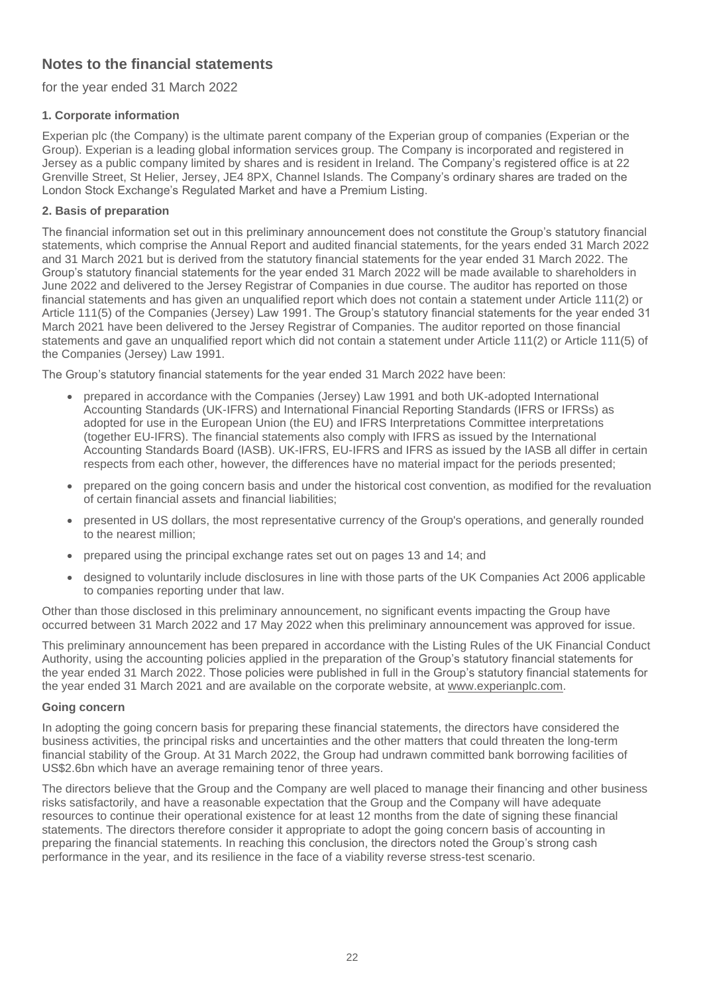## **Notes to the financial statements**

for the year ended 31 March 2022

## **1. Corporate information**

Experian plc (the Company) is the ultimate parent company of the Experian group of companies (Experian or the Group). Experian is a leading global information services group. The Company is incorporated and registered in Jersey as a public company limited by shares and is resident in Ireland. The Company's registered office is at 22 Grenville Street, St Helier, Jersey, JE4 8PX, Channel Islands. The Company's ordinary shares are traded on the London Stock Exchange's Regulated Market and have a Premium Listing.

## **2. Basis of preparation**

The financial information set out in this preliminary announcement does not constitute the Group's statutory financial statements, which comprise the Annual Report and audited financial statements, for the years ended 31 March 2022 and 31 March 2021 but is derived from the statutory financial statements for the year ended 31 March 2022. The Group's statutory financial statements for the year ended 31 March 2022 will be made available to shareholders in June 2022 and delivered to the Jersey Registrar of Companies in due course. The auditor has reported on those financial statements and has given an unqualified report which does not contain a statement under Article 111(2) or Article 111(5) of the Companies (Jersey) Law 1991. The Group's statutory financial statements for the year ended 31 March 2021 have been delivered to the Jersey Registrar of Companies. The auditor reported on those financial statements and gave an unqualified report which did not contain a statement under Article 111(2) or Article 111(5) of the Companies (Jersey) Law 1991.

The Group's statutory financial statements for the year ended 31 March 2022 have been:

- prepared in accordance with the Companies (Jersey) Law 1991 and both UK-adopted International Accounting Standards (UK-IFRS) and International Financial Reporting Standards (IFRS or IFRSs) as adopted for use in the European Union (the EU) and IFRS Interpretations Committee interpretations (together EU-IFRS). The financial statements also comply with IFRS as issued by the International Accounting Standards Board (IASB). UK-IFRS, EU-IFRS and IFRS as issued by the IASB all differ in certain respects from each other, however, the differences have no material impact for the periods presented;
- prepared on the going concern basis and under the historical cost convention, as modified for the revaluation of certain financial assets and financial liabilities;
- presented in US dollars, the most representative currency of the Group's operations, and generally rounded to the nearest million;
- prepared using the principal exchange rates set out on pages 13 and 14; and
- designed to voluntarily include disclosures in line with those parts of the UK Companies Act 2006 applicable to companies reporting under that law.

Other than those disclosed in this preliminary announcement, no significant events impacting the Group have occurred between 31 March 2022 and 17 May 2022 when this preliminary announcement was approved for issue.

This preliminary announcement has been prepared in accordance with the Listing Rules of the UK Financial Conduct Authority, using the accounting policies applied in the preparation of the Group's statutory financial statements for the year ended 31 March 2022. Those policies were published in full in the Group's statutory financial statements for the year ended 31 March 2021 and are available on the corporate website, at [www.experianplc.com.](http://www.experianplc.com/)

### **Going concern**

In adopting the going concern basis for preparing these financial statements, the directors have considered the business activities, the principal risks and uncertainties and the other matters that could threaten the long-term financial stability of the Group. At 31 March 2022, the Group had undrawn committed bank borrowing facilities of US\$2.6bn which have an average remaining tenor of three years.

The directors believe that the Group and the Company are well placed to manage their financing and other business risks satisfactorily, and have a reasonable expectation that the Group and the Company will have adequate resources to continue their operational existence for at least 12 months from the date of signing these financial statements. The directors therefore consider it appropriate to adopt the going concern basis of accounting in preparing the financial statements. In reaching this conclusion, the directors noted the Group's strong cash performance in the year, and its resilience in the face of a viability reverse stress-test scenario.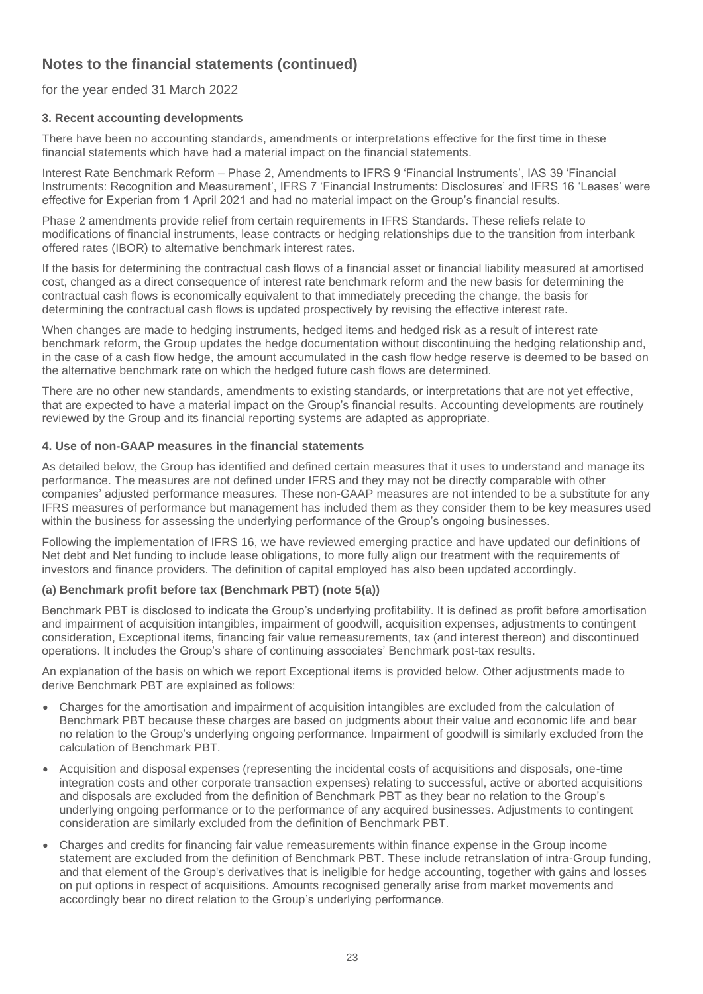## for the year ended 31 March 2022

## **3. Recent accounting developments**

There have been no accounting standards, amendments or interpretations effective for the first time in these financial statements which have had a material impact on the financial statements.

Interest Rate Benchmark Reform – Phase 2, Amendments to IFRS 9 'Financial Instruments', IAS 39 'Financial Instruments: Recognition and Measurement', IFRS 7 'Financial Instruments: Disclosures' and IFRS 16 'Leases' were effective for Experian from 1 April 2021 and had no material impact on the Group's financial results.

Phase 2 amendments provide relief from certain requirements in IFRS Standards. These reliefs relate to modifications of financial instruments, lease contracts or hedging relationships due to the transition from interbank offered rates (IBOR) to alternative benchmark interest rates.

If the basis for determining the contractual cash flows of a financial asset or financial liability measured at amortised cost, changed as a direct consequence of interest rate benchmark reform and the new basis for determining the contractual cash flows is economically equivalent to that immediately preceding the change, the basis for determining the contractual cash flows is updated prospectively by revising the effective interest rate.

When changes are made to hedging instruments, hedged items and hedged risk as a result of interest rate benchmark reform, the Group updates the hedge documentation without discontinuing the hedging relationship and, in the case of a cash flow hedge, the amount accumulated in the cash flow hedge reserve is deemed to be based on the alternative benchmark rate on which the hedged future cash flows are determined.

There are no other new standards, amendments to existing standards, or interpretations that are not yet effective, that are expected to have a material impact on the Group's financial results. Accounting developments are routinely reviewed by the Group and its financial reporting systems are adapted as appropriate.

### **4. Use of non-GAAP measures in the financial statements**

As detailed below, the Group has identified and defined certain measures that it uses to understand and manage its performance. The measures are not defined under IFRS and they may not be directly comparable with other companies' adjusted performance measures. These non-GAAP measures are not intended to be a substitute for any IFRS measures of performance but management has included them as they consider them to be key measures used within the business for assessing the underlying performance of the Group's ongoing businesses.

Following the implementation of IFRS 16, we have reviewed emerging practice and have updated our definitions of Net debt and Net funding to include lease obligations, to more fully align our treatment with the requirements of investors and finance providers. The definition of capital employed has also been updated accordingly.

## **(a) Benchmark profit before tax (Benchmark PBT) (note 5(a))**

Benchmark PBT is disclosed to indicate the Group's underlying profitability. It is defined as profit before amortisation and impairment of acquisition intangibles, impairment of goodwill, acquisition expenses, adjustments to contingent consideration, Exceptional items, financing fair value remeasurements, tax (and interest thereon) and discontinued operations. It includes the Group's share of continuing associates' Benchmark post-tax results.

An explanation of the basis on which we report Exceptional items is provided below. Other adjustments made to derive Benchmark PBT are explained as follows:

- Charges for the amortisation and impairment of acquisition intangibles are excluded from the calculation of Benchmark PBT because these charges are based on judgments about their value and economic life and bear no relation to the Group's underlying ongoing performance. Impairment of goodwill is similarly excluded from the calculation of Benchmark PBT.
- Acquisition and disposal expenses (representing the incidental costs of acquisitions and disposals, one-time integration costs and other corporate transaction expenses) relating to successful, active or aborted acquisitions and disposals are excluded from the definition of Benchmark PBT as they bear no relation to the Group's underlying ongoing performance or to the performance of any acquired businesses. Adjustments to contingent consideration are similarly excluded from the definition of Benchmark PBT.
- Charges and credits for financing fair value remeasurements within finance expense in the Group income statement are excluded from the definition of Benchmark PBT. These include retranslation of intra-Group funding, and that element of the Group's derivatives that is ineligible for hedge accounting, together with gains and losses on put options in respect of acquisitions. Amounts recognised generally arise from market movements and accordingly bear no direct relation to the Group's underlying performance.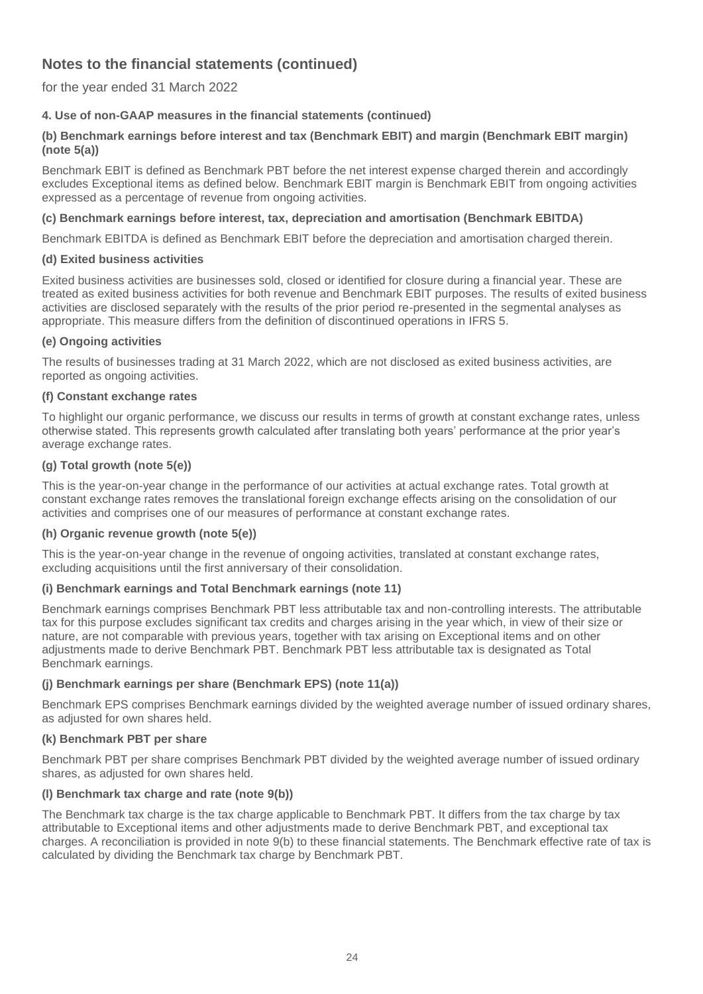for the year ended 31 March 2022

## **4. Use of non-GAAP measures in the financial statements (continued)**

## **(b) Benchmark earnings before interest and tax (Benchmark EBIT) and margin (Benchmark EBIT margin) (note 5(a))**

Benchmark EBIT is defined as Benchmark PBT before the net interest expense charged therein and accordingly excludes Exceptional items as defined below. Benchmark EBIT margin is Benchmark EBIT from ongoing activities expressed as a percentage of revenue from ongoing activities.

## **(c) Benchmark earnings before interest, tax, depreciation and amortisation (Benchmark EBITDA)**

Benchmark EBITDA is defined as Benchmark EBIT before the depreciation and amortisation charged therein.

## **(d) Exited business activities**

Exited business activities are businesses sold, closed or identified for closure during a financial year. These are treated as exited business activities for both revenue and Benchmark EBIT purposes. The results of exited business activities are disclosed separately with the results of the prior period re-presented in the segmental analyses as appropriate. This measure differs from the definition of discontinued operations in IFRS 5.

## **(e) Ongoing activities**

The results of businesses trading at 31 March 2022, which are not disclosed as exited business activities, are reported as ongoing activities.

## **(f) Constant exchange rates**

To highlight our organic performance, we discuss our results in terms of growth at constant exchange rates, unless otherwise stated. This represents growth calculated after translating both years' performance at the prior year's average exchange rates.

## **(g) Total growth (note 5(e))**

This is the year-on-year change in the performance of our activities at actual exchange rates. Total growth at constant exchange rates removes the translational foreign exchange effects arising on the consolidation of our activities and comprises one of our measures of performance at constant exchange rates.

### **(h) Organic revenue growth (note 5(e))**

This is the year-on-year change in the revenue of ongoing activities, translated at constant exchange rates, excluding acquisitions until the first anniversary of their consolidation.

## **(i) Benchmark earnings and Total Benchmark earnings (note 11)**

Benchmark earnings comprises Benchmark PBT less attributable tax and non-controlling interests. The attributable tax for this purpose excludes significant tax credits and charges arising in the year which, in view of their size or nature, are not comparable with previous years, together with tax arising on Exceptional items and on other adjustments made to derive Benchmark PBT. Benchmark PBT less attributable tax is designated as Total Benchmark earnings.

### **(j) Benchmark earnings per share (Benchmark EPS) (note 11(a))**

Benchmark EPS comprises Benchmark earnings divided by the weighted average number of issued ordinary shares, as adjusted for own shares held.

### **(k) Benchmark PBT per share**

Benchmark PBT per share comprises Benchmark PBT divided by the weighted average number of issued ordinary shares, as adjusted for own shares held.

### **(l) Benchmark tax charge and rate (note 9(b))**

The Benchmark tax charge is the tax charge applicable to Benchmark PBT. It differs from the tax charge by tax attributable to Exceptional items and other adjustments made to derive Benchmark PBT, and exceptional tax charges. A reconciliation is provided in note 9(b) to these financial statements. The Benchmark effective rate of tax is calculated by dividing the Benchmark tax charge by Benchmark PBT.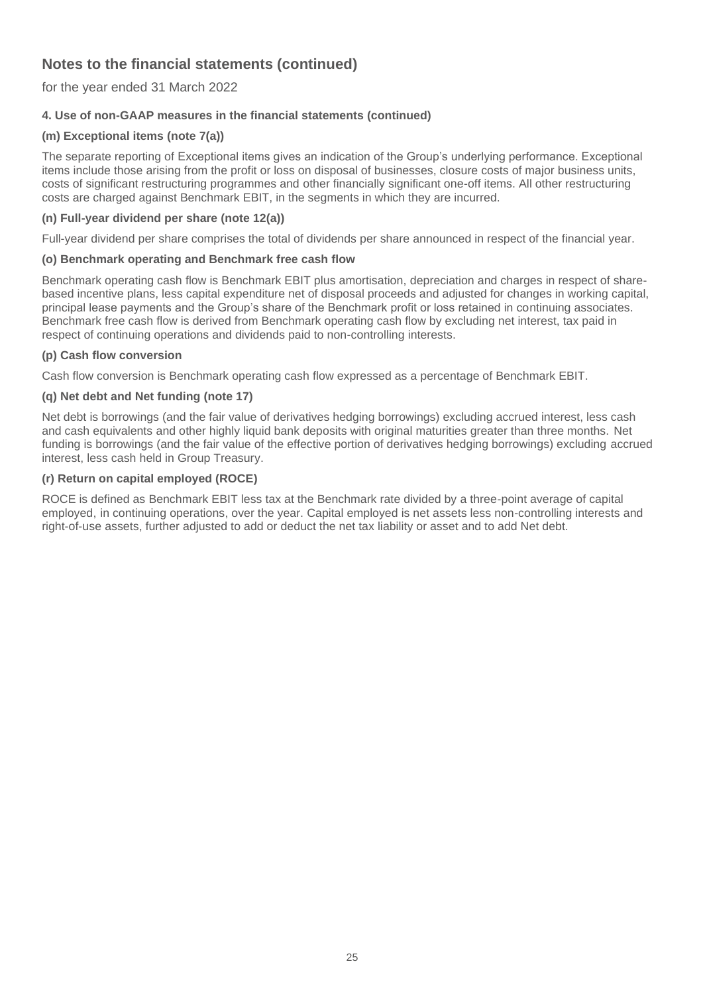for the year ended 31 March 2022

## **4. Use of non-GAAP measures in the financial statements (continued)**

## **(m) Exceptional items (note 7(a))**

The separate reporting of Exceptional items gives an indication of the Group's underlying performance. Exceptional items include those arising from the profit or loss on disposal of businesses, closure costs of major business units, costs of significant restructuring programmes and other financially significant one-off items. All other restructuring costs are charged against Benchmark EBIT, in the segments in which they are incurred.

## **(n) Full-year dividend per share (note 12(a))**

Full-year dividend per share comprises the total of dividends per share announced in respect of the financial year.

## **(o) Benchmark operating and Benchmark free cash flow**

Benchmark operating cash flow is Benchmark EBIT plus amortisation, depreciation and charges in respect of sharebased incentive plans, less capital expenditure net of disposal proceeds and adjusted for changes in working capital, principal lease payments and the Group's share of the Benchmark profit or loss retained in continuing associates. Benchmark free cash flow is derived from Benchmark operating cash flow by excluding net interest, tax paid in respect of continuing operations and dividends paid to non-controlling interests.

## **(p) Cash flow conversion**

Cash flow conversion is Benchmark operating cash flow expressed as a percentage of Benchmark EBIT.

## **(q) Net debt and Net funding (note 17)**

Net debt is borrowings (and the fair value of derivatives hedging borrowings) excluding accrued interest, less cash and cash equivalents and other highly liquid bank deposits with original maturities greater than three months. Net funding is borrowings (and the fair value of the effective portion of derivatives hedging borrowings) excluding accrued interest, less cash held in Group Treasury.

## **(r) Return on capital employed (ROCE)**

ROCE is defined as Benchmark EBIT less tax at the Benchmark rate divided by a three-point average of capital employed, in continuing operations, over the year. Capital employed is net assets less non-controlling interests and right-of-use assets, further adjusted to add or deduct the net tax liability or asset and to add Net debt.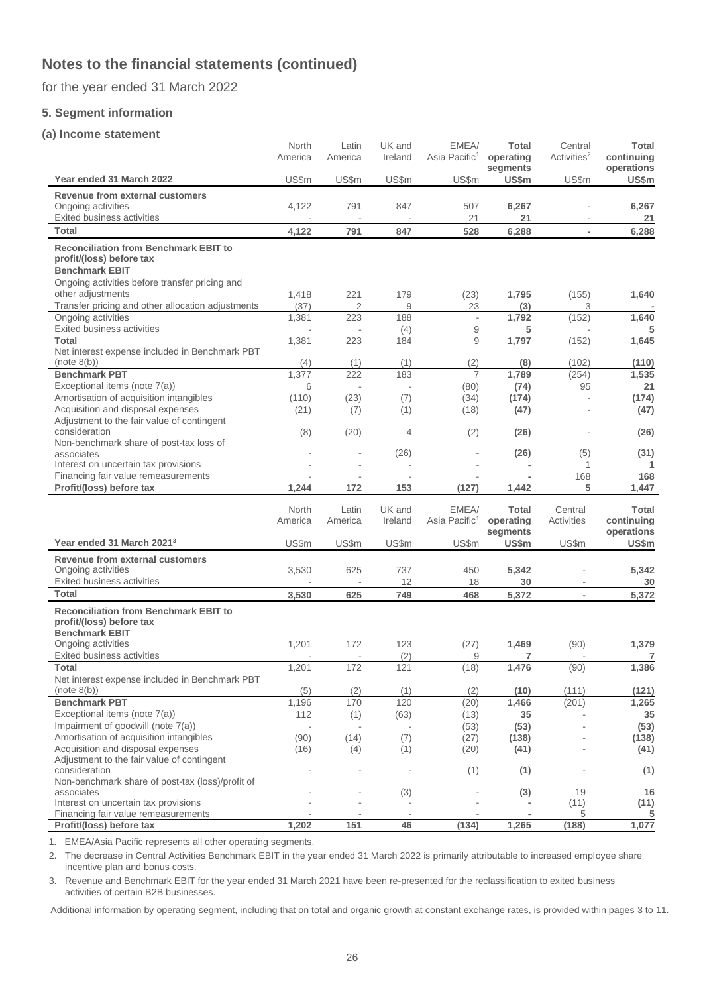for the year ended 31 March 2022

### **5. Segment information**

#### **(a) Income statement**

|                                                                               | North<br>America | Latin<br>America | UK and<br>Ireland | EMEA/<br>Asia Pacific <sup>1</sup> | <b>Total</b><br>operating | Central<br>Activities <sup>2</sup> | <b>Total</b><br>continuing  |
|-------------------------------------------------------------------------------|------------------|------------------|-------------------|------------------------------------|---------------------------|------------------------------------|-----------------------------|
| Year ended 31 March 2022                                                      | US\$m            | US\$m            | US\$m             | US\$m                              | segments<br>US\$m         | US\$m                              | operations<br>US\$m         |
| Revenue from external customers                                               |                  |                  |                   |                                    |                           |                                    |                             |
| Ongoing activities<br>Exited business activities                              | 4,122            | 791              | 847               | 507<br>21                          | 6,267<br>21               |                                    | 6,267<br>21                 |
| <b>Total</b>                                                                  | 4,122            | 791              | 847               | 528                                | 6,288                     | $\overline{\phantom{a}}$           | 6,288                       |
| <b>Reconciliation from Benchmark EBIT to</b>                                  |                  |                  |                   |                                    |                           |                                    |                             |
| profit/(loss) before tax<br><b>Benchmark EBIT</b>                             |                  |                  |                   |                                    |                           |                                    |                             |
| Ongoing activities before transfer pricing and                                |                  |                  |                   |                                    |                           |                                    |                             |
| other adjustments                                                             | 1,418            | 221              | 179               | (23)                               | 1,795                     | (155)                              | 1,640                       |
| Transfer pricing and other allocation adjustments                             | (37)             | $\overline{2}$   | 9                 | 23                                 | (3)                       | 3                                  |                             |
| Ongoing activities                                                            | 1,381            | 223              | 188               | $\overline{\phantom{a}}$           | 1,792                     | (152)                              | 1,640                       |
| Exited business activities                                                    |                  |                  | (4)               | 9                                  | 5                         |                                    | 5                           |
| <b>Total</b><br>Net interest expense included in Benchmark PBT                | 1,381            | 223              | 184               | 9                                  | 1,797                     | (152)                              | 1,645                       |
| (note 8(b))                                                                   | (4)              | (1)              | (1)               | (2)                                | (8)                       | (102)                              | (110)                       |
| <b>Benchmark PBT</b>                                                          | 1,377            | 222              | 183               | $\overline{7}$                     | 1,789                     | (254)                              | 1,535                       |
| Exceptional items (note 7(a))                                                 | 6                |                  |                   | (80)                               | (74)                      | 95                                 | 21                          |
| Amortisation of acquisition intangibles                                       | (110)            | (23)             | (7)               | (34)                               | (174)                     |                                    | (174)                       |
| Acquisition and disposal expenses                                             | (21)             | (7)              | (1)               | (18)                               | (47)                      |                                    | (47)                        |
| Adjustment to the fair value of contingent<br>consideration                   | (8)              | (20)             | 4                 |                                    | (26)                      |                                    | (26)                        |
| Non-benchmark share of post-tax loss of                                       |                  |                  |                   | (2)                                |                           |                                    |                             |
| associates                                                                    |                  |                  | (26)              |                                    | (26)                      | (5)                                | (31)                        |
| Interest on uncertain tax provisions                                          |                  |                  |                   |                                    |                           | 1                                  | 1                           |
| Financing fair value remeasurements                                           |                  |                  |                   |                                    |                           | 168                                | 168                         |
| Profit/(loss) before tax                                                      | 1,244            | 172              | 153               | (127)                              | 1,442                     | 5                                  | 1,447                       |
|                                                                               | North            | Latin            | UK and            | EMEA/                              | <b>Total</b>              | Central                            | <b>Total</b>                |
|                                                                               | America          | America          | Ireland           | Asia Pacific <sup>1</sup>          | operating                 | Activities                         | continuing                  |
|                                                                               |                  |                  |                   |                                    | segments                  |                                    |                             |
|                                                                               |                  |                  |                   |                                    |                           |                                    | operations                  |
| Year ended 31 March 2021 <sup>3</sup>                                         | US\$m            | US\$m            | US\$m             | US\$m                              | US\$m                     | US\$m                              | US\$m                       |
| <b>Revenue from external customers</b>                                        |                  |                  |                   |                                    |                           |                                    |                             |
| Ongoing activities                                                            | 3,530            | 625              | 737               | 450                                | 5,342                     |                                    | 5,342                       |
| Exited business activities                                                    |                  |                  | 12                | 18                                 | 30                        | $\overline{\phantom{a}}$           | 30                          |
| <b>Total</b>                                                                  | 3,530            | 625              | 749               | 468                                | 5,372                     | $\overline{\phantom{a}}$           | 5,372                       |
| <b>Reconciliation from Benchmark EBIT to</b>                                  |                  |                  |                   |                                    |                           |                                    |                             |
| profit/(loss) before tax                                                      |                  |                  |                   |                                    |                           |                                    |                             |
| <b>Benchmark EBIT</b><br>Ongoing activities                                   |                  | 172              | 123               |                                    |                           |                                    |                             |
| <b>Exited business activities</b>                                             | 1,201            |                  | (2)               | (27)<br>9                          | 1,469<br>7                | (90)                               | 1,379<br>7                  |
| <b>Total</b>                                                                  | 1,201            | 172              | 121               | (18)                               | 1,476                     | (90)                               | 1,386                       |
| Net interest expense included in Benchmark PBT                                |                  |                  |                   |                                    |                           |                                    |                             |
| (note 8(b))                                                                   | (5)              | (2)              | (1)               | (2)                                | (10)                      | (111)                              | (121)                       |
| <b>Benchmark PBT</b>                                                          | 1,196            | 170              | 120               | (20)                               | 1,466                     | (201)                              | 1,265                       |
| Exceptional items (note 7(a))                                                 | 112              | (1)              | (63)              | (13)                               | 35                        |                                    | 35                          |
| Impairment of goodwill (note 7(a))<br>Amortisation of acquisition intangibles |                  |                  |                   | (53)                               | (53)                      |                                    | (53)                        |
| Acquisition and disposal expenses                                             | (90)<br>(16)     | (14)<br>(4)      | (7)<br>(1)        | (27)<br>(20)                       | (138)<br>(41)             |                                    |                             |
| Adjustment to the fair value of contingent                                    |                  |                  |                   |                                    |                           |                                    |                             |
| consideration                                                                 |                  |                  |                   | (1)                                | (1)                       |                                    | (1)                         |
| Non-benchmark share of post-tax (loss)/profit of                              |                  |                  |                   |                                    |                           |                                    |                             |
| associates<br>Interest on uncertain tax provisions                            |                  |                  | (3)               |                                    | (3)                       | 19<br>(11)                         | (138)<br>(41)<br>16<br>(11) |
| Financing fair value remeasurements<br>Profit/(loss) before tax               | 1,202            | 151              | 46                | (134)                              | 1,265                     | 5<br>(188)                         | 5<br>1,077                  |

1. EMEA/Asia Pacific represents all other operating segments.

2. The decrease in Central Activities Benchmark EBIT in the year ended 31 March 2022 is primarily attributable to increased employee share incentive plan and bonus costs.

3. Revenue and Benchmark EBIT for the year ended 31 March 2021 have been re-presented for the reclassification to exited business activities of certain B2B businesses.

Additional information by operating segment, including that on total and organic growth at constant exchange rates, is provided within pages 3 to 11.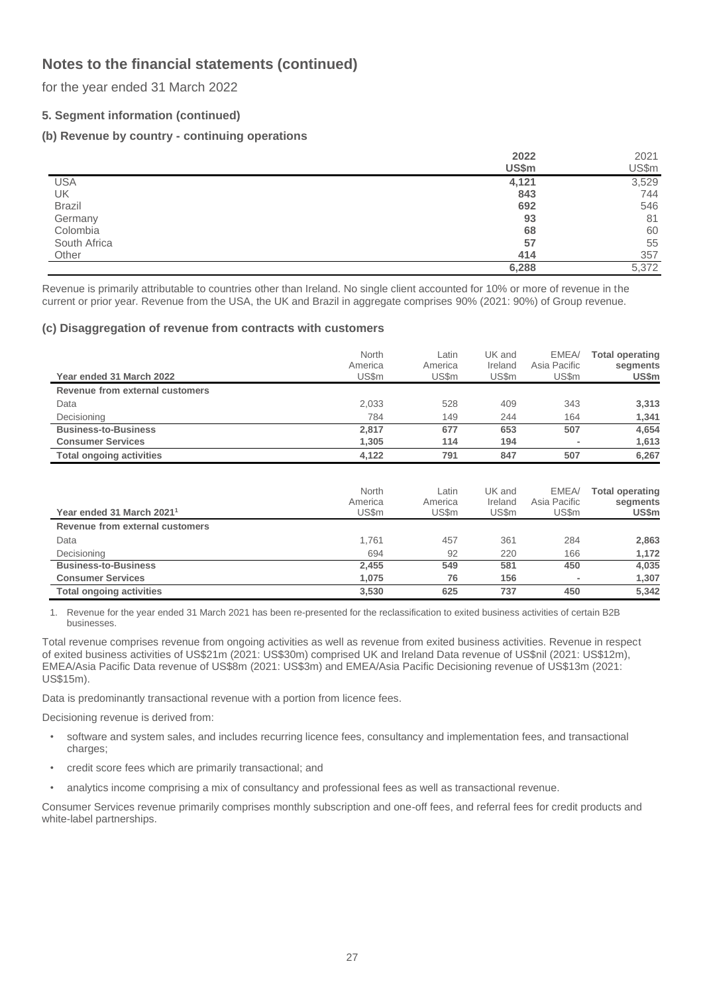for the year ended 31 March 2022

## **5. Segment information (continued)**

## **(b) Revenue by country - continuing operations**

|               | 2022  | 2021  |
|---------------|-------|-------|
|               | US\$m | US\$m |
| <b>USA</b>    | 4,121 | 3,529 |
| UK            | 843   | 744   |
| <b>Brazil</b> | 692   | 546   |
| Germany       | 93    | 81    |
| Colombia      | 68    | 60    |
| South Africa  | 57    | 55    |
| Other         | 414   | 357   |
|               | 6,288 | 5,372 |

Revenue is primarily attributable to countries other than Ireland. No single client accounted for 10% or more of revenue in the current or prior year. Revenue from the USA, the UK and Brazil in aggregate comprises 90% (2021: 90%) of Group revenue.

#### **(c) Disaggregation of revenue from contracts with customers**

| Year ended 31 March 2022        | North<br>America<br>US\$m | Latin<br>America<br>US\$m | UK and<br>Ireland<br>US\$m | EMEA/<br>Asia Pacific<br>US\$m | <b>Total operating</b><br>segments<br>US\$m |
|---------------------------------|---------------------------|---------------------------|----------------------------|--------------------------------|---------------------------------------------|
| Revenue from external customers |                           |                           |                            |                                |                                             |
| Data                            | 2,033                     | 528                       | 409                        | 343                            | 3,313                                       |
| Decisioning                     | 784                       | 149                       | 244                        | 164                            | 1,341                                       |
| <b>Business-to-Business</b>     | 2,817                     | 677                       | 653                        | 507                            | 4,654                                       |
| <b>Consumer Services</b>        | 1,305                     | 114                       | 194                        | $\overline{\phantom{a}}$       | 1,613                                       |
| <b>Total ongoing activities</b> | 4.122                     | 791                       | 847                        | 507                            | 6,267                                       |

|                                       | North   | ∟atin   | UK and  | EMEA/        | <b>Total operating</b> |
|---------------------------------------|---------|---------|---------|--------------|------------------------|
|                                       | America | America | Ireland | Asia Pacific | segments               |
| Year ended 31 March 2021 <sup>1</sup> | US\$m   | US\$m   | US\$m   | US\$m        | US\$m                  |
| Revenue from external customers       |         |         |         |              |                        |
| Data                                  | 1.761   | 457     | 361     | 284          | 2,863                  |
| Decisioning                           | 694     | 92      | 220     | 166          | 1.172                  |
| <b>Business-to-Business</b>           | 2.455   | 549     | 581     | 450          | 4,035                  |
| <b>Consumer Services</b>              | 1.075   | 76      | 156     | $\,$         | 1,307                  |
| <b>Total ongoing activities</b>       | 3.530   | 625     | 737     | 450          | 5.342                  |

1. Revenue for the year ended 31 March 2021 has been re-presented for the reclassification to exited business activities of certain B2B businesses.

Total revenue comprises revenue from ongoing activities as well as revenue from exited business activities. Revenue in respect of exited business activities of US\$21m (2021: US\$30m) comprised UK and Ireland Data revenue of US\$nil (2021: US\$12m), EMEA/Asia Pacific Data revenue of US\$8m (2021: US\$3m) and EMEA/Asia Pacific Decisioning revenue of US\$13m (2021: US\$15m).

Data is predominantly transactional revenue with a portion from licence fees.

Decisioning revenue is derived from:

- software and system sales, and includes recurring licence fees, consultancy and implementation fees, and transactional charges;
- credit score fees which are primarily transactional; and
- analytics income comprising a mix of consultancy and professional fees as well as transactional revenue.

Consumer Services revenue primarily comprises monthly subscription and one-off fees, and referral fees for credit products and white-label partnerships.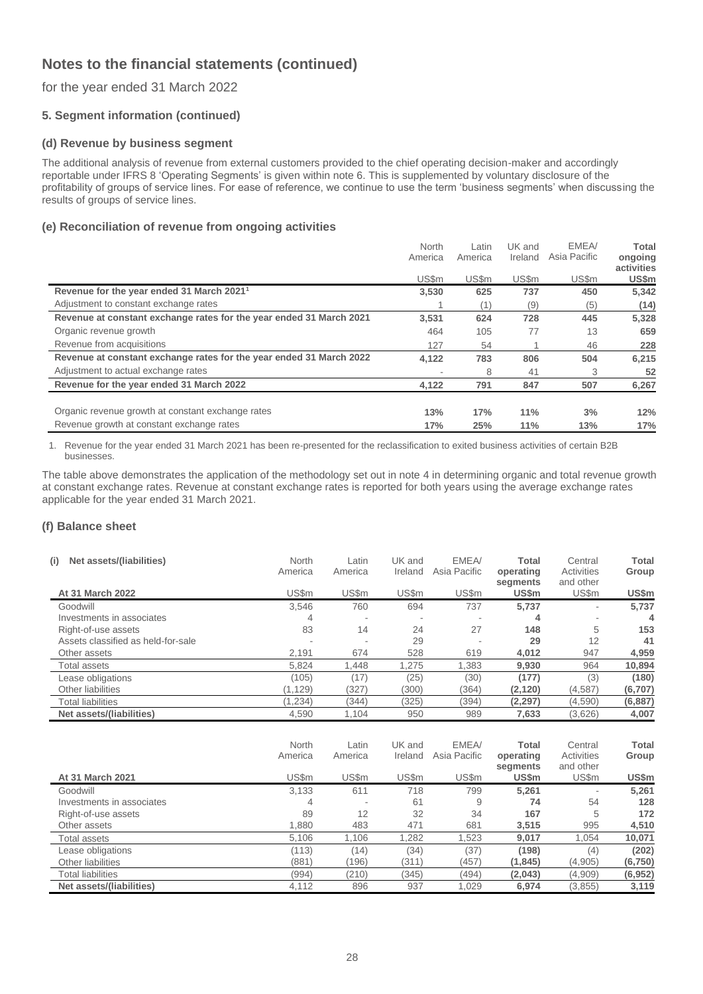## for the year ended 31 March 2022

## **5. Segment information (continued)**

#### **(d) Revenue by business segment**

The additional analysis of revenue from external customers provided to the chief operating decision-maker and accordingly reportable under IFRS 8 'Operating Segments' is given within note 6. This is supplemented by voluntary disclosure of the profitability of groups of service lines. For ease of reference, we continue to use the term 'business segments' when discussing the results of groups of service lines.

### **(e) Reconciliation of revenue from ongoing activities**

|                                                                     | North<br>America | Latin<br>America | UK and<br>Ireland | EMEA/<br>Asia Pacific | Total<br>ongoing    |
|---------------------------------------------------------------------|------------------|------------------|-------------------|-----------------------|---------------------|
|                                                                     | US\$m            | US\$m            | US\$m             | US\$m                 | activities<br>US\$m |
| Revenue for the year ended 31 March 2021 <sup>1</sup>               | 3,530            | 625              | 737               | 450                   | 5,342               |
| Adjustment to constant exchange rates                               |                  |                  | (9)               | (5)                   | (14)                |
| Revenue at constant exchange rates for the year ended 31 March 2021 | 3,531            | 624              | 728               | 445                   | 5,328               |
| Organic revenue growth                                              | 464              | 105              | 77                | 13                    | 659                 |
| Revenue from acquisitions                                           | 127              | 54               |                   | 46                    | 228                 |
| Revenue at constant exchange rates for the year ended 31 March 2022 | 4,122            | 783              | 806               | 504                   | 6,215               |
| Adjustment to actual exchange rates                                 | ۰                | 8                | 41                | 3                     | 52                  |
| Revenue for the year ended 31 March 2022                            | 4,122            | 791              | 847               | 507                   | 6,267               |
|                                                                     |                  |                  |                   |                       |                     |
| Organic revenue growth at constant exchange rates                   | 13%              | 17%              | 11%               | 3%                    | 12%                 |
| Revenue growth at constant exchange rates                           | 17%              | 25%              | 11%               | 13%                   | 17%                 |

1. Revenue for the year ended 31 March 2021 has been re-presented for the reclassification to exited business activities of certain B2B businesses.

The table above demonstrates the application of the methodology set out in note 4 in determining organic and total revenue growth at constant exchange rates. Revenue at constant exchange rates is reported for both years using the average exchange rates applicable for the year ended 31 March 2021.

### **(f) Balance sheet**

| Net assets/(liabilities)<br>(i)    | North<br>America | Latin<br>America | UK and<br>Ireland | EMEA/<br>Asia Pacific | <b>Total</b><br>operating<br>segments | Central<br>Activities<br>and other | Total<br>Group |
|------------------------------------|------------------|------------------|-------------------|-----------------------|---------------------------------------|------------------------------------|----------------|
| At 31 March 2022                   | US\$m            | US\$m            | US\$m             | US\$m                 | US\$m                                 | US\$m                              | US\$m          |
| Goodwill                           | 3.546            | 760              | 694               | 737                   | 5.737                                 | ٠                                  | 5.737          |
| Investments in associates          | 4                |                  |                   |                       | 4                                     | $\overline{\phantom{a}}$           | 4              |
| Right-of-use assets                | 83               | 14               | 24                | 27                    | 148                                   | 5                                  | 153            |
| Assets classified as held-for-sale |                  | ۰                | 29                |                       | 29                                    | 12                                 | 41             |
| Other assets                       | 2.191            | 674              | 528               | 619                   | 4.012                                 | 947                                | 4,959          |
| <b>Total assets</b>                | 5,824            | 1.448            | 1.275             | 1,383                 | 9,930                                 | 964                                | 10,894         |
| Lease obligations                  | (105)            | (17)             | (25)              | (30)                  | (177)                                 | (3)                                | (180)          |
| Other liabilities                  | (1, 129)         | (327)            | (300)             | (364)                 | (2, 120)                              | (4, 587)                           | (6,707)        |
| <b>Total liabilities</b>           | (1.234)          | (344)            | (325)             | (394)                 | (2, 297)                              | (4,590)                            | (6, 887)       |
| Net assets/(liabilities)           | 4,590            | 1,104            | 950               | 989                   | 7,633                                 | (3,626)                            | 4,007          |

|                           | North<br>America | Latin<br>America | UK and<br>Ireland | EMEA/<br>Asia Pacific | Total<br>operating<br>segments | Central<br>Activities<br>and other | Total<br>Group |
|---------------------------|------------------|------------------|-------------------|-----------------------|--------------------------------|------------------------------------|----------------|
| At 31 March 2021          | US\$m            | US\$m            | US\$m             | US\$m                 | US\$m                          | US\$m                              | US\$m          |
| Goodwill                  | 3,133            | 611              | 718               | 799                   | 5.261                          | ۰                                  | 5.261          |
| Investments in associates | 4                |                  | 61                | 9                     | 74                             | 54                                 | 128            |
| Right-of-use assets       | 89               | 12               | 32                | 34                    | 167                            | 5                                  | 172            |
| Other assets              | 1,880            | 483              | 471               | 681                   | 3,515                          | 995                                | 4,510          |
| Total assets              | 5,106            | 1.106            | 1,282             | 1,523                 | 9,017                          | 1.054                              | 10,071         |
| Lease obligations         | (113)            | (14)             | (34)              | (37)                  | (198)                          | (4)                                | (202)          |
| Other liabilities         | (881)            | 196)             | (311)             | (457)                 | (1, 845)                       | (4,905)                            | (6, 750)       |
| Total liabilities         | (994)            | (210)            | (345)             | (494)                 | (2,043)                        | (4,909)                            | (6, 952)       |
| Net assets/(liabilities)  | 4.112            | 896              | 937               | 1.029                 | 6.974                          | (3, 855)                           | 3.119          |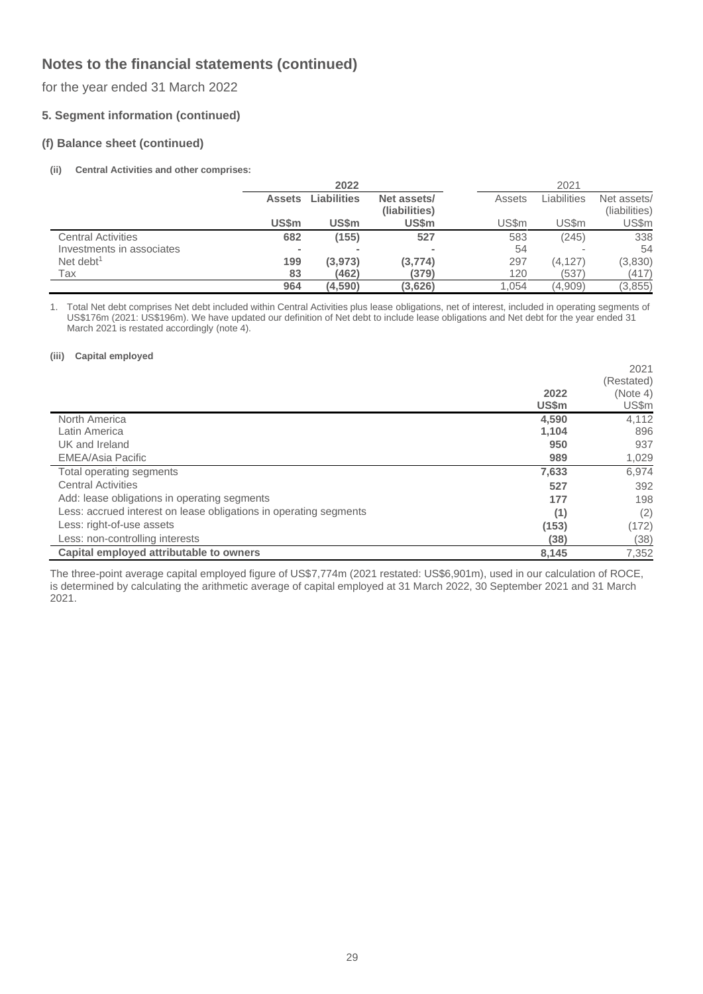for the year ended 31 March 2022

## **5. Segment information (continued)**

#### **(f) Balance sheet (continued)**

#### **(ii) Central Activities and other comprises:**

|                           |                | 2022        |                              |        | 2021        |                              |
|---------------------------|----------------|-------------|------------------------------|--------|-------------|------------------------------|
|                           | <b>Assets</b>  | Liabilities | Net assets/<br>(liabilities) | Assets | Liabilities | Net assets/<br>(liabilities) |
|                           | <b>US\$m</b>   | US\$m       | US\$m                        | US\$m  | US\$m       | US\$m                        |
| <b>Central Activities</b> | 682            | (155)       | 527                          | 583    | (245)       | 338                          |
| Investments in associates | $\blacksquare$ |             | $\blacksquare$               | 54     |             | 54                           |
| Net debt <sup>1</sup>     | 199            | (3, 973)    | (3, 774)                     | 297    | (4, 127)    | (3,830)                      |
| Tax                       | 83             | (462)       | (379)                        | 120    | (537)       | (417)                        |
|                           | 964            | (4,590)     | (3,626)                      | 1.054  | (4,909)     | (3, 855)                     |

1. Total Net debt comprises Net debt included within Central Activities plus lease obligations, net of interest, included in operating segments of US\$176m (2021: US\$196m). We have updated our definition of Net debt to include lease obligations and Net debt for the year ended 31 March 2021 is restated accordingly (note 4).

#### **(iii) Capital employed**

|                                                                   |              | 2021       |
|-------------------------------------------------------------------|--------------|------------|
|                                                                   |              | (Restated) |
|                                                                   | 2022         | (Note 4)   |
|                                                                   | <b>US\$m</b> | US\$m      |
| North America                                                     | 4,590        | 4,112      |
| Latin America                                                     | 1,104        | 896        |
| UK and Ireland                                                    | 950          | 937        |
| EMEA/Asia Pacific                                                 | 989          | 1,029      |
| Total operating segments                                          | 7,633        | 6,974      |
| <b>Central Activities</b>                                         | 527          | 392        |
| Add: lease obligations in operating segments                      | 177          | 198        |
| Less: accrued interest on lease obligations in operating segments | (1)          | (2)        |
| Less: right-of-use assets                                         | (153)        | (172)      |
| Less: non-controlling interests                                   | (38)         | (38)       |
| Capital employed attributable to owners                           | 8,145        | 7.352      |

The three-point average capital employed figure of US\$7,774m (2021 restated: US\$6,901m), used in our calculation of ROCE, is determined by calculating the arithmetic average of capital employed at 31 March 2022, 30 September 2021 and 31 March 2021.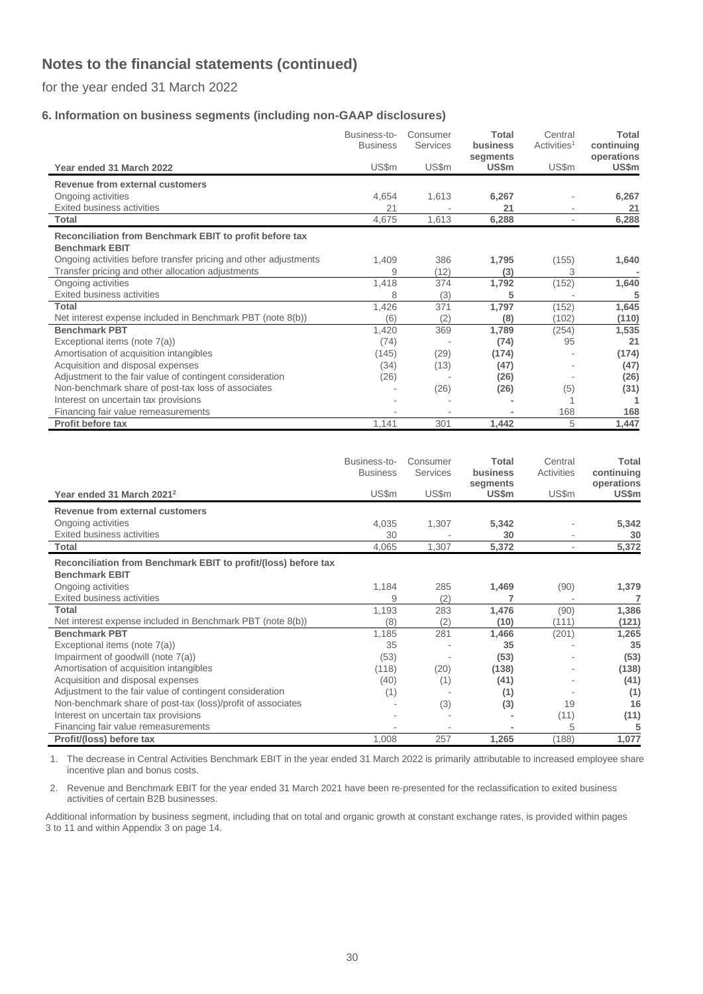for the year ended 31 March 2022

## **6. Information on business segments (including non-GAAP disclosures)**

|                                                                                  | Business-to-<br><b>Business</b> | Consumer<br>Services | <b>Total</b><br>business<br>segments | Central<br>Activities <sup>1</sup> | <b>Total</b><br>continuing<br>operations |
|----------------------------------------------------------------------------------|---------------------------------|----------------------|--------------------------------------|------------------------------------|------------------------------------------|
| Year ended 31 March 2022                                                         | US\$m                           | US\$m                | US\$m                                | US\$m                              | US\$m                                    |
| Revenue from external customers                                                  |                                 |                      |                                      |                                    |                                          |
| Ongoing activities                                                               | 4,654                           | 1,613                | 6,267                                |                                    | 6,267                                    |
| Exited business activities                                                       | 21                              |                      | 21                                   |                                    | 21                                       |
| Total                                                                            | 4,675                           | 1,613                | 6,288                                | $\overline{\phantom{a}}$           | 6,288                                    |
| Reconciliation from Benchmark EBIT to profit before tax<br><b>Benchmark EBIT</b> |                                 |                      |                                      |                                    |                                          |
| Ongoing activities before transfer pricing and other adjustments                 | 1,409                           | 386                  | 1,795                                | (155)                              | 1,640                                    |
| Transfer pricing and other allocation adjustments                                | 9                               | (12)                 | (3)                                  | 3                                  |                                          |
| Ongoing activities                                                               | 1,418                           | 374                  | 1,792                                | (152)                              | 1,640                                    |
| Exited business activities                                                       | 8                               | (3)                  | 5                                    |                                    | 5                                        |
| <b>Total</b>                                                                     | 1,426                           | 371                  | 1,797                                | (152)                              | 1,645                                    |
| Net interest expense included in Benchmark PBT (note 8(b))                       | (6)                             | (2)                  | (8)                                  | (102)                              | (110)                                    |
| <b>Benchmark PBT</b>                                                             | 1,420                           | 369                  | 1,789                                | (254)                              | 1,535                                    |
| Exceptional items (note 7(a))                                                    | (74)                            |                      | (74)                                 | 95                                 | 21                                       |
| Amortisation of acquisition intangibles                                          | (145)                           | (29)                 | (174)                                |                                    | (174)                                    |
| Acquisition and disposal expenses                                                | (34)                            | (13)                 | (47)                                 |                                    | (47)                                     |
| Adjustment to the fair value of contingent consideration                         | (26)                            |                      | (26)                                 |                                    | (26)                                     |
| Non-benchmark share of post-tax loss of associates                               |                                 | (26)                 | (26)                                 | (5)                                | (31)                                     |
| Interest on uncertain tax provisions                                             |                                 |                      |                                      |                                    |                                          |
| Financing fair value remeasurements                                              |                                 |                      |                                      | 168                                | 168                                      |
| Profit before tax                                                                | 1,141                           | 301                  | 1,442                                | 5                                  | 1,447                                    |

|                                                                                         | Business-to-<br><b>Business</b> | Consumer<br>Services | Total<br>business<br>segments | Central<br><b>Activities</b> | Total<br>continuing<br>operations |
|-----------------------------------------------------------------------------------------|---------------------------------|----------------------|-------------------------------|------------------------------|-----------------------------------|
| Year ended 31 March 2021 <sup>2</sup>                                                   | US\$m                           | US\$m                | US\$m                         | US\$m                        | US\$m                             |
| Revenue from external customers                                                         |                                 |                      |                               |                              |                                   |
| Ongoing activities                                                                      | 4,035                           | 1,307                | 5,342                         |                              | 5,342                             |
| <b>Exited business activities</b>                                                       | 30                              |                      | 30                            |                              | 30                                |
| <b>Total</b>                                                                            | 4,065                           | 1,307                | 5,372                         | $\overline{\phantom{a}}$     | 5,372                             |
| Reconciliation from Benchmark EBIT to profit/(loss) before tax<br><b>Benchmark EBIT</b> |                                 |                      |                               |                              |                                   |
| Ongoing activities                                                                      | 1,184                           | 285                  | 1,469                         | (90)                         | 1,379                             |
| <b>Exited business activities</b>                                                       | 9                               | (2)                  |                               |                              |                                   |
| Total                                                                                   | 1,193                           | 283                  | 1,476                         | (90)                         | 1,386                             |
| Net interest expense included in Benchmark PBT (note 8(b))                              | (8)                             | (2)                  | (10)                          | (111)                        | (121)                             |
| <b>Benchmark PBT</b>                                                                    | 1,185                           | 281                  | 1,466                         | (201)                        | 1,265                             |
| Exceptional items (note 7(a))                                                           | 35                              |                      | 35                            |                              | 35                                |
| Impairment of goodwill (note 7(a))                                                      | (53)                            |                      | (53)                          |                              | (53)                              |
| Amortisation of acquisition intangibles                                                 | (118)                           | (20)                 | (138)                         |                              | (138)                             |
| Acquisition and disposal expenses                                                       | (40)                            | (1)                  | (41)                          |                              | (41)                              |
| Adjustment to the fair value of contingent consideration                                | (1)                             |                      | (1)                           |                              | (1)                               |
| Non-benchmark share of post-tax (loss)/profit of associates                             |                                 | (3)                  | (3)                           | 19                           | 16                                |
| Interest on uncertain tax provisions                                                    |                                 |                      |                               | (11)                         | (11)                              |
| Financing fair value remeasurements                                                     |                                 |                      |                               | 5                            | 5                                 |
| Profit/(loss) before tax                                                                | 1,008                           | 257                  | 1,265                         | (188)                        | 1,077                             |

1. The decrease in Central Activities Benchmark EBIT in the year ended 31 March 2022 is primarily attributable to increased employee share incentive plan and bonus costs.

2. Revenue and Benchmark EBIT for the year ended 31 March 2021 have been re-presented for the reclassification to exited business activities of certain B2B businesses.

Additional information by business segment, including that on total and organic growth at constant exchange rates, is provided within pages 3 to 11 and within Appendix 3 on page 14.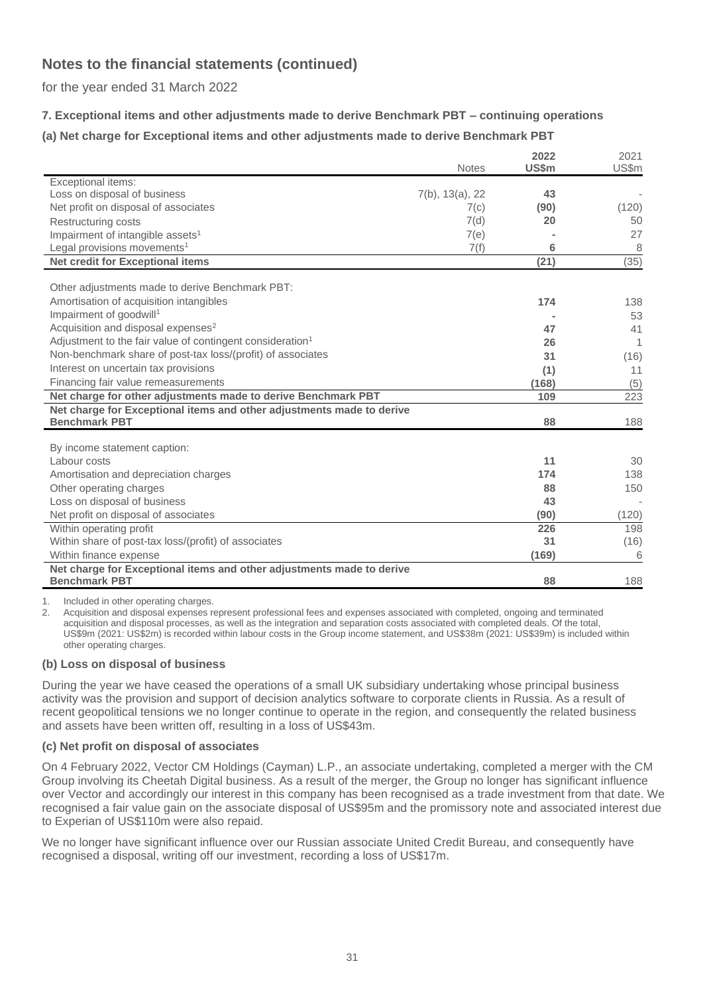for the year ended 31 March 2022

## **7. Exceptional items and other adjustments made to derive Benchmark PBT – continuing operations**

## **(a) Net charge for Exceptional items and other adjustments made to derive Benchmark PBT**

|                                                                                               | <b>Notes</b>       | 2022<br><b>US\$m</b> | 2021<br>US\$m |
|-----------------------------------------------------------------------------------------------|--------------------|----------------------|---------------|
| Exceptional items:                                                                            |                    |                      |               |
| Loss on disposal of business                                                                  | $7(b)$ , 13(a), 22 | 43                   |               |
| Net profit on disposal of associates                                                          | 7(c)               | (90)                 | (120)         |
| <b>Restructuring costs</b>                                                                    | 7(d)               | 20                   | 50            |
| Impairment of intangible assets <sup>1</sup>                                                  | 7(e)               |                      | 27            |
| Legal provisions movements <sup>1</sup>                                                       | 7(f)               | 6                    | 8             |
| <b>Net credit for Exceptional items</b>                                                       |                    | (21)                 | (35)          |
| Other adjustments made to derive Benchmark PBT:                                               |                    |                      |               |
| Amortisation of acquisition intangibles                                                       |                    | 174                  | 138           |
| Impairment of goodwill <sup>1</sup>                                                           |                    |                      | 53            |
| Acquisition and disposal expenses <sup>2</sup>                                                |                    | 47                   | 41            |
| Adjustment to the fair value of contingent consideration <sup>1</sup>                         |                    | 26                   | 1             |
| Non-benchmark share of post-tax loss/(profit) of associates                                   |                    | 31                   | (16)          |
| Interest on uncertain tax provisions                                                          |                    | (1)                  | 11            |
| Financing fair value remeasurements                                                           |                    | (168)                | (5)           |
| Net charge for other adjustments made to derive Benchmark PBT                                 |                    | 109                  | 223           |
| Net charge for Exceptional items and other adjustments made to derive                         |                    |                      |               |
| <b>Benchmark PBT</b>                                                                          |                    | 88                   | 188           |
| By income statement caption:                                                                  |                    |                      |               |
| Labour costs                                                                                  |                    | 11                   | 30            |
| Amortisation and depreciation charges                                                         |                    | 174                  | 138           |
| Other operating charges                                                                       |                    | 88                   | 150           |
| Loss on disposal of business                                                                  |                    | 43                   |               |
| Net profit on disposal of associates                                                          |                    | (90)                 | (120)         |
| Within operating profit                                                                       |                    | 226                  | 198           |
| Within share of post-tax loss/(profit) of associates                                          |                    | 31                   | (16)          |
| Within finance expense                                                                        |                    | (169)                | 6             |
| Net charge for Exceptional items and other adjustments made to derive<br><b>Benchmark PBT</b> |                    | 88                   | 188           |

1. Included in other operating charges.

2. Acquisition and disposal expenses represent professional fees and expenses associated with completed, ongoing and terminated acquisition and disposal processes, as well as the integration and separation costs associated with completed deals. Of the total, US\$9m (2021: US\$2m) is recorded within labour costs in the Group income statement, and US\$38m (2021: US\$39m) is included within other operating charges.

### **(b) Loss on disposal of business**

During the year we have ceased the operations of a small UK subsidiary undertaking whose principal business activity was the provision and support of decision analytics software to corporate clients in Russia. As a result of recent geopolitical tensions we no longer continue to operate in the region, and consequently the related business and assets have been written off, resulting in a loss of US\$43m.

### **(c) Net profit on disposal of associates**

On 4 February 2022, Vector CM Holdings (Cayman) L.P., an associate undertaking, completed a merger with the CM Group involving its Cheetah Digital business. As a result of the merger, the Group no longer has significant influence over Vector and accordingly our interest in this company has been recognised as a trade investment from that date. We recognised a fair value gain on the associate disposal of US\$95m and the promissory note and associated interest due to Experian of US\$110m were also repaid.

We no longer have significant influence over our Russian associate United Credit Bureau, and consequently have recognised a disposal, writing off our investment, recording a loss of US\$17m.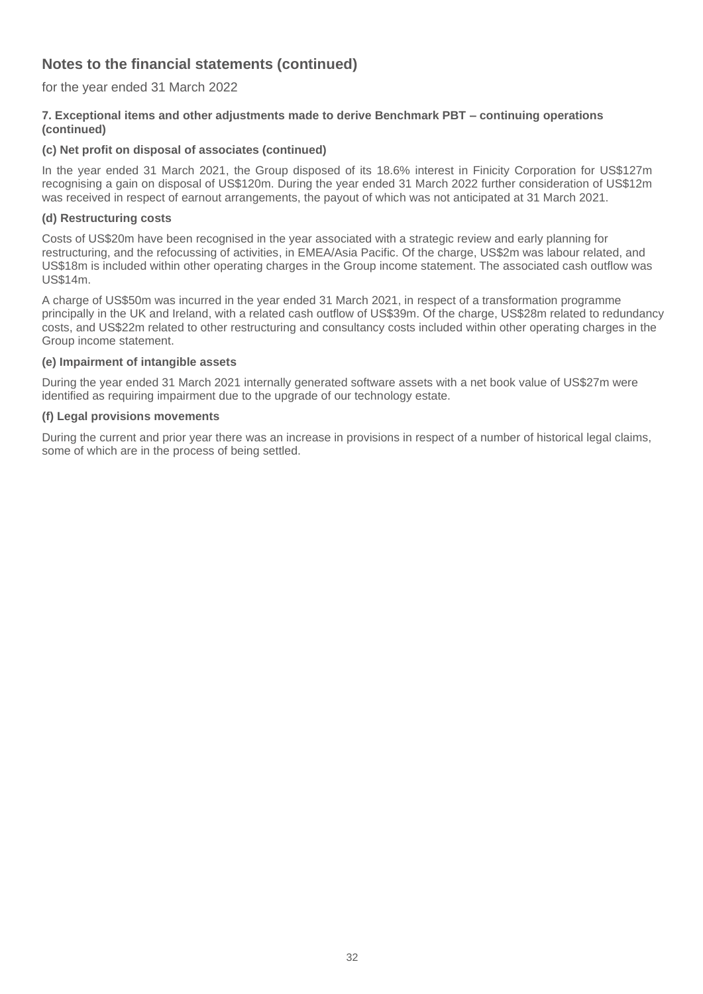for the year ended 31 March 2022

### **7. Exceptional items and other adjustments made to derive Benchmark PBT – continuing operations (continued)**

## **(c) Net profit on disposal of associates (continued)**

In the year ended 31 March 2021, the Group disposed of its 18.6% interest in Finicity Corporation for US\$127m recognising a gain on disposal of US\$120m. During the year ended 31 March 2022 further consideration of US\$12m was received in respect of earnout arrangements, the payout of which was not anticipated at 31 March 2021.

### **(d) Restructuring costs**

Costs of US\$20m have been recognised in the year associated with a strategic review and early planning for restructuring, and the refocussing of activities, in EMEA/Asia Pacific. Of the charge, US\$2m was labour related, and US\$18m is included within other operating charges in the Group income statement. The associated cash outflow was US\$14m.

A charge of US\$50m was incurred in the year ended 31 March 2021, in respect of a transformation programme principally in the UK and Ireland, with a related cash outflow of US\$39m. Of the charge, US\$28m related to redundancy costs, and US\$22m related to other restructuring and consultancy costs included within other operating charges in the Group income statement.

#### **(e) Impairment of intangible assets**

During the year ended 31 March 2021 internally generated software assets with a net book value of US\$27m were identified as requiring impairment due to the upgrade of our technology estate.

#### **(f) Legal provisions movements**

During the current and prior year there was an increase in provisions in respect of a number of historical legal claims, some of which are in the process of being settled.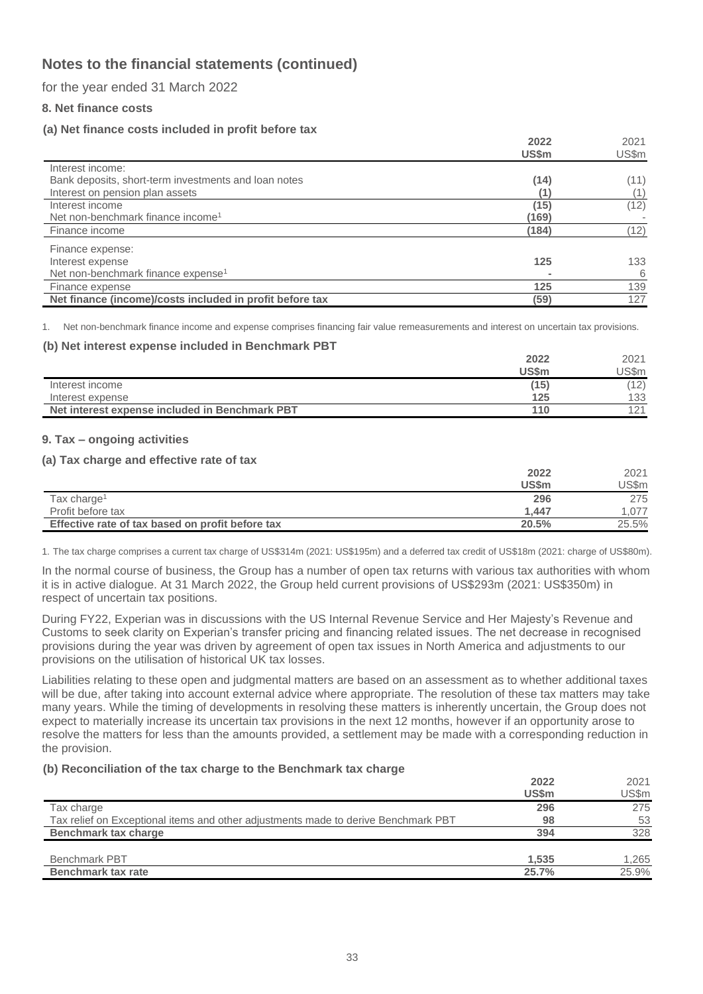for the year ended 31 March 2022

### **8. Net finance costs**

## **(a) Net finance costs included in profit before tax**

|                                                          | 2022  | 2021  |
|----------------------------------------------------------|-------|-------|
|                                                          | US\$m | US\$m |
| Interest income:                                         |       |       |
| Bank deposits, short-term investments and loan notes     | (14)  | (11)  |
| Interest on pension plan assets                          |       |       |
| Interest income                                          | (15)  | (12)  |
| Net non-benchmark finance income <sup>1</sup>            | (169) |       |
| Finance income                                           | (184) | (12)  |
| Finance expense:                                         |       |       |
| Interest expense                                         | 125   | 133   |
| Net non-benchmark finance expense <sup>1</sup>           |       | 6     |
| Finance expense                                          | 125   | 139   |
| Net finance (income)/costs included in profit before tax | (59)  | 127   |

1. Net non-benchmark finance income and expense comprises financing fair value remeasurements and interest on uncertain tax provisions.

#### **(b) Net interest expense included in Benchmark PBT**

|                                                | 2022  | 2021  |
|------------------------------------------------|-------|-------|
|                                                | US\$m | JS\$m |
| Interest income                                | (15)  | (12)  |
| Interest expense                               | 125   | 133   |
| Net interest expense included in Benchmark PBT | 110   | 121   |

#### **9. Tax – ongoing activities**

#### **(a) Tax charge and effective rate of tax**

|                                                  | 2022  | 2021  |
|--------------------------------------------------|-------|-------|
|                                                  | US\$m | US\$m |
| Tax charge <sup>1</sup>                          | 296   | 275   |
| Profit before tax                                | 1.447 | .077  |
| Effective rate of tax based on profit before tax | 20.5% | 25.5% |

1. The tax charge comprises a current tax charge of US\$314m (2021: US\$195m) and a deferred tax credit of US\$18m (2021: charge of US\$80m).

In the normal course of business, the Group has a number of open tax returns with various tax authorities with whom it is in active dialogue. At 31 March 2022, the Group held current provisions of US\$293m (2021: US\$350m) in respect of uncertain tax positions.

During FY22, Experian was in discussions with the US Internal Revenue Service and Her Majesty's Revenue and Customs to seek clarity on Experian's transfer pricing and financing related issues. The net decrease in recognised provisions during the year was driven by agreement of open tax issues in North America and adjustments to our provisions on the utilisation of historical UK tax losses.

Liabilities relating to these open and judgmental matters are based on an assessment as to whether additional taxes will be due, after taking into account external advice where appropriate. The resolution of these tax matters may take many years. While the timing of developments in resolving these matters is inherently uncertain, the Group does not expect to materially increase its uncertain tax provisions in the next 12 months, however if an opportunity arose to resolve the matters for less than the amounts provided, a settlement may be made with a corresponding reduction in the provision.

#### **(b) Reconciliation of the tax charge to the Benchmark tax charge**

|                                                                                    | 2022<br><b>US\$m</b> | 2021<br>US\$m |
|------------------------------------------------------------------------------------|----------------------|---------------|
| Tax charge                                                                         | 296                  | 275           |
| Tax relief on Exceptional items and other adjustments made to derive Benchmark PBT | 98                   | 53            |
| Benchmark tax charge                                                               | 394                  | 328           |
|                                                                                    |                      |               |
| <b>Benchmark PBT</b>                                                               | 1.535                | 1,265         |
| <b>Benchmark tax rate</b>                                                          | 25.7%                | 25.9%         |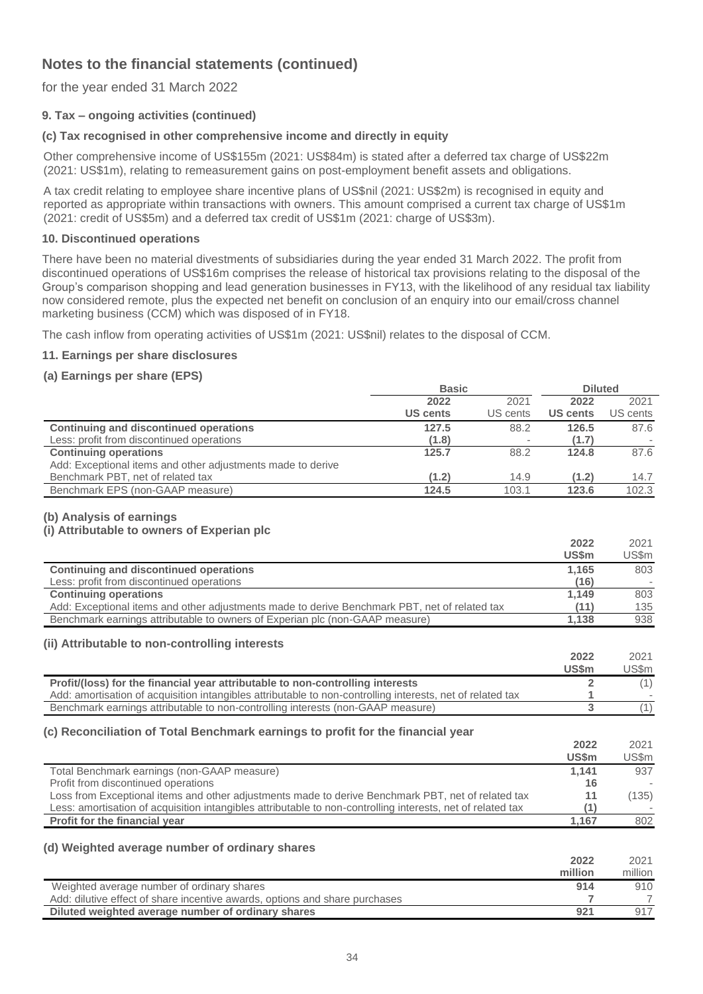for the year ended 31 March 2022

## **9. Tax – ongoing activities (continued)**

## **(c) Tax recognised in other comprehensive income and directly in equity**

Other comprehensive income of US\$155m (2021: US\$84m) is stated after a deferred tax charge of US\$22m (2021: US\$1m), relating to remeasurement gains on post-employment benefit assets and obligations.

A tax credit relating to employee share incentive plans of US\$nil (2021: US\$2m) is recognised in equity and reported as appropriate within transactions with owners. This amount comprised a current tax charge of US\$1m (2021: credit of US\$5m) and a deferred tax credit of US\$1m (2021: charge of US\$3m).

#### **10. Discontinued operations**

There have been no material divestments of subsidiaries during the year ended 31 March 2022. The profit from discontinued operations of US\$16m comprises the release of historical tax provisions relating to the disposal of the Group's comparison shopping and lead generation businesses in FY13, with the likelihood of any residual tax liability now considered remote, plus the expected net benefit on conclusion of an enquiry into our email/cross channel marketing business (CCM) which was disposed of in FY18.

The cash inflow from operating activities of US\$1m (2021: US\$nil) relates to the disposal of CCM.

### **11. Earnings per share disclosures**

### **(a) Earnings per share (EPS)**

|                                                             | <b>Basic</b>    |          | <b>Diluted</b>  |          |
|-------------------------------------------------------------|-----------------|----------|-----------------|----------|
|                                                             | 2022            | 2021     | 2022            | 2021     |
|                                                             | <b>US cents</b> | US cents | <b>US cents</b> | US cents |
| <b>Continuing and discontinued operations</b>               | 127.5           | 88.2     | 126.5           | 87.6     |
| Less: profit from discontinued operations                   | (1.8)           |          | (1.7)           |          |
| <b>Continuing operations</b>                                | 125.7           | 88.2     | 124.8           | 87.6     |
| Add: Exceptional items and other adjustments made to derive |                 |          |                 |          |
| Benchmark PBT, net of related tax                           | (1.2)           | 14.9     | (1.2)           | 14.7     |
| Benchmark EPS (non-GAAP measure)                            | 124.5           | 103.1    | 123.6           | 102.3    |

#### **(b) Analysis of earnings**

### **(i) Attributable to owners of Experian plc**

|                                                                                               | 2022         | 2021  |
|-----------------------------------------------------------------------------------------------|--------------|-------|
|                                                                                               | <b>US\$m</b> | US\$m |
| Continuing and discontinued operations                                                        | 1.165        | 803   |
| Less: profit from discontinued operations                                                     | (16)         |       |
| <b>Continuing operations</b>                                                                  | 1.149        | 803   |
| Add: Exceptional items and other adjustments made to derive Benchmark PBT, net of related tax | (11)         | 135   |
| Benchmark earnings attributable to owners of Experian plc (non-GAAP measure)                  | 1.138        | 938   |

#### **(ii) Attributable to non-controlling interests**

|                                                                                                            | 2022  | 2021  |
|------------------------------------------------------------------------------------------------------------|-------|-------|
|                                                                                                            | US\$m | US\$m |
| Profit/(loss) for the financial year attributable to non-controlling interests                             |       |       |
| Add: amortisation of acquisition intangibles attributable to non-controlling interests, net of related tax |       |       |
| Benchmark earnings attributable to non-controlling interests (non-GAAP measure)                            |       |       |

#### **(c) Reconciliation of Total Benchmark earnings to profit for the financial year**

|                                                                                                             | 2022         | 2021                     |
|-------------------------------------------------------------------------------------------------------------|--------------|--------------------------|
|                                                                                                             | <b>US\$m</b> | US\$m                    |
| Total Benchmark earnings (non-GAAP measure)                                                                 | 1.141        | 937                      |
| Profit from discontinued operations                                                                         | 16           |                          |
| Loss from Exceptional items and other adjustments made to derive Benchmark PBT, net of related tax          |              | (135)                    |
| Less: amortisation of acquisition intangibles attributable to non-controlling interests, net of related tax |              | $\overline{\phantom{a}}$ |
| <b>Profit for the financial year</b>                                                                        | 1.167        | 802                      |

### **(d) Weighted average number of ordinary shares**

|                                                                             | 2022    | 2021    |
|-----------------------------------------------------------------------------|---------|---------|
|                                                                             | million | million |
| Weighted average number of ordinary shares                                  | 914     | 910     |
| Add: dilutive effect of share incentive awards, options and share purchases |         |         |
| Diluted weighted average number of ordinary shares                          | 921     | 917     |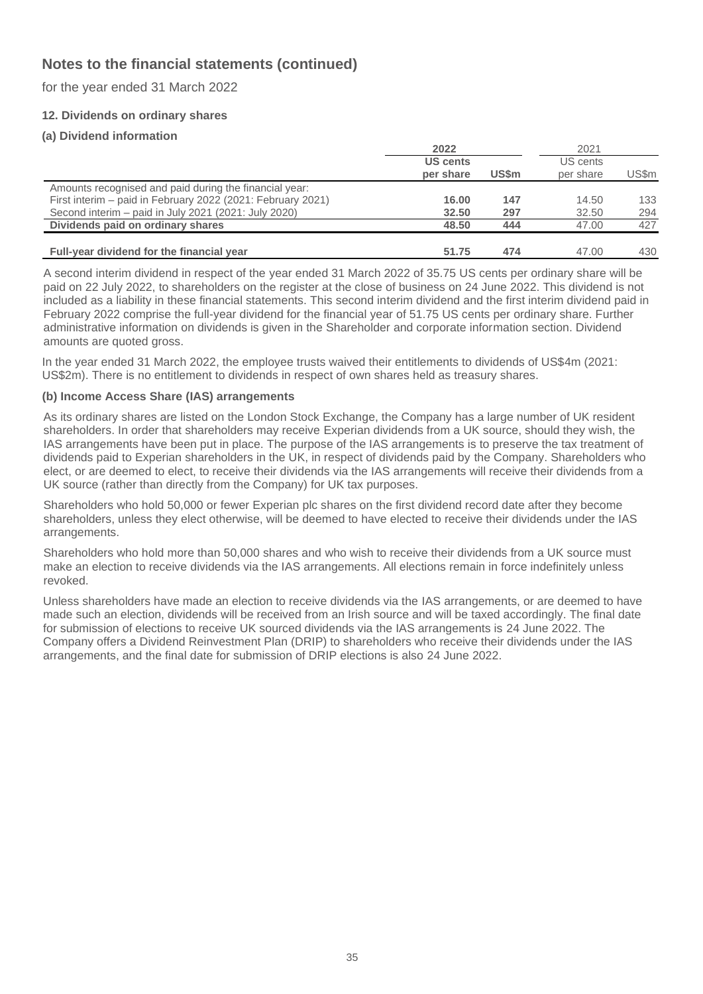for the year ended 31 March 2022

## **12. Dividends on ordinary shares**

## **(a) Dividend information**

|                                                             | 2022                         |       | 2021                  |       |
|-------------------------------------------------------------|------------------------------|-------|-----------------------|-------|
|                                                             | <b>US cents</b><br>per share | US\$m | US cents<br>per share | US\$m |
| Amounts recognised and paid during the financial year:      |                              |       |                       |       |
| First interim – paid in February 2022 (2021: February 2021) | 16.00                        | 147   | 14.50                 | 133   |
| Second interim – paid in July 2021 (2021: July 2020)        | 32.50                        | 297   | 32.50                 | 294   |
| Dividends paid on ordinary shares                           | 48.50                        | 444   | 47.00                 | 427   |
| Full-year dividend for the financial year                   | 51.75                        | 474   | 47.00                 | 430   |

A second interim dividend in respect of the year ended 31 March 2022 of 35.75 US cents per ordinary share will be paid on 22 July 2022, to shareholders on the register at the close of business on 24 June 2022. This dividend is not included as a liability in these financial statements. This second interim dividend and the first interim dividend paid in February 2022 comprise the full-year dividend for the financial year of 51.75 US cents per ordinary share. Further administrative information on dividends is given in the Shareholder and corporate information section. Dividend amounts are quoted gross.

In the year ended 31 March 2022, the employee trusts waived their entitlements to dividends of US\$4m (2021: US\$2m). There is no entitlement to dividends in respect of own shares held as treasury shares.

### **(b) Income Access Share (IAS) arrangements**

As its ordinary shares are listed on the London Stock Exchange, the Company has a large number of UK resident shareholders. In order that shareholders may receive Experian dividends from a UK source, should they wish, the IAS arrangements have been put in place. The purpose of the IAS arrangements is to preserve the tax treatment of dividends paid to Experian shareholders in the UK, in respect of dividends paid by the Company. Shareholders who elect, or are deemed to elect, to receive their dividends via the IAS arrangements will receive their dividends from a UK source (rather than directly from the Company) for UK tax purposes.

Shareholders who hold 50,000 or fewer Experian plc shares on the first dividend record date after they become shareholders, unless they elect otherwise, will be deemed to have elected to receive their dividends under the IAS arrangements.

Shareholders who hold more than 50,000 shares and who wish to receive their dividends from a UK source must make an election to receive dividends via the IAS arrangements. All elections remain in force indefinitely unless revoked.

Unless shareholders have made an election to receive dividends via the IAS arrangements, or are deemed to have made such an election, dividends will be received from an Irish source and will be taxed accordingly. The final date for submission of elections to receive UK sourced dividends via the IAS arrangements is 24 June 2022. The Company offers a Dividend Reinvestment Plan (DRIP) to shareholders who receive their dividends under the IAS arrangements, and the final date for submission of DRIP elections is also 24 June 2022.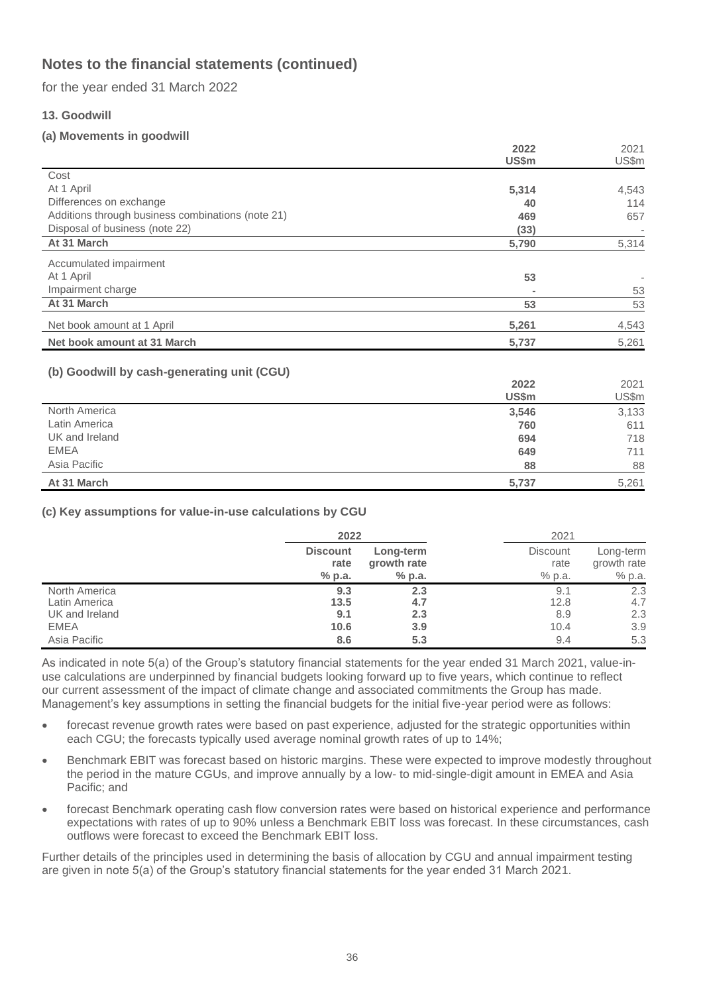for the year ended 31 March 2022

## **13. Goodwill**

## **(a) Movements in goodwill**

|                                                   | 2022  | 2021  |
|---------------------------------------------------|-------|-------|
|                                                   | US\$m | US\$m |
| Cost                                              |       |       |
| At 1 April                                        | 5,314 | 4,543 |
| Differences on exchange                           | 40    | 114   |
| Additions through business combinations (note 21) | 469   | 657   |
| Disposal of business (note 22)                    | (33)  |       |
| At 31 March                                       | 5,790 | 5,314 |
| Accumulated impairment                            |       |       |
| At 1 April                                        | 53    |       |
| Impairment charge                                 |       | 53    |
| At 31 March                                       | 53    | 53    |
| Net book amount at 1 April                        | 5,261 | 4,543 |
| Net book amount at 31 March                       | 5,737 | 5,261 |
|                                                   |       |       |
| (b) Goodwill by cash-generating unit (CGU)        | 2022  | 2021  |
|                                                   | US\$m | US\$m |
| North America                                     | 3,546 | 3,133 |
| Latin America                                     | 760   | 611   |
| UK and Ireland                                    | 694   | 718   |
| <b>EMEA</b>                                       | 649   | 711   |
| Asia Pacific                                      | 88    | 88    |

#### **At 31 March 5,737** 5,261

### **(c) Key assumptions for value-in-use calculations by CGU**

|                | 2022            |             | 2021            |             |
|----------------|-----------------|-------------|-----------------|-------------|
|                | <b>Discount</b> | Long-term   | <b>Discount</b> | Long-term   |
|                | rate            | growth rate | rate            | growth rate |
|                | $%$ p.a.        | $%$ p.a.    | % p.a.          | % p.a.      |
| North America  | 9.3             | 2.3         | 9.1             | 2.3         |
| Latin America  | 13.5            | 4.7         | 12.8            | 4.7         |
| UK and Ireland | 9.1             | 2.3         | 8.9             | 2.3         |
| <b>EMEA</b>    | 10.6            | 3.9         | 10.4            | 3.9         |
| Asia Pacific   | 8.6             | 5.3         | 9.4             | 5.3         |

As indicated in note 5(a) of the Group's statutory financial statements for the year ended 31 March 2021, value-inuse calculations are underpinned by financial budgets looking forward up to five years, which continue to reflect our current assessment of the impact of climate change and associated commitments the Group has made. Management's key assumptions in setting the financial budgets for the initial five-year period were as follows:

- forecast revenue growth rates were based on past experience, adjusted for the strategic opportunities within each CGU; the forecasts typically used average nominal growth rates of up to 14%;
- Benchmark EBIT was forecast based on historic margins. These were expected to improve modestly throughout the period in the mature CGUs, and improve annually by a low- to mid-single-digit amount in EMEA and Asia Pacific; and
- forecast Benchmark operating cash flow conversion rates were based on historical experience and performance expectations with rates of up to 90% unless a Benchmark EBIT loss was forecast. In these circumstances, cash outflows were forecast to exceed the Benchmark EBIT loss.

Further details of the principles used in determining the basis of allocation by CGU and annual impairment testing are given in note 5(a) of the Group's statutory financial statements for the year ended 31 March 2021.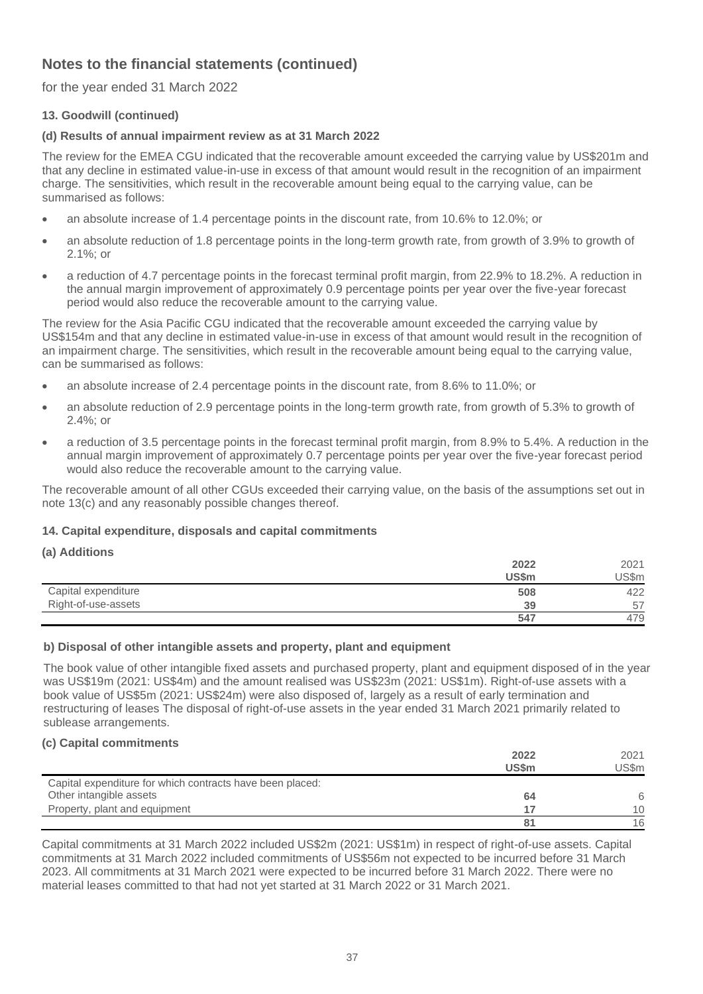for the year ended 31 March 2022

## **13. Goodwill (continued)**

## **(d) Results of annual impairment review as at 31 March 2022**

The review for the EMEA CGU indicated that the recoverable amount exceeded the carrying value by US\$201m and that any decline in estimated value-in-use in excess of that amount would result in the recognition of an impairment charge. The sensitivities, which result in the recoverable amount being equal to the carrying value, can be summarised as follows:

- an absolute increase of 1.4 percentage points in the discount rate, from 10.6% to 12.0%; or
- an absolute reduction of 1.8 percentage points in the long-term growth rate, from growth of 3.9% to growth of 2.1%; or
- a reduction of 4.7 percentage points in the forecast terminal profit margin, from 22.9% to 18.2%. A reduction in the annual margin improvement of approximately 0.9 percentage points per year over the five-year forecast period would also reduce the recoverable amount to the carrying value.

The review for the Asia Pacific CGU indicated that the recoverable amount exceeded the carrying value by US\$154m and that any decline in estimated value-in-use in excess of that amount would result in the recognition of an impairment charge. The sensitivities, which result in the recoverable amount being equal to the carrying value, can be summarised as follows:

- an absolute increase of 2.4 percentage points in the discount rate, from 8.6% to 11.0%; or
- an absolute reduction of 2.9 percentage points in the long-term growth rate, from growth of 5.3% to growth of 2.4%; or
- a reduction of 3.5 percentage points in the forecast terminal profit margin, from 8.9% to 5.4%. A reduction in the annual margin improvement of approximately 0.7 percentage points per year over the five-year forecast period would also reduce the recoverable amount to the carrying value.

The recoverable amount of all other CGUs exceeded their carrying value, on the basis of the assumptions set out in note 13(c) and any reasonably possible changes thereof.

## **14. Capital expenditure, disposals and capital commitments**

| (d) Additions       |       |       |
|---------------------|-------|-------|
|                     | 2022  | 2021  |
|                     | US\$m | JS\$m |
| Capital expenditure | 508   | 422   |
| Right-of-use-assets | 39    | 57    |
|                     | 547   | 479   |

### **b) Disposal of other intangible assets and property, plant and equipment**

The book value of other intangible fixed assets and purchased property, plant and equipment disposed of in the year was US\$19m (2021: US\$4m) and the amount realised was US\$23m (2021: US\$1m). Right-of-use assets with a book value of US\$5m (2021: US\$24m) were also disposed of, largely as a result of early termination and restructuring of leases The disposal of right-of-use assets in the year ended 31 March 2021 primarily related to sublease arrangements.

### **(c) Capital commitments**

**(a) Additions**

|                                                           | 2022         | 2021  |
|-----------------------------------------------------------|--------------|-------|
|                                                           | <b>US\$m</b> | US\$m |
| Capital expenditure for which contracts have been placed: |              |       |
| Other intangible assets                                   | 64           |       |
| Property, plant and equipment                             | 17           | 10    |
|                                                           | 81           | 16    |

Capital commitments at 31 March 2022 included US\$2m (2021: US\$1m) in respect of right-of-use assets. Capital commitments at 31 March 2022 included commitments of US\$56m not expected to be incurred before 31 March 2023. All commitments at 31 March 2021 were expected to be incurred before 31 March 2022. There were no material leases committed to that had not yet started at 31 March 2022 or 31 March 2021.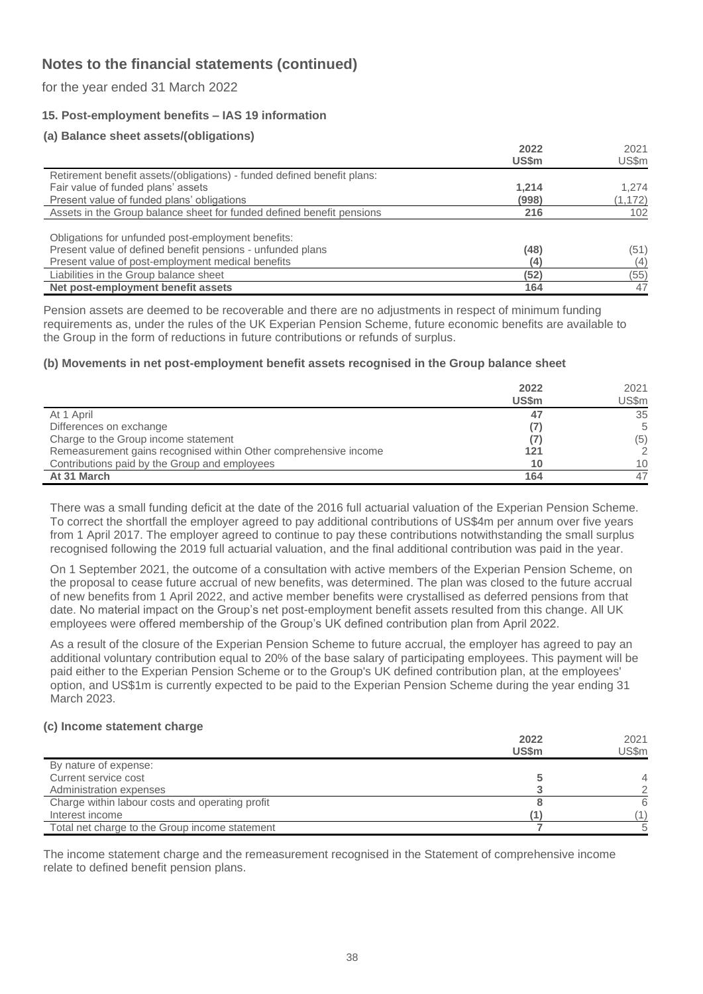for the year ended 31 March 2022

## **15. Post-employment benefits – IAS 19 information**

### **(a) Balance sheet assets/(obligations)**

|                                                                         | 2022  | 2021     |
|-------------------------------------------------------------------------|-------|----------|
|                                                                         | US\$m | US\$m    |
| Retirement benefit assets/(obligations) - funded defined benefit plans: |       |          |
| Fair value of funded plans' assets                                      | 1,214 | 1,274    |
| Present value of funded plans' obligations                              | (998) | (1, 172) |
| Assets in the Group balance sheet for funded defined benefit pensions   | 216   | 102      |
|                                                                         |       |          |
| Obligations for unfunded post-employment benefits:                      |       |          |
| Present value of defined benefit pensions - unfunded plans              | (48)  | (51)     |
| Present value of post-employment medical benefits                       | (4    | (4)      |
| Liabilities in the Group balance sheet                                  | (52)  | (55)     |
| Net post-employment benefit assets                                      | 164   | 47       |

Pension assets are deemed to be recoverable and there are no adjustments in respect of minimum funding requirements as, under the rules of the UK Experian Pension Scheme, future economic benefits are available to the Group in the form of reductions in future contributions or refunds of surplus.

#### **(b) Movements in net post-employment benefit assets recognised in the Group balance sheet**

|                                                                  | 2022<br><b>US\$m</b> | 2021<br>US\$m   |
|------------------------------------------------------------------|----------------------|-----------------|
| At 1 April                                                       | 47                   | 35              |
| Differences on exchange                                          |                      | 5               |
| Charge to the Group income statement                             |                      | (5)             |
| Remeasurement gains recognised within Other comprehensive income | 121                  |                 |
| Contributions paid by the Group and employees                    | 10                   | 10 <sup>1</sup> |
| At 31 March                                                      | 164                  | 47              |

There was a small funding deficit at the date of the 2016 full actuarial valuation of the Experian Pension Scheme. To correct the shortfall the employer agreed to pay additional contributions of US\$4m per annum over five years from 1 April 2017. The employer agreed to continue to pay these contributions notwithstanding the small surplus recognised following the 2019 full actuarial valuation, and the final additional contribution was paid in the year.

On 1 September 2021, the outcome of a consultation with active members of the Experian Pension Scheme, on the proposal to cease future accrual of new benefits, was determined. The plan was closed to the future accrual of new benefits from 1 April 2022, and active member benefits were crystallised as deferred pensions from that date. No material impact on the Group's net post-employment benefit assets resulted from this change. All UK employees were offered membership of the Group's UK defined contribution plan from April 2022.

As a result of the closure of the Experian Pension Scheme to future accrual, the employer has agreed to pay an additional voluntary contribution equal to 20% of the base salary of participating employees. This payment will be paid either to the Experian Pension Scheme or to the Group's UK defined contribution plan, at the employees' option, and US\$1m is currently expected to be paid to the Experian Pension Scheme during the year ending 31 March 2023.

#### **(c) Income statement charge**

|                                                 | 2022<br><b>US\$m</b> | 2021<br>US\$m |
|-------------------------------------------------|----------------------|---------------|
|                                                 |                      |               |
| By nature of expense:                           |                      |               |
| Current service cost                            |                      |               |
| Administration expenses                         |                      |               |
| Charge within labour costs and operating profit |                      | 6             |
| Interest income                                 |                      |               |
| Total net charge to the Group income statement  |                      |               |

The income statement charge and the remeasurement recognised in the Statement of comprehensive income relate to defined benefit pension plans.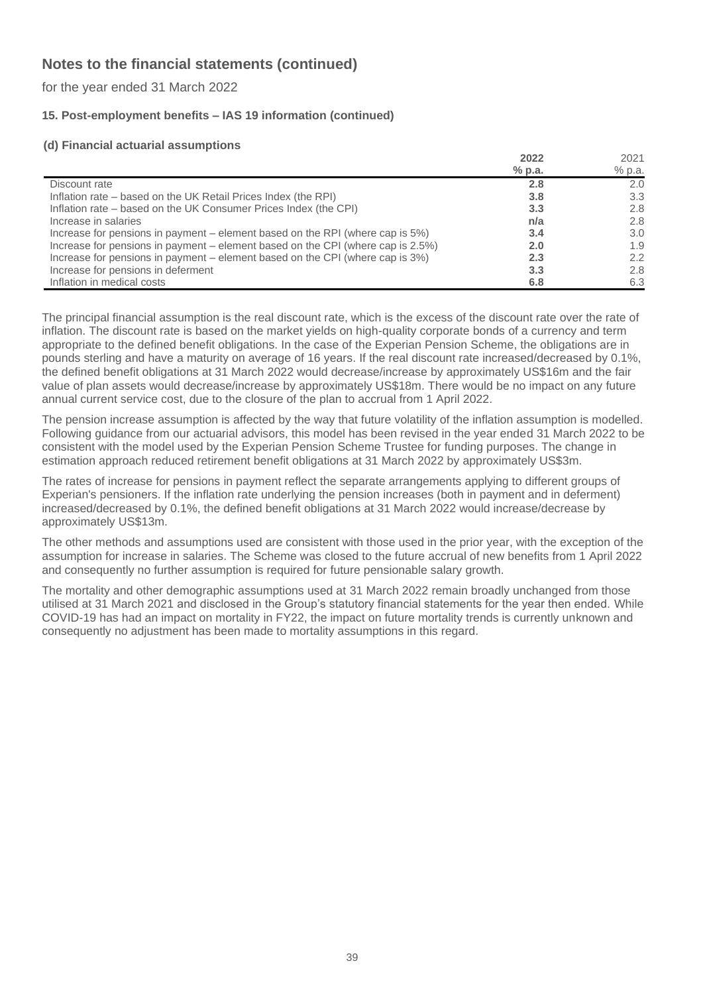for the year ended 31 March 2022

## **15. Post-employment benefits – IAS 19 information (continued)**

## **(d) Financial actuarial assumptions**

|                                                                                 | 2022     | 2021   |
|---------------------------------------------------------------------------------|----------|--------|
|                                                                                 | $%$ p.a. | % p.a. |
| Discount rate                                                                   | 2.8      | 2.0    |
| Inflation rate – based on the UK Retail Prices Index (the RPI)                  | 3.8      | 3.3    |
| Inflation rate – based on the UK Consumer Prices Index (the CPI)                | 3.3      | 2.8    |
| Increase in salaries                                                            | n/a      | 2.8    |
| Increase for pensions in payment – element based on the RPI (where cap is 5%)   | 3.4      | 3.0    |
| Increase for pensions in payment – element based on the CPI (where cap is 2.5%) | 2.0      | 1.9    |
| Increase for pensions in payment – element based on the CPI (where cap is 3%)   | 2.3      | 2.2    |
| Increase for pensions in deferment                                              | 3.3      | 2.8    |
| Inflation in medical costs                                                      | 6.8      | 6.3    |

The principal financial assumption is the real discount rate, which is the excess of the discount rate over the rate of inflation. The discount rate is based on the market yields on high-quality corporate bonds of a currency and term appropriate to the defined benefit obligations. In the case of the Experian Pension Scheme, the obligations are in pounds sterling and have a maturity on average of 16 years. If the real discount rate increased/decreased by 0.1%, the defined benefit obligations at 31 March 2022 would decrease/increase by approximately US\$16m and the fair value of plan assets would decrease/increase by approximately US\$18m. There would be no impact on any future annual current service cost, due to the closure of the plan to accrual from 1 April 2022.

The pension increase assumption is affected by the way that future volatility of the inflation assumption is modelled. Following guidance from our actuarial advisors, this model has been revised in the year ended 31 March 2022 to be consistent with the model used by the Experian Pension Scheme Trustee for funding purposes. The change in estimation approach reduced retirement benefit obligations at 31 March 2022 by approximately US\$3m.

The rates of increase for pensions in payment reflect the separate arrangements applying to different groups of Experian's pensioners. If the inflation rate underlying the pension increases (both in payment and in deferment) increased/decreased by 0.1%, the defined benefit obligations at 31 March 2022 would increase/decrease by approximately US\$13m.

The other methods and assumptions used are consistent with those used in the prior year, with the exception of the assumption for increase in salaries. The Scheme was closed to the future accrual of new benefits from 1 April 2022 and consequently no further assumption is required for future pensionable salary growth.

The mortality and other demographic assumptions used at 31 March 2022 remain broadly unchanged from those utilised at 31 March 2021 and disclosed in the Group's statutory financial statements for the year then ended. While COVID-19 has had an impact on mortality in FY22, the impact on future mortality trends is currently unknown and consequently no adjustment has been made to mortality assumptions in this regard.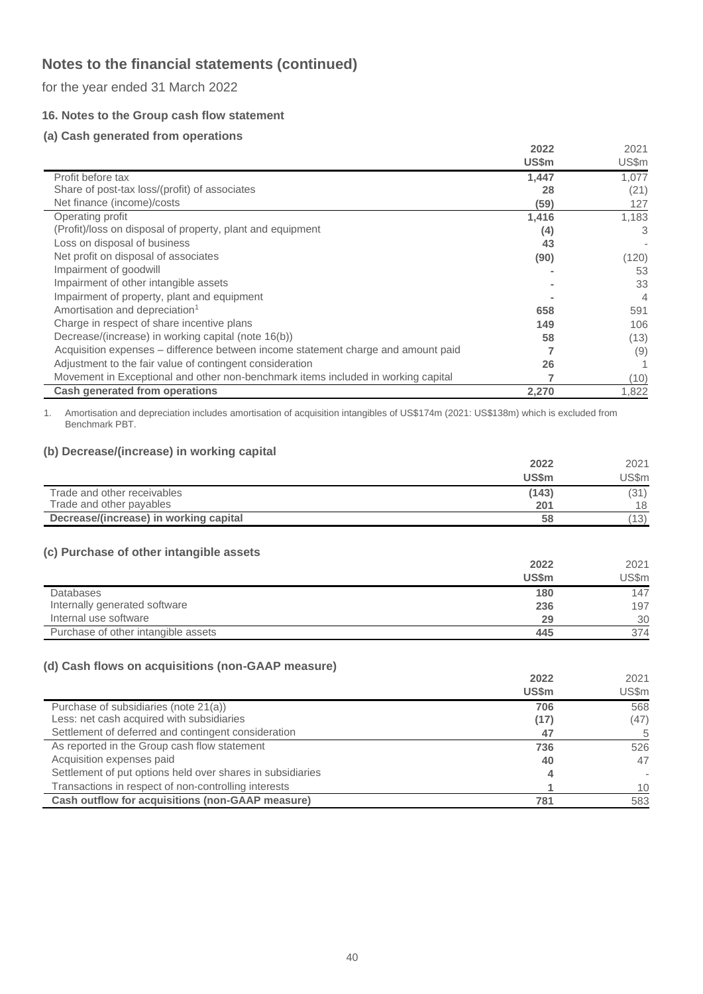for the year ended 31 March 2022

## **16. Notes to the Group cash flow statement**

## **(a) Cash generated from operations**

|                                                                                   | 2022  | 2021  |
|-----------------------------------------------------------------------------------|-------|-------|
|                                                                                   | US\$m | US\$m |
| Profit before tax                                                                 | 1,447 | 1.077 |
| Share of post-tax loss/(profit) of associates                                     | 28    | (21)  |
| Net finance (income)/costs                                                        | (59)  | 127   |
| Operating profit                                                                  | 1,416 | 1,183 |
| (Profit)/loss on disposal of property, plant and equipment                        | (4)   | 3     |
| Loss on disposal of business                                                      | 43    |       |
| Net profit on disposal of associates                                              | (90)  | (120) |
| Impairment of goodwill                                                            |       | 53    |
| Impairment of other intangible assets                                             |       | 33    |
| Impairment of property, plant and equipment                                       |       | 4     |
| Amortisation and depreciation <sup>1</sup>                                        | 658   | 591   |
| Charge in respect of share incentive plans                                        | 149   | 106   |
| Decrease/(increase) in working capital (note 16(b))                               | 58    | (13)  |
| Acquisition expenses – difference between income statement charge and amount paid |       | (9)   |
| Adjustment to the fair value of contingent consideration                          | 26    |       |
| Movement in Exceptional and other non-benchmark items included in working capital |       | (10)  |
| <b>Cash generated from operations</b>                                             | 2,270 | 1,822 |

1. Amortisation and depreciation includes amortisation of acquisition intangibles of US\$174m (2021: US\$138m) which is excluded from Benchmark PBT.

## **(b) Decrease/(increase) in working capital**

| $\sqrt{2}$ = 001 0000/11101 00000/111 11 01 111119 00 p1101 | 2022<br><b>US\$m</b> | 2021<br>US\$m |
|-------------------------------------------------------------|----------------------|---------------|
| Trade and other receivables                                 | (143)                | (31)          |
| Trade and other payables                                    | 201                  | 18            |
| Decrease/(increase) in working capital                      | 58                   | 13)           |

## **(c) Purchase of other intangible assets**

|                                     | 2022         | 2021  |
|-------------------------------------|--------------|-------|
|                                     | <b>US\$m</b> | US\$m |
| Databases                           | 180          | 147   |
| Internally generated software       | 236          | 197   |
| Internal use software               | 29           | 30    |
| Purchase of other intangible assets | 445          | 374   |

### **(d) Cash flows on acquisitions (non-GAAP measure)**

|                                                            | 2022         | 2021  |
|------------------------------------------------------------|--------------|-------|
|                                                            | <b>US\$m</b> | US\$m |
| Purchase of subsidiaries (note 21(a))                      | 706          | 568   |
| Less: net cash acquired with subsidiaries                  | (17)         | (47)  |
| Settlement of deferred and contingent consideration        | 47           | 5     |
| As reported in the Group cash flow statement               | 736          | 526   |
| Acquisition expenses paid                                  | 40           | 47    |
| Settlement of put options held over shares in subsidiaries |              |       |
| Transactions in respect of non-controlling interests       |              | 10    |
| Cash outflow for acquisitions (non-GAAP measure)           | 781          | 583   |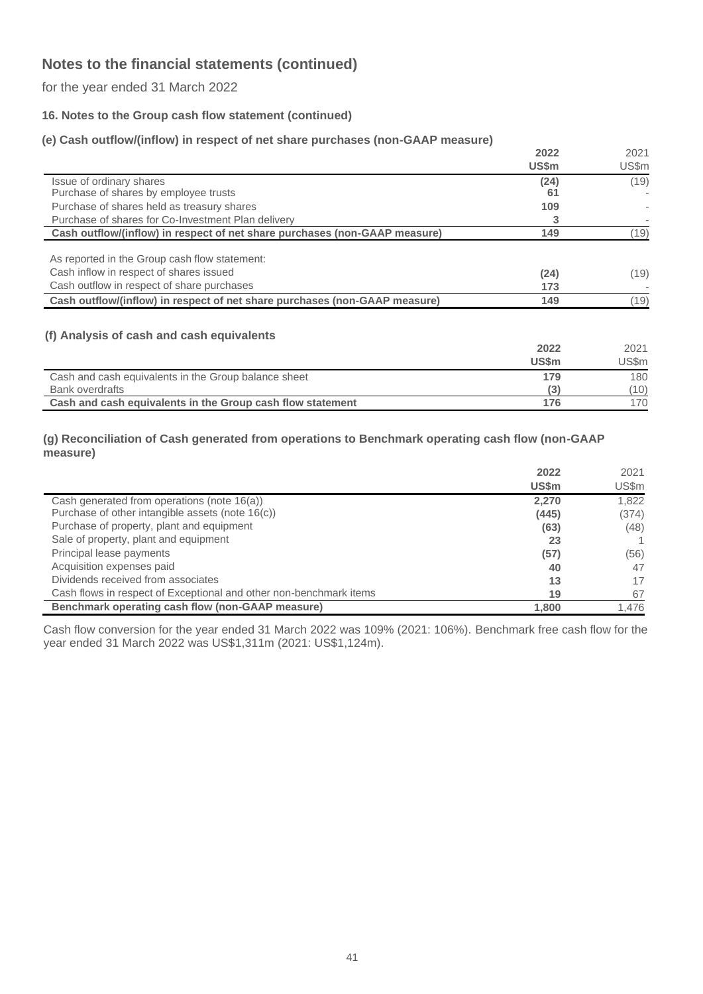for the year ended 31 March 2022

## **16. Notes to the Group cash flow statement (continued)**

## **(e) Cash outflow/(inflow) in respect of net share purchases (non-GAAP measure)**

| $\mathcal{L}$ , which can be a finite and in the position of the control parameter $\mathcal{L}$ and $\mathcal{L}$ in the control of | 2022  | 2021  |
|--------------------------------------------------------------------------------------------------------------------------------------|-------|-------|
|                                                                                                                                      |       |       |
|                                                                                                                                      | US\$m | US\$m |
| Issue of ordinary shares                                                                                                             | (24)  | (19)  |
| Purchase of shares by employee trusts                                                                                                | 61    |       |
| Purchase of shares held as treasury shares                                                                                           | 109   |       |
| Purchase of shares for Co-Investment Plan delivery                                                                                   |       |       |
| Cash outflow/(inflow) in respect of net share purchases (non-GAAP measure)                                                           | 149   | (19)  |
| As reported in the Group cash flow statement:                                                                                        |       |       |
| Cash inflow in respect of shares issued                                                                                              | (24)  | (19)  |
| Cash outflow in respect of share purchases                                                                                           | 173   |       |
| Cash outflow/(inflow) in respect of net share purchases (non-GAAP measure)                                                           | 149   | (19)  |

### **(f) Analysis of cash and cash equivalents**

|                                                            | 2022  | 2021  |
|------------------------------------------------------------|-------|-------|
|                                                            | US\$m | US\$m |
| Cash and cash equivalents in the Group balance sheet       | 179   | 180   |
| <b>Bank overdrafts</b>                                     |       | (10)  |
| Cash and cash equivalents in the Group cash flow statement | 176   | 170   |

#### **(g) Reconciliation of Cash generated from operations to Benchmark operating cash flow (non-GAAP measure)**

|                                                                    | 2022         | 2021  |
|--------------------------------------------------------------------|--------------|-------|
|                                                                    | <b>US\$m</b> | US\$m |
| Cash generated from operations (note 16(a))                        | 2,270        | 1.822 |
| Purchase of other intangible assets (note 16(c))                   | (445)        | (374) |
| Purchase of property, plant and equipment                          | (63)         | (48)  |
| Sale of property, plant and equipment                              | 23           |       |
| Principal lease payments                                           | (57)         | (56)  |
| Acquisition expenses paid                                          | 40           | 47    |
| Dividends received from associates                                 | 13           | 17    |
| Cash flows in respect of Exceptional and other non-benchmark items | 19           | 67    |
| Benchmark operating cash flow (non-GAAP measure)                   | 1,800        | 1,476 |

Cash flow conversion for the year ended 31 March 2022 was 109% (2021: 106%). Benchmark free cash flow for the year ended 31 March 2022 was US\$1,311m (2021: US\$1,124m).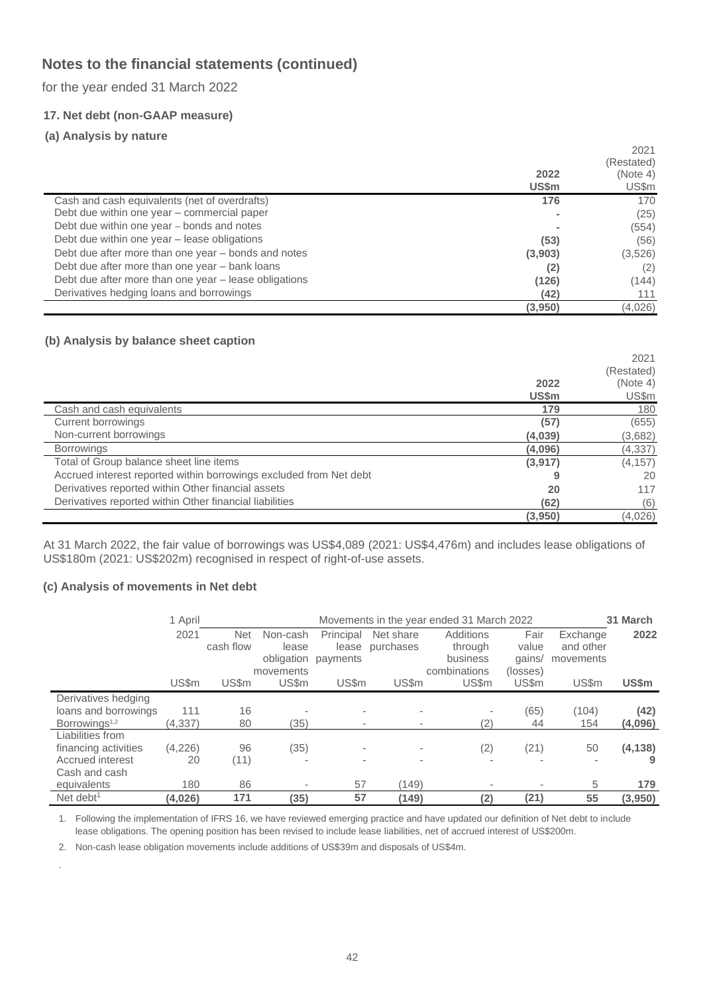for the year ended 31 March 2022

## **17. Net debt (non-GAAP measure)**

## **(a) Analysis by nature**

|                                                       |         | 2021       |
|-------------------------------------------------------|---------|------------|
|                                                       |         | (Restated) |
|                                                       | 2022    | (Note 4)   |
|                                                       | US\$m   | US\$m      |
| Cash and cash equivalents (net of overdrafts)         | 176     | 170        |
| Debt due within one year - commercial paper           |         | (25)       |
| Debt due within one year – bonds and notes            |         | (554)      |
| Debt due within one year - lease obligations          | (53)    | (56)       |
| Debt due after more than one year – bonds and notes   | (3,903) | (3,526)    |
| Debt due after more than one year - bank loans        | (2)     | (2)        |
| Debt due after more than one year - lease obligations | (126)   | (144)      |
| Derivatives hedging loans and borrowings              | (42)    | 111        |
|                                                       | (3,950) | (4,026)    |

## **(b) Analysis by balance sheet caption**

|                                                                    |         | 2021       |
|--------------------------------------------------------------------|---------|------------|
|                                                                    |         | (Restated) |
|                                                                    | 2022    | (Note 4)   |
|                                                                    | US\$m   | US\$m      |
| Cash and cash equivalents                                          | 179     | 180        |
| Current borrowings                                                 | (57)    | (655)      |
| Non-current borrowings                                             | (4,039) | (3,682)    |
| <b>Borrowings</b>                                                  | (4,096) | (4, 337)   |
| Total of Group balance sheet line items                            | (3,917) | (4, 157)   |
| Accrued interest reported within borrowings excluded from Net debt | 9       | 20         |
| Derivatives reported within Other financial assets                 | 20      | 117        |
| Derivatives reported within Other financial liabilities            | (62)    | (6)        |
|                                                                    | (3,950) | (4,026)    |

At 31 March 2022, the fair value of borrowings was US\$4,089 (2021: US\$4,476m) and includes lease obligations of US\$180m (2021: US\$202m) recognised in respect of right-of-use assets.

### **(c) Analysis of movements in Net debt**

.

|                           | 1 April  |            | 31 March<br>Movements in the year ended 31 March 2022 |                          |                          |                          |                          |           |          |
|---------------------------|----------|------------|-------------------------------------------------------|--------------------------|--------------------------|--------------------------|--------------------------|-----------|----------|
|                           | 2021     | <b>Net</b> | Non-cash                                              | Principal                | Net share                | Additions                | Fair                     | Exchange  | 2022     |
|                           |          | cash flow  | lease                                                 | lease                    | purchases                | through                  | value                    | and other |          |
|                           |          |            | obligation                                            | payments                 |                          | business                 | gains/                   | movements |          |
|                           |          |            | movements                                             |                          |                          | combinations             | (losses)                 |           |          |
|                           | US\$m    | US\$m      | US\$m                                                 | US\$m                    | US\$m                    | US\$m                    | US\$m                    | US\$m     | US\$m    |
| Derivatives hedging       |          |            |                                                       |                          |                          |                          |                          |           |          |
| loans and borrowings      | 111      | 16         |                                                       | $\overline{\phantom{a}}$ |                          |                          | (65)                     | (104)     | (42)     |
| Borrowings <sup>1,2</sup> | (4, 337) | 80         | (35)                                                  | $\,$                     | $\overline{\phantom{a}}$ | (2)                      | 44                       | 154       | (4,096)  |
| Liabilities from          |          |            |                                                       |                          |                          |                          |                          |           |          |
| financing activities      | (4,226)  | 96         | (35)                                                  | $\overline{\phantom{a}}$ | $\overline{\phantom{a}}$ | (2)                      | (21)                     | 50        | (4, 138) |
| Accrued interest          | 20       | (11)       |                                                       |                          | $\sim$                   | $\overline{\phantom{a}}$ |                          |           |          |
| Cash and cash             |          |            |                                                       |                          |                          |                          |                          |           |          |
| equivalents               | 180      | 86         |                                                       | 57                       | (149)                    |                          | $\overline{\phantom{a}}$ | 5         | 179      |
| Net debt <sup>1</sup>     | (4,026)  | 171        | (35)                                                  | 57                       | (149)                    | (2)                      | (21)                     | 55        | (3,950)  |

1. Following the implementation of IFRS 16, we have reviewed emerging practice and have updated our definition of Net debt to include lease obligations. The opening position has been revised to include lease liabilities, net of accrued interest of US\$200m.

2. Non-cash lease obligation movements include additions of US\$39m and disposals of US\$4m.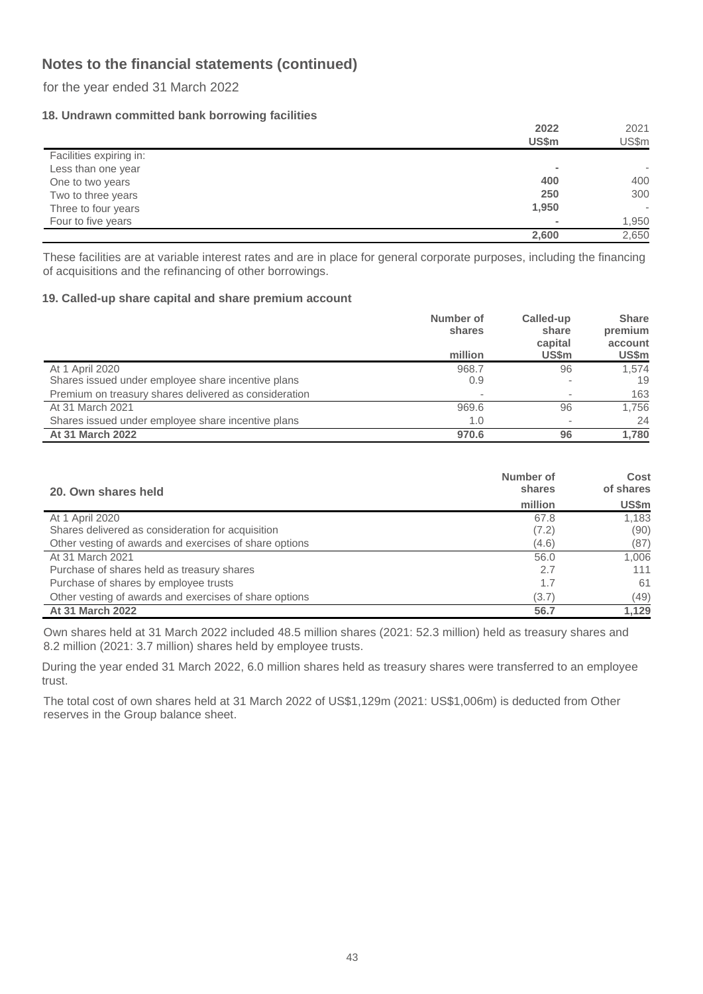for the year ended 31 March 2022

## **18. Undrawn committed bank borrowing facilities**

|                         | 2022                     | 2021  |
|-------------------------|--------------------------|-------|
|                         | US\$m                    | US\$m |
| Facilities expiring in: |                          |       |
| Less than one year      |                          |       |
| One to two years        | 400                      | 400   |
| Two to three years      | 250                      | 300   |
| Three to four years     | 1,950                    | ٠     |
| Four to five years      | $\overline{\phantom{a}}$ | 1,950 |
|                         | 2,600                    | 2,650 |

These facilities are at variable interest rates and are in place for general corporate purposes, including the financing of acquisitions and the refinancing of other borrowings.

### **19. Called-up share capital and share premium account**

|                                                       | Number of<br>shares<br>million | Called-up<br>share<br>capital<br><b>US\$m</b> | <b>Share</b><br>premium<br>account<br>US\$m |
|-------------------------------------------------------|--------------------------------|-----------------------------------------------|---------------------------------------------|
| At 1 April 2020                                       | 968.7                          | 96                                            | 1,574                                       |
| Shares issued under employee share incentive plans    | 0.9                            |                                               | 19                                          |
| Premium on treasury shares delivered as consideration |                                |                                               | 163                                         |
| At 31 March 2021                                      | 969.6                          | 96                                            | 1.756                                       |
| Shares issued under employee share incentive plans    | 1.0                            |                                               | 24                                          |
| At 31 March 2022                                      | 970.6                          | 96                                            | 1.780                                       |

| 20. Own shares held                                    | Number of<br>shares | Cost<br>of shares |
|--------------------------------------------------------|---------------------|-------------------|
|                                                        | million             | US\$m             |
| At 1 April 2020                                        | 67.8                | 1.183             |
| Shares delivered as consideration for acquisition      | (7.2)               | (90)              |
| Other vesting of awards and exercises of share options | (4.6)               | (87)              |
| At 31 March 2021                                       | 56.0                | 1,006             |
| Purchase of shares held as treasury shares             | 2.7                 | 111               |
| Purchase of shares by employee trusts                  | 1.7                 | 61                |
| Other vesting of awards and exercises of share options | (3.7)               | (49)              |
| <b>At 31 March 2022</b>                                | 56.7                | 1,129             |

Own shares held at 31 March 2022 included 48.5 million shares (2021: 52.3 million) held as treasury shares and 8.2 million (2021: 3.7 million) shares held by employee trusts.

During the year ended 31 March 2022, 6.0 million shares held as treasury shares were transferred to an employee trust.

The total cost of own shares held at 31 March 2022 of US\$1,129m (2021: US\$1,006m) is deducted from Other reserves in the Group balance sheet.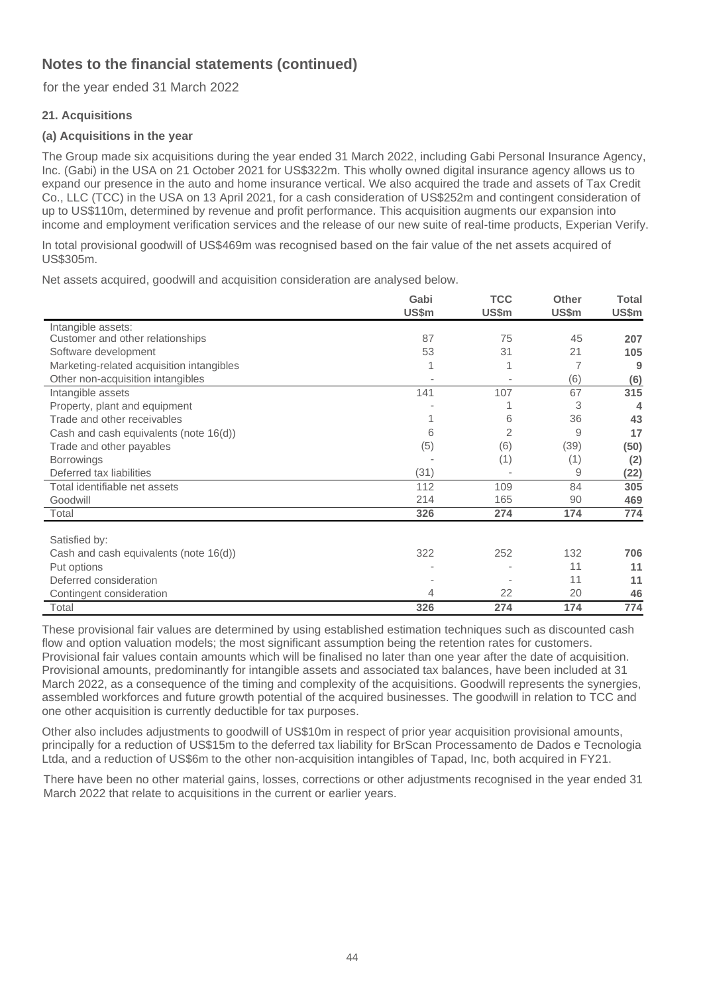for the year ended 31 March 2022

## **21. Acquisitions**

## **(a) Acquisitions in the year**

The Group made six acquisitions during the year ended 31 March 2022, including Gabi Personal Insurance Agency, Inc. (Gabi) in the USA on 21 October 2021 for US\$322m. This wholly owned digital insurance agency allows us to expand our presence in the auto and home insurance vertical. We also acquired the trade and assets of Tax Credit Co., LLC (TCC) in the USA on 13 April 2021, for a cash consideration of US\$252m and contingent consideration of up to US\$110m, determined by revenue and profit performance. This acquisition augments our expansion into income and employment verification services and the release of our new suite of real-time products, Experian Verify.

In total provisional goodwill of US\$469m was recognised based on the fair value of the net assets acquired of US\$305m.

Net assets acquired, goodwill and acquisition consideration are analysed below.

|                                           | Gabi<br>US\$m | <b>TCC</b><br>US\$m | <b>Other</b><br>US\$m | <b>Total</b><br>US\$m |
|-------------------------------------------|---------------|---------------------|-----------------------|-----------------------|
| Intangible assets:                        |               |                     |                       |                       |
| Customer and other relationships          | 87            | 75                  | 45                    | 207                   |
| Software development                      | 53            | 31                  | 21                    | 105                   |
| Marketing-related acquisition intangibles |               |                     | 7                     | 9                     |
| Other non-acquisition intangibles         |               |                     | (6)                   | (6)                   |
| Intangible assets                         | 141           | 107                 | 67                    | 315                   |
| Property, plant and equipment             |               |                     | 3                     | 4                     |
| Trade and other receivables               |               | 6                   | 36                    | 43                    |
| Cash and cash equivalents (note 16(d))    | 6             | 2                   | 9                     | 17                    |
| Trade and other payables                  | (5)           | (6)                 | (39)                  | (50)                  |
| <b>Borrowings</b>                         |               | (1)                 | (1)                   | (2)                   |
| Deferred tax liabilities                  | (31)          |                     | 9                     | (22)                  |
| Total identifiable net assets             | 112           | 109                 | 84                    | 305                   |
| Goodwill                                  | 214           | 165                 | 90                    | 469                   |
| Total                                     | 326           | 274                 | 174                   | 774                   |
| Satisfied by:                             |               |                     |                       |                       |
| Cash and cash equivalents (note 16(d))    | 322           | 252                 | 132                   | 706                   |
| Put options                               |               |                     | 11                    | 11                    |
| Deferred consideration                    |               |                     | 11                    | 11                    |
| Contingent consideration                  | 4             | 22                  | 20                    | 46                    |
| Total                                     | 326           | 274                 | 174                   | 774                   |

These provisional fair values are determined by using established estimation techniques such as discounted cash flow and option valuation models; the most significant assumption being the retention rates for customers. Provisional fair values contain amounts which will be finalised no later than one year after the date of acquisition. Provisional amounts, predominantly for intangible assets and associated tax balances, have been included at 31 March 2022, as a consequence of the timing and complexity of the acquisitions. Goodwill represents the synergies, assembled workforces and future growth potential of the acquired businesses. The goodwill in relation to TCC and one other acquisition is currently deductible for tax purposes.

Other also includes adjustments to goodwill of US\$10m in respect of prior year acquisition provisional amounts, principally for a reduction of US\$15m to the deferred tax liability for BrScan Processamento de Dados e Tecnologia Ltda, and a reduction of US\$6m to the other non-acquisition intangibles of Tapad, Inc, both acquired in FY21.

There have been no other material gains, losses, corrections or other adjustments recognised in the year ended 31 March 2022 that relate to acquisitions in the current or earlier years.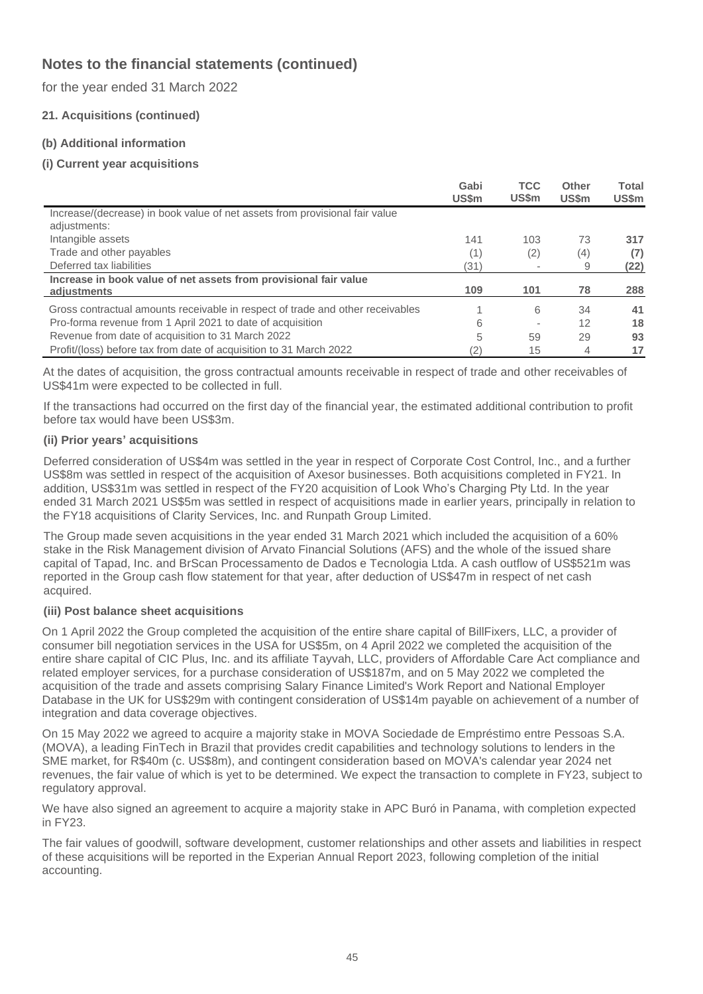for the year ended 31 March 2022

## **21. Acquisitions (continued)**

## **(b) Additional information**

## **(i) Current year acquisitions**

|                                                                                             | Gabi<br>US\$m | <b>TCC</b><br><b>US\$m</b> | Other<br>US\$m | Total<br>US\$m |
|---------------------------------------------------------------------------------------------|---------------|----------------------------|----------------|----------------|
| Increase/(decrease) in book value of net assets from provisional fair value<br>adjustments: |               |                            |                |                |
| Intangible assets                                                                           | 141           | 103                        | 73             | 317            |
| Trade and other payables                                                                    | (1)           | (2)                        | (4)            | (7)            |
| Deferred tax liabilities                                                                    | (31)          |                            | 9              | (22)           |
| Increase in book value of net assets from provisional fair value<br>adiustments             | 109           | 101                        | 78             | 288            |
| Gross contractual amounts receivable in respect of trade and other receivables              |               | 6                          | 34             | 41             |
| Pro-forma revenue from 1 April 2021 to date of acquisition                                  | 6             |                            | 12             | 18             |
| Revenue from date of acquisition to 31 March 2022                                           | 5             | 59                         | 29             | 93             |
| Profit/(loss) before tax from date of acquisition to 31 March 2022                          | 2)            | 15                         | 4              | 17             |

At the dates of acquisition, the gross contractual amounts receivable in respect of trade and other receivables of US\$41m were expected to be collected in full.

If the transactions had occurred on the first day of the financial year, the estimated additional contribution to profit before tax would have been US\$3m.

#### **(ii) Prior years' acquisitions**

Deferred consideration of US\$4m was settled in the year in respect of Corporate Cost Control, Inc., and a further US\$8m was settled in respect of the acquisition of Axesor businesses. Both acquisitions completed in FY21. In addition, US\$31m was settled in respect of the FY20 acquisition of Look Who's Charging Pty Ltd. In the year ended 31 March 2021 US\$5m was settled in respect of acquisitions made in earlier years, principally in relation to the FY18 acquisitions of Clarity Services, Inc. and Runpath Group Limited.

The Group made seven acquisitions in the year ended 31 March 2021 which included the acquisition of a 60% stake in the Risk Management division of Arvato Financial Solutions (AFS) and the whole of the issued share capital of Tapad, Inc. and BrScan Processamento de Dados e Tecnologia Ltda. A cash outflow of US\$521m was reported in the Group cash flow statement for that year, after deduction of US\$47m in respect of net cash acquired.

### **(iii) Post balance sheet acquisitions**

On 1 April 2022 the Group completed the acquisition of the entire share capital of BillFixers, LLC, a provider of consumer bill negotiation services in the USA for US\$5m, on 4 April 2022 we completed the acquisition of the entire share capital of CIC Plus, Inc. and its affiliate Tayvah, LLC, providers of Affordable Care Act compliance and related employer services, for a purchase consideration of US\$187m, and on 5 May 2022 we completed the acquisition of the trade and assets comprising Salary Finance Limited's Work Report and National Employer Database in the UK for US\$29m with contingent consideration of US\$14m payable on achievement of a number of integration and data coverage objectives.

On 15 May 2022 we agreed to acquire a majority stake in MOVA Sociedade de Empréstimo entre Pessoas S.A. (MOVA), a leading FinTech in Brazil that provides credit capabilities and technology solutions to lenders in the SME market, for R\$40m (c. US\$8m), and contingent consideration based on MOVA's calendar year 2024 net revenues, the fair value of which is yet to be determined. We expect the transaction to complete in FY23, subject to regulatory approval.

We have also signed an agreement to acquire a majority stake in APC Buró in Panama, with completion expected in FY23.

The fair values of goodwill, software development, customer relationships and other assets and liabilities in respect of these acquisitions will be reported in the Experian Annual Report 2023, following completion of the initial accounting.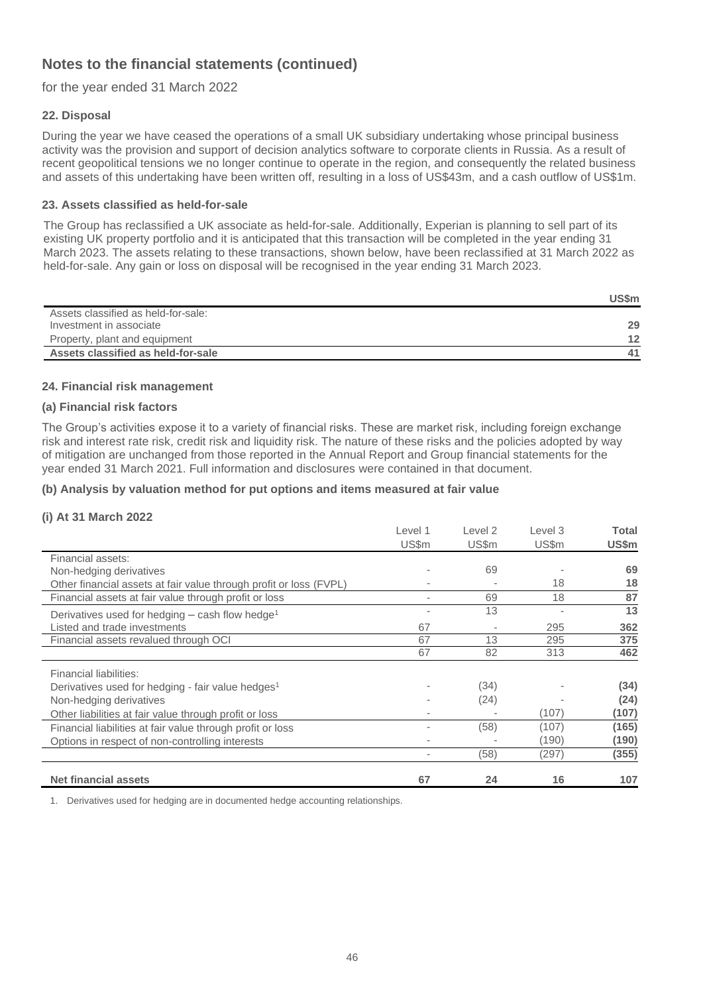for the year ended 31 March 2022

### **22. Disposal**

During the year we have ceased the operations of a small UK subsidiary undertaking whose principal business activity was the provision and support of decision analytics software to corporate clients in Russia. As a result of recent geopolitical tensions we no longer continue to operate in the region, and consequently the related business and assets of this undertaking have been written off, resulting in a loss of US\$43m, and a cash outflow of US\$1m.

#### **23. Assets classified as held-for-sale**

The Group has reclassified a UK associate as held-for-sale. Additionally, Experian is planning to sell part of its existing UK property portfolio and it is anticipated that this transaction will be completed in the year ending 31 March 2023. The assets relating to these transactions, shown below, have been reclassified at 31 March 2022 as held-for-sale. Any gain or loss on disposal will be recognised in the year ending 31 March 2023.

|                                     | US\$m |
|-------------------------------------|-------|
| Assets classified as held-for-sale: |       |
| Investment in associate             | 29    |
| Property, plant and equipment       | 12    |
| Assets classified as held-for-sale  |       |

#### **24. Financial risk management**

#### **(a) Financial risk factors**

The Group's activities expose it to a variety of financial risks. These are market risk, including foreign exchange risk and interest rate risk, credit risk and liquidity risk. The nature of these risks and the policies adopted by way of mitigation are unchanged from those reported in the Annual Report and Group financial statements for the year ended 31 March 2021. Full information and disclosures were contained in that document.

#### **(b) Analysis by valuation method for put options and items measured at fair value**

### **(i) At 31 March 2022**

|                                                                    | Level 1                  | Level 2                  | Level 3 | <b>Total</b> |
|--------------------------------------------------------------------|--------------------------|--------------------------|---------|--------------|
|                                                                    | US\$m                    | US\$m                    | US\$m   | US\$m        |
| Financial assets:                                                  |                          |                          |         |              |
| Non-hedging derivatives                                            |                          | 69                       |         | 69           |
| Other financial assets at fair value through profit or loss (FVPL) |                          |                          | 18      | 18           |
| Financial assets at fair value through profit or loss              | $\overline{\phantom{a}}$ | 69                       | 18      | 87           |
| Derivatives used for hedging $-$ cash flow hedge <sup>1</sup>      | $\overline{\phantom{a}}$ | 13                       |         | 13           |
| Listed and trade investments                                       | 67                       | $\overline{\phantom{a}}$ | 295     | 362          |
| Financial assets revalued through OCI                              | 67                       | 13                       | 295     | 375          |
|                                                                    | 67                       | 82                       | 313     | 462          |
| Financial liabilities:                                             |                          |                          |         |              |
| Derivatives used for hedging - fair value hedges <sup>1</sup>      |                          | (34)                     |         | (34)         |
| Non-hedging derivatives                                            |                          | (24)                     |         | (24)         |
| Other liabilities at fair value through profit or loss             |                          |                          | (107)   | (107)        |
| Financial liabilities at fair value through profit or loss         |                          | (58)                     | (107)   | (165)        |
| Options in respect of non-controlling interests                    |                          |                          | (190)   | (190)        |
|                                                                    |                          | (58)                     | (297)   | (355)        |
| <b>Net financial assets</b>                                        | 67                       | 24                       | 16      | 107          |

1. Derivatives used for hedging are in documented hedge accounting relationships.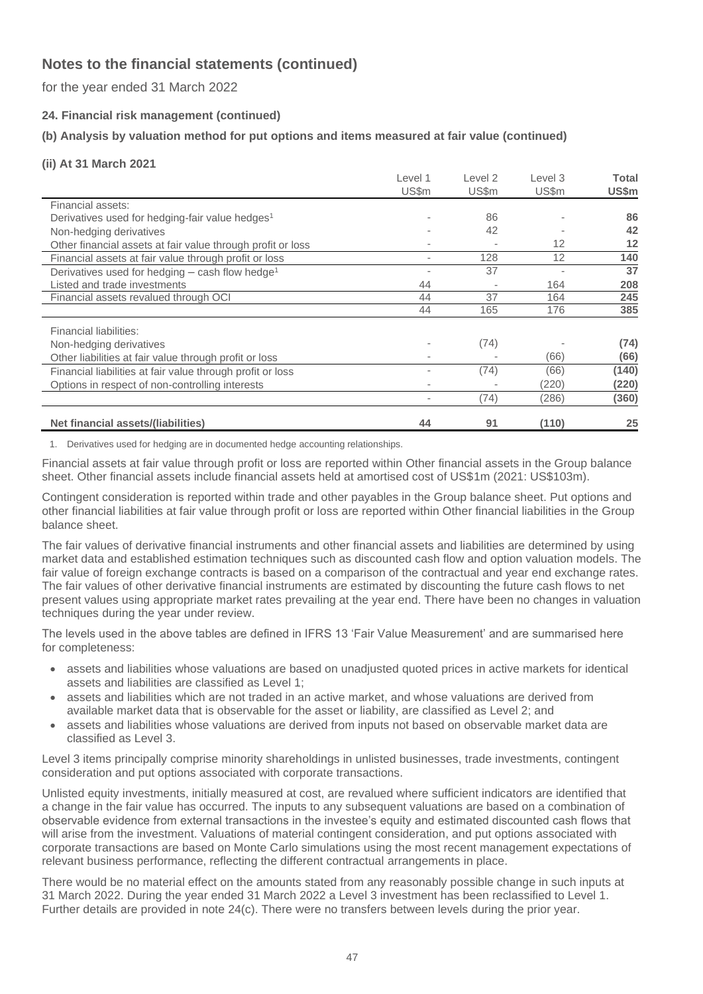for the year ended 31 March 2022

## **24. Financial risk management (continued)**

## **(b) Analysis by valuation method for put options and items measured at fair value (continued)**

#### **(ii) At 31 March 2021**

|                                                               | Level 1                  | Level 2 | Level 3 | Total |
|---------------------------------------------------------------|--------------------------|---------|---------|-------|
|                                                               | US\$m                    | US\$m   | US\$m   | US\$m |
| Financial assets:                                             |                          |         |         |       |
| Derivatives used for hedging-fair value hedges <sup>1</sup>   | ٠                        | 86      |         | 86    |
| Non-hedging derivatives                                       | ٠                        | 42      |         | 42    |
| Other financial assets at fair value through profit or loss   |                          |         | 12      | 12    |
| Financial assets at fair value through profit or loss         | $\blacksquare$           | 128     | 12      | 140   |
| Derivatives used for hedging $-$ cash flow hedge <sup>1</sup> | $\overline{\phantom{a}}$ | 37      |         | 37    |
| Listed and trade investments                                  | 44                       |         | 164     | 208   |
| Financial assets revalued through OCI                         | 44                       | 37      | 164     | 245   |
|                                                               | 44                       | 165     | 176     | 385   |
| Financial liabilities:                                        |                          |         |         |       |
| Non-hedging derivatives                                       |                          | (74)    |         | (74)  |
| Other liabilities at fair value through profit or loss        |                          |         | (66)    | (66)  |
| Financial liabilities at fair value through profit or loss    | $\overline{\phantom{a}}$ | (74)    | (66)    | (140) |
| Options in respect of non-controlling interests               | $\overline{\phantom{a}}$ |         | (220)   | (220) |
|                                                               | $\overline{\phantom{a}}$ | (74)    | (286)   | (360) |
| Net financial assets/(liabilities)                            | 44                       | 91      | (110)   | 25    |

1. Derivatives used for hedging are in documented hedge accounting relationships.

Financial assets at fair value through profit or loss are reported within Other financial assets in the Group balance sheet. Other financial assets include financial assets held at amortised cost of US\$1m (2021: US\$103m).

Contingent consideration is reported within trade and other payables in the Group balance sheet. Put options and other financial liabilities at fair value through profit or loss are reported within Other financial liabilities in the Group balance sheet.

The fair values of derivative financial instruments and other financial assets and liabilities are determined by using market data and established estimation techniques such as discounted cash flow and option valuation models. The fair value of foreign exchange contracts is based on a comparison of the contractual and year end exchange rates. The fair values of other derivative financial instruments are estimated by discounting the future cash flows to net present values using appropriate market rates prevailing at the year end. There have been no changes in valuation techniques during the year under review.

The levels used in the above tables are defined in IFRS 13 'Fair Value Measurement' and are summarised here for completeness:

- assets and liabilities whose valuations are based on unadjusted quoted prices in active markets for identical assets and liabilities are classified as Level 1;
- assets and liabilities which are not traded in an active market, and whose valuations are derived from available market data that is observable for the asset or liability, are classified as Level 2; and
- assets and liabilities whose valuations are derived from inputs not based on observable market data are classified as Level 3.

Level 3 items principally comprise minority shareholdings in unlisted businesses, trade investments, contingent consideration and put options associated with corporate transactions.

Unlisted equity investments, initially measured at cost, are revalued where sufficient indicators are identified that a change in the fair value has occurred. The inputs to any subsequent valuations are based on a combination of observable evidence from external transactions in the investee's equity and estimated discounted cash flows that will arise from the investment. Valuations of material contingent consideration, and put options associated with corporate transactions are based on Monte Carlo simulations using the most recent management expectations of relevant business performance, reflecting the different contractual arrangements in place.

There would be no material effect on the amounts stated from any reasonably possible change in such inputs at 31 March 2022. During the year ended 31 March 2022 a Level 3 investment has been reclassified to Level 1. Further details are provided in note 24(c). There were no transfers between levels during the prior year.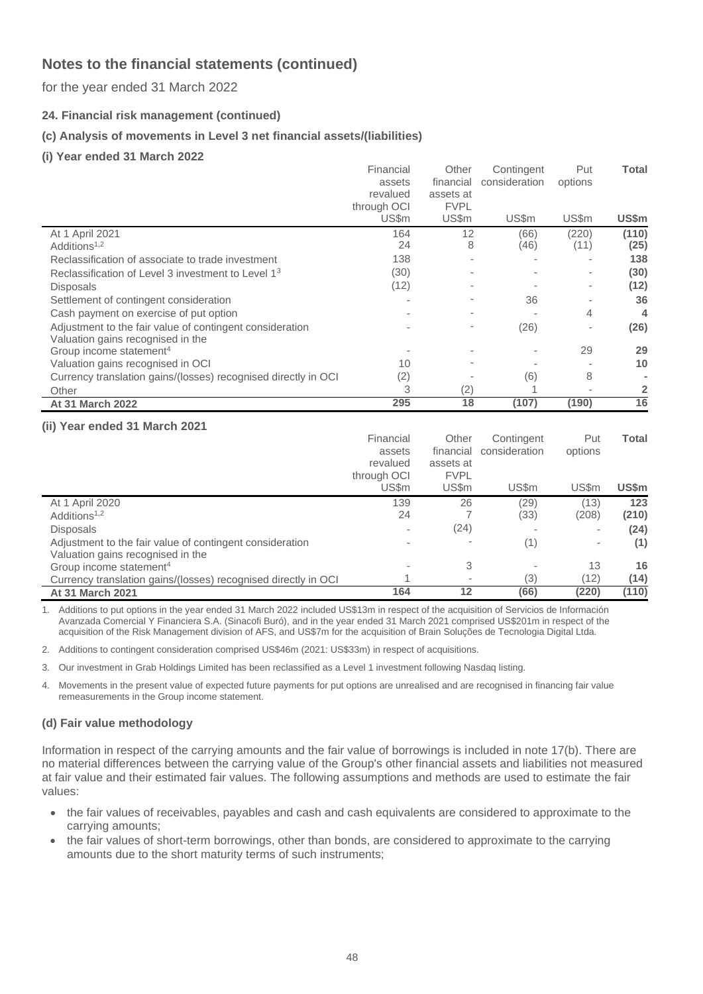for the year ended 31 March 2022

**24. Financial risk management (continued)**

## **(c) Analysis of movements in Level 3 net financial assets/(liabilities)**

**(i) Year ended 31 March 2022**

|                                                                | Financial   | Other       | Contingent    | Put                      | Total |
|----------------------------------------------------------------|-------------|-------------|---------------|--------------------------|-------|
|                                                                | assets      | financial   | consideration | options                  |       |
|                                                                | revalued    | assets at   |               |                          |       |
|                                                                | through OCI | <b>FVPL</b> |               |                          |       |
|                                                                | US\$m       | US\$m       | US\$m         | US\$m                    | US\$m |
| At 1 April 2021                                                | 164         | 12          | (66)          | (220)                    | (110) |
| Additions <sup>1,2</sup>                                       | 24          | 8           | (46)          | (11)                     | (25)  |
| Reclassification of associate to trade investment              | 138         | $\sim$      |               |                          | 138   |
| Reclassification of Level 3 investment to Level 1 <sup>3</sup> | (30)        |             |               | ۰                        | (30)  |
| Disposals                                                      | (12)        |             |               | ٠                        | (12)  |
| Settlement of contingent consideration                         |             |             | 36            |                          | 36    |
| Cash payment on exercise of put option                         |             |             |               | 4                        | 4     |
| Adjustment to the fair value of contingent consideration       |             |             | (26)          | $\overline{\phantom{a}}$ | (26)  |
| Valuation gains recognised in the                              |             |             |               |                          |       |
| Group income statement <sup>4</sup>                            |             |             |               | 29                       | 29    |
| Valuation gains recognised in OCI                              | 10          |             |               |                          | 10    |
| Currency translation gains/(losses) recognised directly in OCI | (2)         |             | (6)           | 8                        |       |
| Other                                                          | 3           | (2)         |               |                          | 2     |
| <b>At 31 March 2022</b>                                        | 295         | 18          | (107)         | (190)                    | 16    |

### **(ii) Year ended 31 March 2021**

|                                                                                               | Financial<br>assets<br>revalued<br>through OCI | Other<br>financial<br>assets at<br><b>FVPL</b> | Contingent<br>consideration | Put<br>options | Total        |
|-----------------------------------------------------------------------------------------------|------------------------------------------------|------------------------------------------------|-----------------------------|----------------|--------------|
|                                                                                               | US\$m                                          | US\$m                                          | US\$m                       | US\$m          | US\$m        |
| At 1 April 2020<br>Additions <sup>1,2</sup>                                                   | 139<br>24                                      | 26                                             | (29)<br>(33)                | (13)<br>(208)  | 123<br>(210) |
| <b>Disposals</b>                                                                              |                                                | (24)                                           |                             | ٠              | (24)         |
| Adjustment to the fair value of contingent consideration<br>Valuation gains recognised in the |                                                |                                                | (1)                         | ٠              | (1)          |
| Group income statement <sup>4</sup>                                                           |                                                | 3                                              |                             | 13             | 16           |
| Currency translation gains/(losses) recognised directly in OCI                                |                                                | $\,$                                           | (3)                         | (12)           | (14)         |
| <b>At 31 March 2021</b>                                                                       | 164                                            | 12                                             | (66)                        | (220)          | (110)        |

1. Additions to put options in the year ended 31 March 2022 included US\$13m in respect of the acquisition of Servicios de Información Avanzada Comercial Y Financiera S.A. (Sinacofi Buró), and in the year ended 31 March 2021 comprised US\$201m in respect of the acquisition of the Risk Management division of AFS, and US\$7m for the acquisition of Brain Soluções de Tecnologia Digital Ltda.

2. Additions to contingent consideration comprised US\$46m (2021: US\$33m) in respect of acquisitions.

3. Our investment in Grab Holdings Limited has been reclassified as a Level 1 investment following Nasdaq listing.

4. Movements in the present value of expected future payments for put options are unrealised and are recognised in financing fair value remeasurements in the Group income statement.

### **(d) Fair value methodology**

Information in respect of the carrying amounts and the fair value of borrowings is included in note 17(b). There are no material differences between the carrying value of the Group's other financial assets and liabilities not measured at fair value and their estimated fair values. The following assumptions and methods are used to estimate the fair values:

- the fair values of receivables, payables and cash and cash equivalents are considered to approximate to the carrying amounts;
- the fair values of short-term borrowings, other than bonds, are considered to approximate to the carrying amounts due to the short maturity terms of such instruments;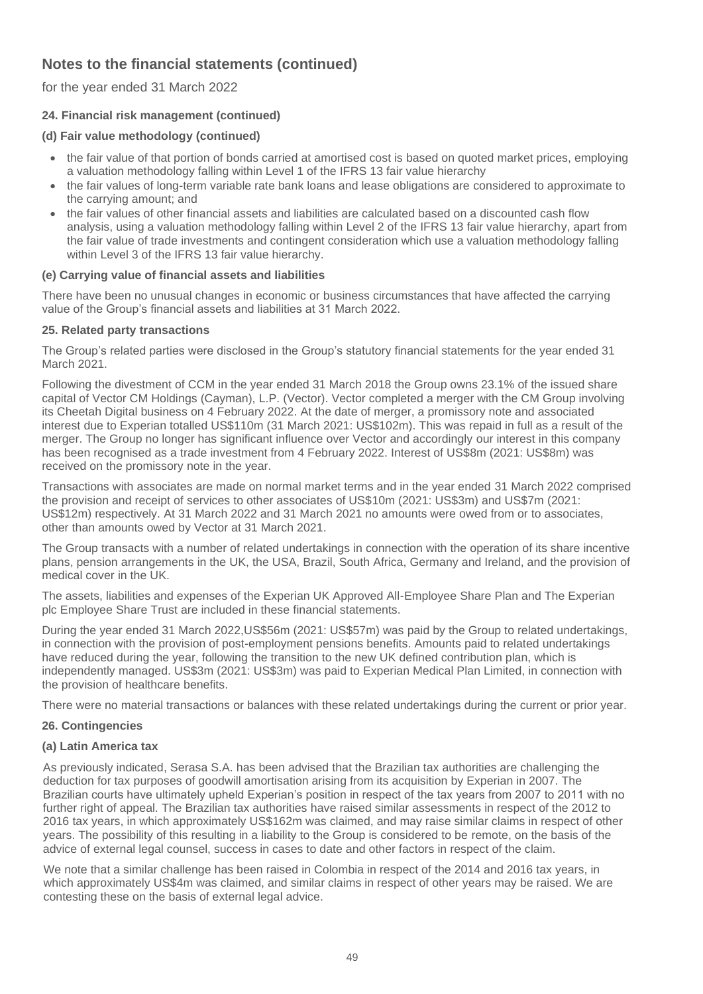for the year ended 31 March 2022

## **24. Financial risk management (continued)**

### **(d) Fair value methodology (continued)**

- the fair value of that portion of bonds carried at amortised cost is based on quoted market prices, employing a valuation methodology falling within Level 1 of the IFRS 13 fair value hierarchy
- the fair values of long-term variable rate bank loans and lease obligations are considered to approximate to the carrying amount; and
- the fair values of other financial assets and liabilities are calculated based on a discounted cash flow analysis, using a valuation methodology falling within Level 2 of the IFRS 13 fair value hierarchy, apart from the fair value of trade investments and contingent consideration which use a valuation methodology falling within Level 3 of the IFRS 13 fair value hierarchy.

### **(e) Carrying value of financial assets and liabilities**

There have been no unusual changes in economic or business circumstances that have affected the carrying value of the Group's financial assets and liabilities at 31 March 2022.

### **25. Related party transactions**

The Group's related parties were disclosed in the Group's statutory financial statements for the year ended 31 March 2021.

Following the divestment of CCM in the year ended 31 March 2018 the Group owns 23.1% of the issued share capital of Vector CM Holdings (Cayman), L.P. (Vector). Vector completed a merger with the CM Group involving its Cheetah Digital business on 4 February 2022. At the date of merger, a promissory note and associated interest due to Experian totalled US\$110m (31 March 2021: US\$102m). This was repaid in full as a result of the merger. The Group no longer has significant influence over Vector and accordingly our interest in this company has been recognised as a trade investment from 4 February 2022. Interest of US\$8m (2021: US\$8m) was received on the promissory note in the year.

Transactions with associates are made on normal market terms and in the year ended 31 March 2022 comprised the provision and receipt of services to other associates of US\$10m (2021: US\$3m) and US\$7m (2021: US\$12m) respectively. At 31 March 2022 and 31 March 2021 no amounts were owed from or to associates, other than amounts owed by Vector at 31 March 2021.

The Group transacts with a number of related undertakings in connection with the operation of its share incentive plans, pension arrangements in the UK, the USA, Brazil, South Africa, Germany and Ireland, and the provision of medical cover in the UK.

The assets, liabilities and expenses of the Experian UK Approved All-Employee Share Plan and The Experian plc Employee Share Trust are included in these financial statements.

During the year ended 31 March 2022,US\$56m (2021: US\$57m) was paid by the Group to related undertakings, in connection with the provision of post-employment pensions benefits. Amounts paid to related undertakings have reduced during the year, following the transition to the new UK defined contribution plan, which is independently managed. US\$3m (2021: US\$3m) was paid to Experian Medical Plan Limited, in connection with the provision of healthcare benefits.

There were no material transactions or balances with these related undertakings during the current or prior year.

### **26. Contingencies**

### **(a) Latin America tax**

As previously indicated, Serasa S.A. has been advised that the Brazilian tax authorities are challenging the deduction for tax purposes of goodwill amortisation arising from its acquisition by Experian in 2007. The Brazilian courts have ultimately upheld Experian's position in respect of the tax years from 2007 to 2011 with no further right of appeal. The Brazilian tax authorities have raised similar assessments in respect of the 2012 to 2016 tax years, in which approximately US\$162m was claimed, and may raise similar claims in respect of other years. The possibility of this resulting in a liability to the Group is considered to be remote, on the basis of the advice of external legal counsel, success in cases to date and other factors in respect of the claim.

We note that a similar challenge has been raised in Colombia in respect of the 2014 and 2016 tax years, in which approximately US\$4m was claimed, and similar claims in respect of other years may be raised. We are contesting these on the basis of external legal advice.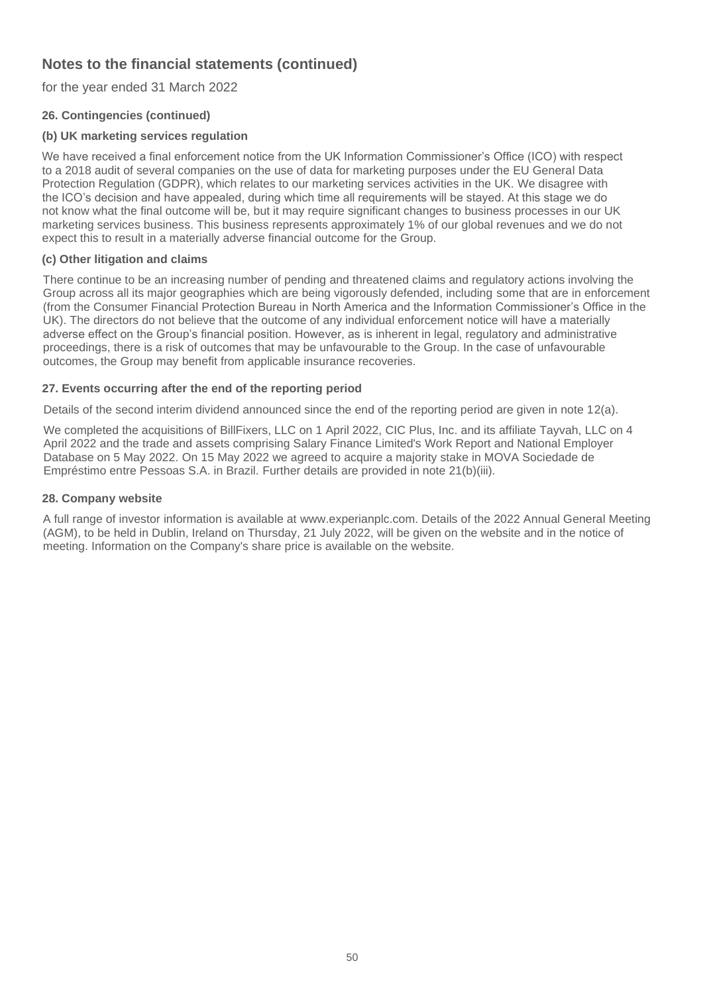for the year ended 31 March 2022

## **26. Contingencies (continued)**

## **(b) UK marketing services regulation**

We have received a final enforcement notice from the UK Information Commissioner's Office (ICO) with respect to a 2018 audit of several companies on the use of data for marketing purposes under the EU General Data Protection Regulation (GDPR), which relates to our marketing services activities in the UK. We disagree with the ICO's decision and have appealed, during which time all requirements will be stayed. At this stage we do not know what the final outcome will be, but it may require significant changes to business processes in our UK marketing services business. This business represents approximately 1% of our global revenues and we do not expect this to result in a materially adverse financial outcome for the Group.

## **(c) Other litigation and claims**

There continue to be an increasing number of pending and threatened claims and regulatory actions involving the Group across all its major geographies which are being vigorously defended, including some that are in enforcement (from the Consumer Financial Protection Bureau in North America and the Information Commissioner's Office in the UK). The directors do not believe that the outcome of any individual enforcement notice will have a materially adverse effect on the Group's financial position. However, as is inherent in legal, regulatory and administrative proceedings, there is a risk of outcomes that may be unfavourable to the Group. In the case of unfavourable outcomes, the Group may benefit from applicable insurance recoveries.

## **27. Events occurring after the end of the reporting period**

Details of the second interim dividend announced since the end of the reporting period are given in note 12(a).

We completed the acquisitions of BillFixers, LLC on 1 April 2022, CIC Plus, Inc. and its affiliate Tayvah, LLC on 4 April 2022 and the trade and assets comprising Salary Finance Limited's Work Report and National Employer Database on 5 May 2022. On 15 May 2022 we agreed to acquire a majority stake in MOVA Sociedade de Empréstimo entre Pessoas S.A. in Brazil. Further details are provided in note 21(b)(iii).

### **28. Company website**

A full range of investor information is available at www.experianplc.com. Details of the 2022 Annual General Meeting (AGM), to be held in Dublin, Ireland on Thursday, 21 July 2022, will be given on the website and in the notice of meeting. Information on the Company's share price is available on the website.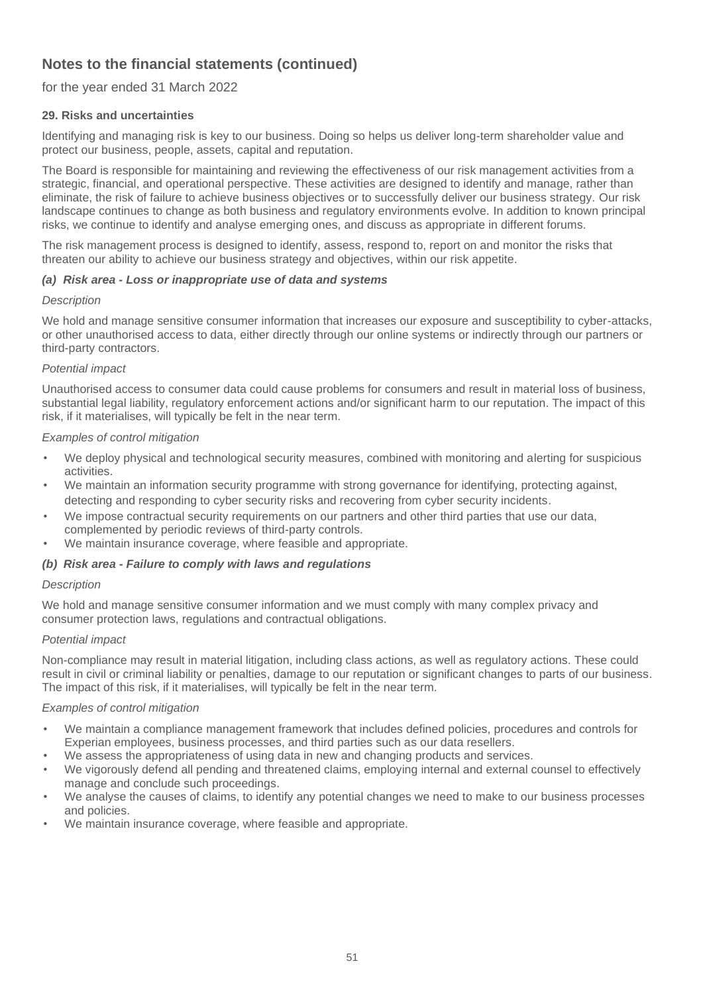## for the year ended 31 March 2022

## **29. Risks and uncertainties**

Identifying and managing risk is key to our business. Doing so helps us deliver long-term shareholder value and protect our business, people, assets, capital and reputation.

The Board is responsible for maintaining and reviewing the effectiveness of our risk management activities from a strategic, financial, and operational perspective. These activities are designed to identify and manage, rather than eliminate, the risk of failure to achieve business objectives or to successfully deliver our business strategy. Our risk landscape continues to change as both business and regulatory environments evolve. In addition to known principal risks, we continue to identify and analyse emerging ones, and discuss as appropriate in different forums.

The risk management process is designed to identify, assess, respond to, report on and monitor the risks that threaten our ability to achieve our business strategy and objectives, within our risk appetite.

### *(a) Risk area - Loss or inappropriate use of data and systems*

#### *Description*

We hold and manage sensitive consumer information that increases our exposure and susceptibility to cyber-attacks, or other unauthorised access to data, either directly through our online systems or indirectly through our partners or third-party contractors.

#### *Potential impact*

Unauthorised access to consumer data could cause problems for consumers and result in material loss of business, substantial legal liability, regulatory enforcement actions and/or significant harm to our reputation. The impact of this risk, if it materialises, will typically be felt in the near term.

#### *Examples of control mitigation*

- We deploy physical and technological security measures, combined with monitoring and alerting for suspicious activities.
- We maintain an information security programme with strong governance for identifying, protecting against, detecting and responding to cyber security risks and recovering from cyber security incidents.
- We impose contractual security requirements on our partners and other third parties that use our data, complemented by periodic reviews of third-party controls.
- We maintain insurance coverage, where feasible and appropriate.

### *(b) Risk area - Failure to comply with laws and regulations*

#### *Description*

We hold and manage sensitive consumer information and we must comply with many complex privacy and consumer protection laws, regulations and contractual obligations.

#### *Potential impact*

Non-compliance may result in material litigation, including class actions, as well as regulatory actions. These could result in civil or criminal liability or penalties, damage to our reputation or significant changes to parts of our business. The impact of this risk, if it materialises, will typically be felt in the near term.

- We maintain a compliance management framework that includes defined policies, procedures and controls for Experian employees, business processes, and third parties such as our data resellers.
- We assess the appropriateness of using data in new and changing products and services.
- We vigorously defend all pending and threatened claims, employing internal and external counsel to effectively manage and conclude such proceedings.
- We analyse the causes of claims, to identify any potential changes we need to make to our business processes and policies.
- We maintain insurance coverage, where feasible and appropriate.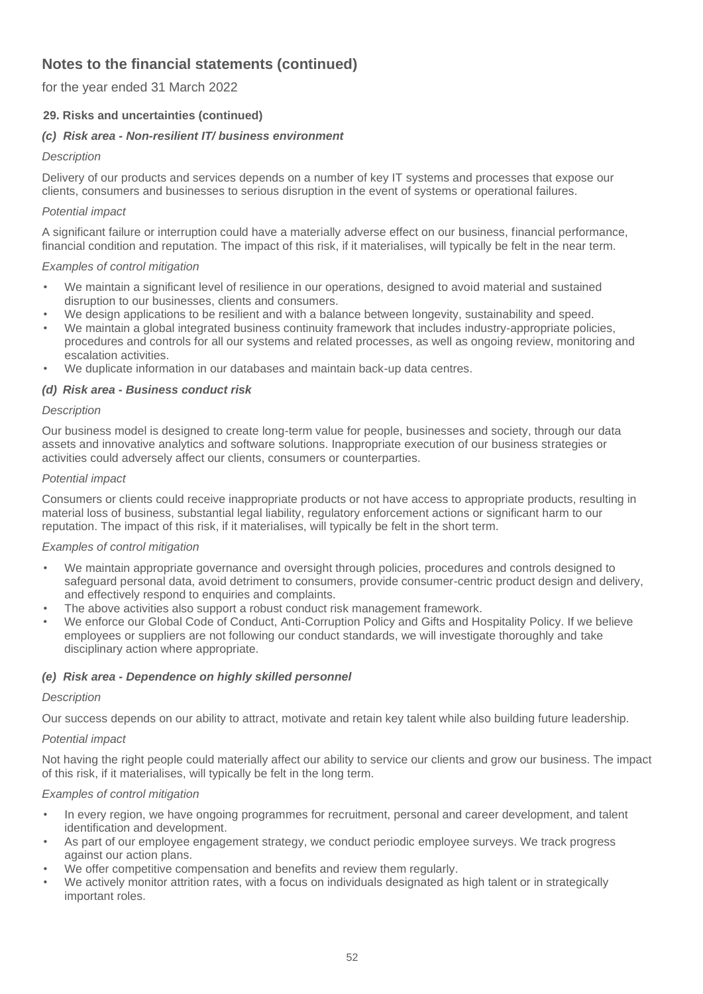for the year ended 31 March 2022

## **29. Risks and uncertainties (continued)**

## *(c) Risk area - Non-resilient IT/ business environment*

## *Description*

Delivery of our products and services depends on a number of key IT systems and processes that expose our clients, consumers and businesses to serious disruption in the event of systems or operational failures.

## *Potential impact*

A significant failure or interruption could have a materially adverse effect on our business, financial performance, financial condition and reputation. The impact of this risk, if it materialises, will typically be felt in the near term.

### *Examples of control mitigation*

- We maintain a significant level of resilience in our operations, designed to avoid material and sustained disruption to our businesses, clients and consumers.
- We design applications to be resilient and with a balance between longevity, sustainability and speed.
- We maintain a global integrated business continuity framework that includes industry-appropriate policies, procedures and controls for all our systems and related processes, as well as ongoing review, monitoring and escalation activities.
- We duplicate information in our databases and maintain back-up data centres.

### *(d) Risk area - Business conduct risk*

### *Description*

Our business model is designed to create long-term value for people, businesses and society, through our data assets and innovative analytics and software solutions. Inappropriate execution of our business strategies or activities could adversely affect our clients, consumers or counterparties.

### *Potential impact*

Consumers or clients could receive inappropriate products or not have access to appropriate products, resulting in material loss of business, substantial legal liability, regulatory enforcement actions or significant harm to our reputation. The impact of this risk, if it materialises, will typically be felt in the short term.

### *Examples of control mitigation*

- We maintain appropriate governance and oversight through policies, procedures and controls designed to safeguard personal data, avoid detriment to consumers, provide consumer-centric product design and delivery, and effectively respond to enquiries and complaints.
- The above activities also support a robust conduct risk management framework.
- We enforce our Global Code of Conduct, Anti-Corruption Policy and Gifts and Hospitality Policy. If we believe employees or suppliers are not following our conduct standards, we will investigate thoroughly and take disciplinary action where appropriate.

### *(e) Risk area - Dependence on highly skilled personnel*

### *Description*

Our success depends on our ability to attract, motivate and retain key talent while also building future leadership.

### *Potential impact*

Not having the right people could materially affect our ability to service our clients and grow our business. The impact of this risk, if it materialises, will typically be felt in the long term.

- In every region, we have ongoing programmes for recruitment, personal and career development, and talent identification and development.
- As part of our employee engagement strategy, we conduct periodic employee surveys. We track progress against our action plans.
- We offer competitive compensation and benefits and review them regularly.
- We actively monitor attrition rates, with a focus on individuals designated as high talent or in strategically important roles.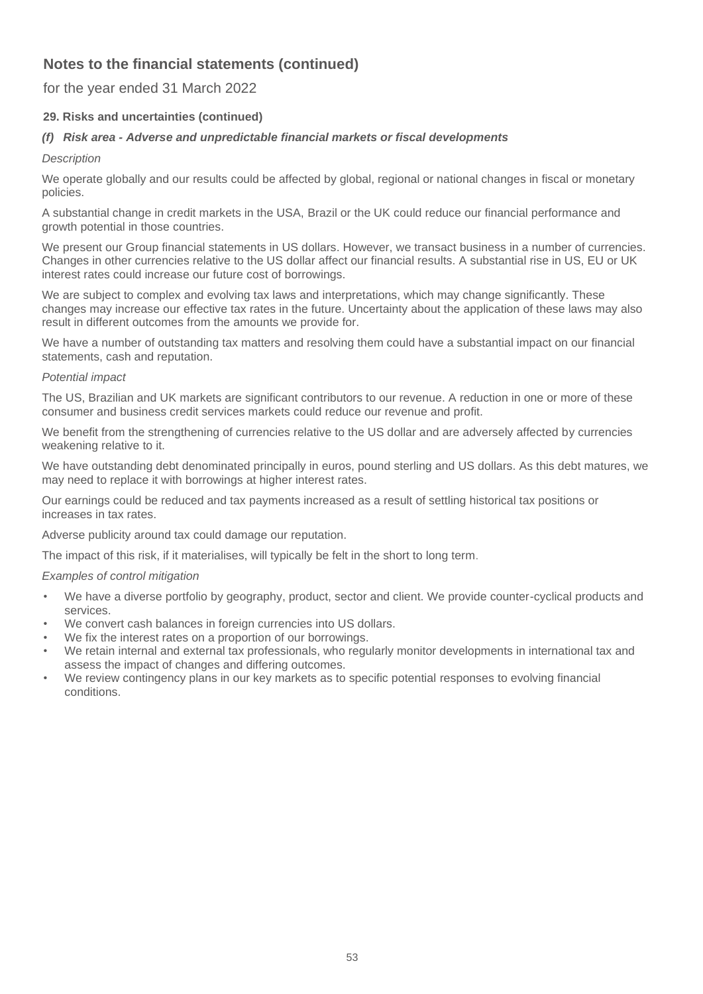## for the year ended 31 March 2022

# **29. Risks and uncertainties (continued)**

## *(f) Risk area - Adverse and unpredictable financial markets or fiscal developments*

## *Description*

We operate globally and our results could be affected by global, regional or national changes in fiscal or monetary policies.

A substantial change in credit markets in the USA, Brazil or the UK could reduce our financial performance and growth potential in those countries.

We present our Group financial statements in US dollars. However, we transact business in a number of currencies. Changes in other currencies relative to the US dollar affect our financial results. A substantial rise in US, EU or UK interest rates could increase our future cost of borrowings.

We are subject to complex and evolving tax laws and interpretations, which may change significantly. These changes may increase our effective tax rates in the future. Uncertainty about the application of these laws may also result in different outcomes from the amounts we provide for.

We have a number of outstanding tax matters and resolving them could have a substantial impact on our financial statements, cash and reputation.

### *Potential impact*

The US, Brazilian and UK markets are significant contributors to our revenue. A reduction in one or more of these consumer and business credit services markets could reduce our revenue and profit.

We benefit from the strengthening of currencies relative to the US dollar and are adversely affected by currencies weakening relative to it.

We have outstanding debt denominated principally in euros, pound sterling and US dollars. As this debt matures, we may need to replace it with borrowings at higher interest rates.

Our earnings could be reduced and tax payments increased as a result of settling historical tax positions or increases in tax rates.

Adverse publicity around tax could damage our reputation.

The impact of this risk, if it materialises, will typically be felt in the short to long term.

- We have a diverse portfolio by geography, product, sector and client. We provide counter-cyclical products and services.
- We convert cash balances in foreign currencies into US dollars.
- We fix the interest rates on a proportion of our borrowings.
- We retain internal and external tax professionals, who regularly monitor developments in international tax and assess the impact of changes and differing outcomes.
- We review contingency plans in our key markets as to specific potential responses to evolving financial conditions.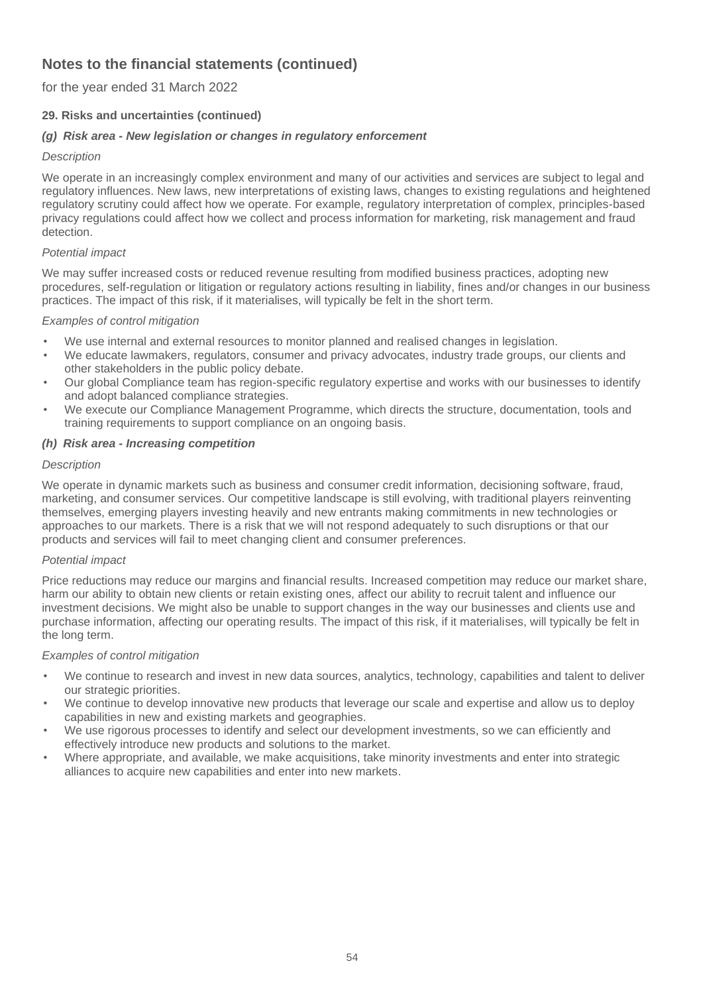for the year ended 31 March 2022

## **29. Risks and uncertainties (continued)**

## *(g) Risk area - New legislation or changes in regulatory enforcement*

## *Description*

We operate in an increasingly complex environment and many of our activities and services are subject to legal and regulatory influences. New laws, new interpretations of existing laws, changes to existing regulations and heightened regulatory scrutiny could affect how we operate. For example, regulatory interpretation of complex, principles-based privacy regulations could affect how we collect and process information for marketing, risk management and fraud detection.

## *Potential impact*

We may suffer increased costs or reduced revenue resulting from modified business practices, adopting new procedures, self-regulation or litigation or regulatory actions resulting in liability, fines and/or changes in our business practices. The impact of this risk, if it materialises, will typically be felt in the short term.

## *Examples of control mitigation*

- We use internal and external resources to monitor planned and realised changes in legislation.
- We educate lawmakers, regulators, consumer and privacy advocates, industry trade groups, our clients and other stakeholders in the public policy debate.
- Our global Compliance team has region-specific regulatory expertise and works with our businesses to identify and adopt balanced compliance strategies.
- We execute our Compliance Management Programme, which directs the structure, documentation, tools and training requirements to support compliance on an ongoing basis.

## *(h) Risk area - Increasing competition*

## *Description*

We operate in dynamic markets such as business and consumer credit information, decisioning software, fraud, marketing, and consumer services. Our competitive landscape is still evolving, with traditional players reinventing themselves, emerging players investing heavily and new entrants making commitments in new technologies or approaches to our markets. There is a risk that we will not respond adequately to such disruptions or that our products and services will fail to meet changing client and consumer preferences.

### *Potential impact*

Price reductions may reduce our margins and financial results. Increased competition may reduce our market share, harm our ability to obtain new clients or retain existing ones, affect our ability to recruit talent and influence our investment decisions. We might also be unable to support changes in the way our businesses and clients use and purchase information, affecting our operating results. The impact of this risk, if it materialises, will typically be felt in the long term.

- We continue to research and invest in new data sources, analytics, technology, capabilities and talent to deliver our strategic priorities.
- We continue to develop innovative new products that leverage our scale and expertise and allow us to deploy capabilities in new and existing markets and geographies.
- We use rigorous processes to identify and select our development investments, so we can efficiently and effectively introduce new products and solutions to the market.
- Where appropriate, and available, we make acquisitions, take minority investments and enter into strategic alliances to acquire new capabilities and enter into new markets.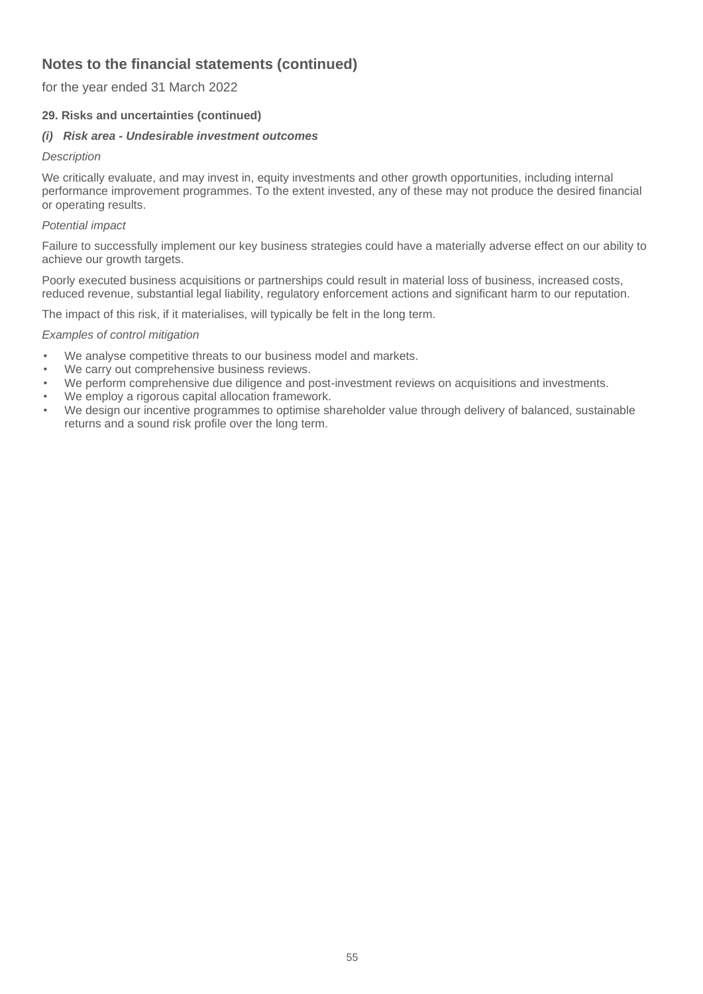for the year ended 31 March 2022

## **29. Risks and uncertainties (continued)**

### *(i) Risk area - Undesirable investment outcomes*

#### *Description*

We critically evaluate, and may invest in, equity investments and other growth opportunities, including internal performance improvement programmes. To the extent invested, any of these may not produce the desired financial or operating results.

### *Potential impact*

Failure to successfully implement our key business strategies could have a materially adverse effect on our ability to achieve our growth targets.

Poorly executed business acquisitions or partnerships could result in material loss of business, increased costs, reduced revenue, substantial legal liability, regulatory enforcement actions and significant harm to our reputation.

The impact of this risk, if it materialises, will typically be felt in the long term.

- We analyse competitive threats to our business model and markets.
- We carry out comprehensive business reviews.
- We perform comprehensive due diligence and post-investment reviews on acquisitions and investments.
- We employ a rigorous capital allocation framework.
- We design our incentive programmes to optimise shareholder value through delivery of balanced, sustainable returns and a sound risk profile over the long term.